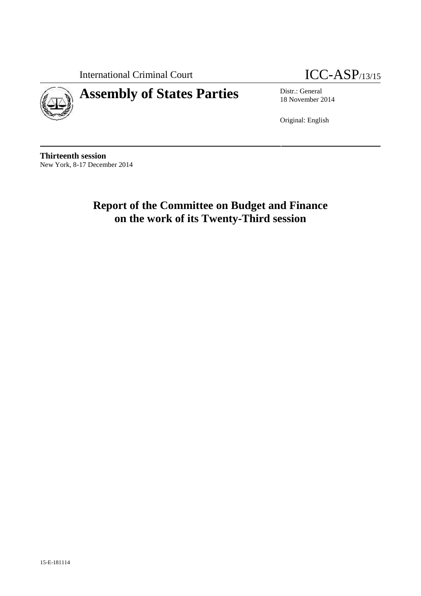International Criminal Court **ICC-ASP**/13/15



# **Assembly of States Parties** Distr.: General

18 November 2014

Original: English

**Thirteenth session** New York, 8-17 December 2014

> **Report of the Committee on Budget and Finance on the work of its Twenty-Third session**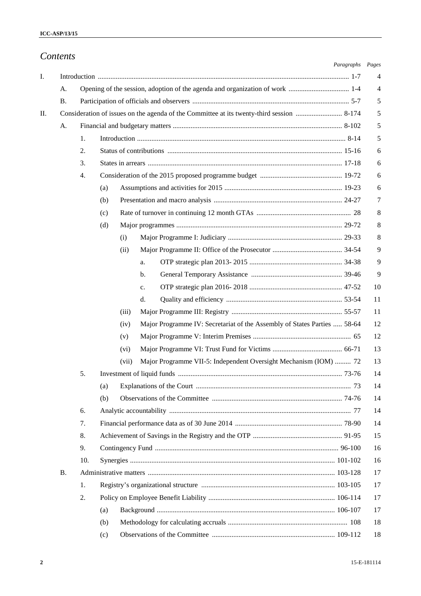|           |     |               | Paragraphs Pages                                                         |          |
|-----------|-----|---------------|--------------------------------------------------------------------------|----------|
|           |     |               |                                                                          | 4        |
| A.        |     |               |                                                                          | 4        |
| <b>B.</b> |     |               |                                                                          | 5        |
|           |     |               |                                                                          | 5        |
| A.        |     |               |                                                                          | 5        |
|           | 1.  |               |                                                                          | 5        |
|           | 2.  |               |                                                                          | 6        |
|           | 3.  |               |                                                                          | 6        |
|           | 4.  |               |                                                                          | 6        |
|           |     | (a)           |                                                                          | 6        |
|           |     | (b)           |                                                                          | 7        |
|           |     | (c)           |                                                                          | 8        |
|           |     | (d)           |                                                                          | 8        |
|           |     | (i)           |                                                                          | 8        |
|           |     | (ii)          |                                                                          | 9        |
|           |     |               | a.                                                                       | 9        |
|           |     |               | $\mathbf{b}$ .                                                           | 9        |
|           |     |               | c.                                                                       | 10       |
|           |     |               | d.                                                                       | 11       |
|           |     | (iii)         |                                                                          | 11       |
|           |     | (iv)          | Major Programme IV: Secretariat of the Assembly of States Parties  58-64 | 12       |
|           |     | (v)           |                                                                          | 12<br>13 |
|           |     | (vi)<br>(vii) | Major Programme VII-5: Independent Oversight Mechanism (IOM)  72         | 13       |
|           | 5.  |               |                                                                          | 14       |
|           |     | (a)           |                                                                          | 14       |
|           |     | (b)           |                                                                          | 14       |
|           | 6.  |               |                                                                          | 14       |
|           | 7.  |               |                                                                          | 14       |
|           | 8.  |               |                                                                          | 15       |
|           | 9.  |               |                                                                          | 16       |
|           | 10. |               |                                                                          | 16       |
| <b>B.</b> |     |               |                                                                          | 17       |
|           | 1.  |               |                                                                          | 17       |
|           | 2.  |               |                                                                          | 17       |
|           |     | (a)           |                                                                          | 17       |
|           |     | (b)           |                                                                          | 18       |
|           |     | (c)           |                                                                          | 18       |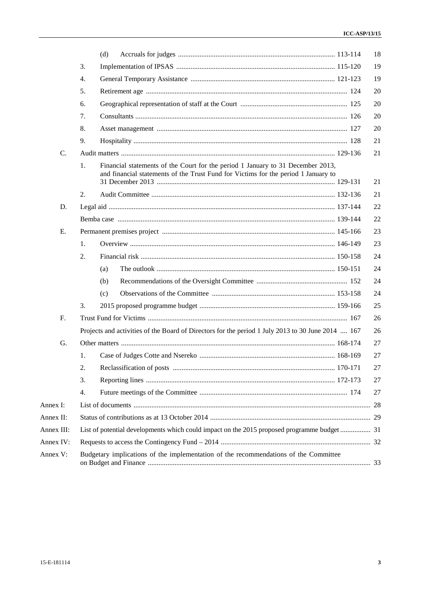|                |                  | (d)                                                                                                                                                                   | 18 |
|----------------|------------------|-----------------------------------------------------------------------------------------------------------------------------------------------------------------------|----|
|                | 3.               |                                                                                                                                                                       | 19 |
|                | $\overline{4}$ . |                                                                                                                                                                       | 19 |
|                | 5.               |                                                                                                                                                                       | 20 |
|                | 6.               |                                                                                                                                                                       | 20 |
|                | 7.               |                                                                                                                                                                       | 20 |
|                | 8.               |                                                                                                                                                                       | 20 |
|                | 9.               |                                                                                                                                                                       | 21 |
| $\mathbf{C}$ . |                  |                                                                                                                                                                       | 21 |
|                | 1.               | Financial statements of the Court for the period 1 January to 31 December 2013,<br>and financial statements of the Trust Fund for Victims for the period 1 January to | 21 |
|                | 2.               |                                                                                                                                                                       | 21 |
| D.             |                  |                                                                                                                                                                       | 22 |
|                |                  |                                                                                                                                                                       | 22 |
| E.             |                  |                                                                                                                                                                       | 23 |
|                | 1.               |                                                                                                                                                                       | 23 |
|                | 2.               |                                                                                                                                                                       | 24 |
|                |                  | (a)                                                                                                                                                                   | 24 |
|                |                  | (b)                                                                                                                                                                   | 24 |
|                |                  | (c)                                                                                                                                                                   | 24 |
|                | 3.               |                                                                                                                                                                       | 25 |
| F <sub>r</sub> |                  |                                                                                                                                                                       | 26 |
|                |                  | Projects and activities of the Board of Directors for the period 1 July 2013 to 30 June 2014  167                                                                     | 26 |
| G.             |                  |                                                                                                                                                                       | 27 |
|                | 1.               |                                                                                                                                                                       | 27 |
|                | 2.               |                                                                                                                                                                       | 27 |
|                | 3.               |                                                                                                                                                                       | 27 |
|                | 4.               |                                                                                                                                                                       | 27 |
| Annex I:       |                  |                                                                                                                                                                       |    |
| Annex II:      |                  |                                                                                                                                                                       |    |
| Annex III:     |                  | List of potential developments which could impact on the 2015 proposed programme budget 31                                                                            |    |
| Annex IV:      |                  |                                                                                                                                                                       |    |
| Annex V:       |                  | Budgetary implications of the implementation of the recommendations of the Committee                                                                                  |    |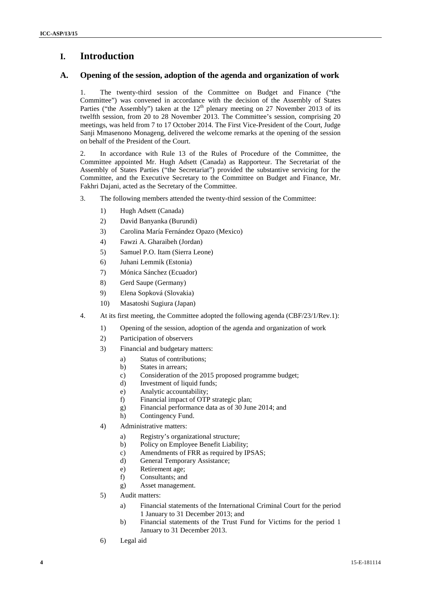# **I. Introduction**

## **A. Opening of the session, adoption of the agenda and organization of work**

1. The twenty-third session of the Committee on Budget and Finance ("the Committee") was convened in accordance with the decision of the Assembly of States Parties ("the Assembly") taken at the  $12<sup>th</sup>$  plenary meeting on 27 November 2013 of its twelfth session, from 20 to 28 November 2013. The Committee's session, comprising 20 meetings, was held from 7 to 17 October 2014. The First Vice-President of the Court, Judge Sanji Mmasenono Monageng, delivered the welcome remarks at the opening of the session on behalf of the President of the Court.

2. In accordance with Rule 13 of the Rules of Procedure of the Committee, the Committee appointed Mr. Hugh Adsett (Canada) as Rapporteur. The Secretariat of the Assembly of States Parties ("the Secretariat") provided the substantive servicing for the Committee, and the Executive Secretary to the Committee on Budget and Finance, Mr. Fakhri Dajani, acted as the Secretary of the Committee.

- 3. The following members attended the twenty-third session of the Committee:
	- 1) Hugh Adsett (Canada)
	- 2) David Banyanka (Burundi)
	- 3) Carolina María Fernández Opazo (Mexico)
	- 4) Fawzi A. Gharaibeh (Jordan)
	- 5) Samuel P.O. Itam (Sierra Leone)
	- 6) Juhani Lemmik (Estonia)
	- 7) Mónica Sánchez (Ecuador)
	- 8) Gerd Saupe (Germany)
	- 9) Elena Sopková (Slovakia)
	- 10) Masatoshi Sugiura (Japan)
- 4. At its first meeting, the Committee adopted the following agenda (CBF/23/1/Rev.1):
	- 1) Opening of the session, adoption of the agenda and organization of work
	- 2) Participation of observers
	- 3) Financial and budgetary matters:
		- a) Status of contributions;
		- b) States in arrears;
		- c) Consideration of the 2015 proposed programme budget;
		- d) Investment of liquid funds;
		- e) Analytic accountability;<br>f) Financial impact of OTF
		- Financial impact of OTP strategic plan:
		- g) Financial performance data as of 30 June 2014; and
		- h) Contingency Fund.
	- 4) Administrative matters:
		- a) Registry's organizational structure;
		- b) Policy on Employee Benefit Liability;
		- c) Amendments of FRR as required by IPSAS;
		- d) General Temporary Assistance;
		- e) Retirement age;
		- f) Consultants; and
		- g) Asset management.
	- 5) Audit matters:
		- a) Financial statements of the International Criminal Court for the period 1 January to 31 December 2013; and
		- b) Financial statements of the Trust Fund for Victims for the period 1 January to 31 December 2013.
	- 6) Legal aid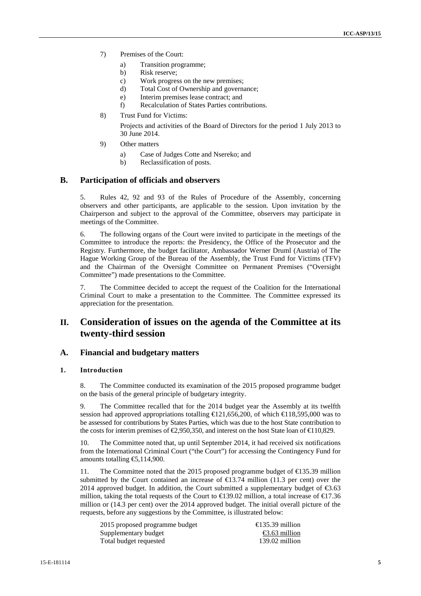- 7) Premises of the Court:
	- a) Transition programme;
	- b) Risk reserve;
	- c) Work progress on the new premises;
	- d) Total Cost of Ownership and governance;
	- e) Interim premises lease contract; and
	- f) Recalculation of States Parties contributions.
- 8) Trust Fund for Victims:

Projects and activities of the Board of Directors for the period 1 July 2013 to 30 June 2014.

- 9) Other matters
	- a) Case of Judges Cotte and Nsereko; and
	- b) Reclassification of posts.

### **B. Participation of officials and observers**

5. Rules 42, 92 and 93 of the Rules of Procedure of the Assembly, concerning observers and other participants, are applicable to the session. Upon invitation by the Chairperson and subject to the approval of the Committee, observers may participate in meetings of the Committee.

6. The following organs of the Court were invited to participate in the meetings of the Committee to introduce the reports: the Presidency, the Office of the Prosecutor and the Registry. Furthermore, the budget facilitator, Ambassador Werner Druml (Austria) of The Hague Working Group of the Bureau of the Assembly, the Trust Fund for Victims (TFV) and the Chairman of the Oversight Committee on Permanent Premises ("Oversight Committee") made presentations to the Committee.

7. The Committee decided to accept the request of the Coalition for the International Criminal Court to make a presentation to the Committee. The Committee expressed its appreciation for the presentation.

# **II. Consideration of issues on the agenda of the Committee at its twenty-third session**

### **A. Financial and budgetary matters**

### **1. Introduction**

8. The Committee conducted its examination of the 2015 proposed programme budget on the basis of the general principle of budgetary integrity.

9. The Committee recalled that for the 2014 budget year the Assembly at its twelfth session had approved appropriations totalling  $\text{\textsterling}21,656,200$ , of which  $\text{\textsterling}18,595,000$  was to be assessed for contributions by States Parties, which was due to the host State contribution to the costs for interim premises of  $\epsilon$ ,950,350, and interest on the host State loan of  $\epsilon$  10,829.

10. The Committee noted that, up until September 2014, it had received six notifications from the International Criminal Court ("the Court") for accessing the Contingency Fund for amounts totalling  $\text{E}$ , 114, 900.

11. The Committee noted that the 2015 proposed programme budget of €135.39 million submitted by the Court contained an increase of  $\text{ } \infty 3.74$  million (11.3 per cent) over the 2014 approved budget. In addition, the Court submitted a supplementary budget of  $\epsilon$ 3.63 million, taking the total requests of the Court to  $\in$  39.02 million, a total increase of  $\in$  7.36 million or (14.3 per cent) over the 2014 approved budget. The initial overall picture of the requests, before any suggestions by the Committee, is illustrated below:

| 2015 proposed programme budget | $\bigoplus$ 35.39 million |
|--------------------------------|---------------------------|
| Supplementary budget           | $\bigoplus$ .63 million   |
| Total budget requested         | $139.02$ million          |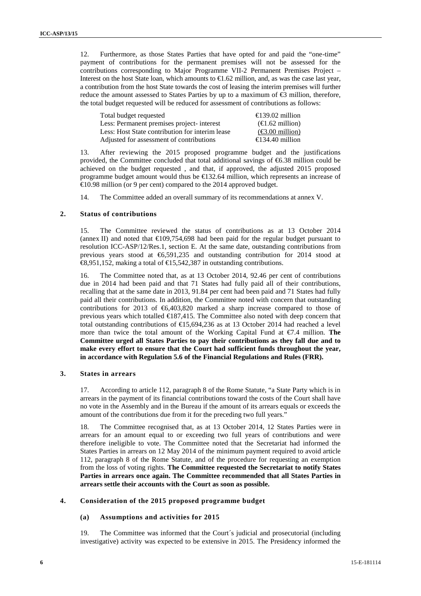12. Furthermore, as those States Parties that have opted for and paid the "one-time" payment of contributions for the permanent premises will not be assessed for the contributions corresponding to Major Programme VII-2 Permanent Premises Project – Interest on the host State loan, which amounts to €1.62 million, and, as was the case last year, a contribution from the host State towards the cost of leasing the interim premises will further reduce the amount assessed to States Parties by up to a maximum of €3 million, therefore, the total budget requested will be reduced for assessment of contributions as follows:

| Total budget requested                          | $\bigoplus$ 39.02 million                  |
|-------------------------------------------------|--------------------------------------------|
| Less: Permanent premises project- interest      | $(\triangleleft$ .62 million)              |
| Less: Host State contribution for interim lease | $(\text{\large} \in 3.00 \text{ million})$ |
| Adjusted for assessment of contributions        | $\bigoplus$ 34.40 million                  |

13. After reviewing the 2015 proposed programme budget and the justifications provided, the Committee concluded that total additional savings of  $66.38$  million could be achieved on the budget requested , and that, if approved, the adjusted 2015 proposed programme budget amount would thus be  $\text{\textsterling}32.64$  million, which represents an increase of €10.98 million (or 9 per cent) compared to the 2014 approved budget.

14. The Committee added an overall summary of its recommendations at annex V.

### **2. Status of contributions**

15. The Committee reviewed the status of contributions as at 13 October 2014 (annex II) and noted that  $\epsilon 109,754,698$  had been paid for the regular budget pursuant to resolution ICC-ASP/12/Res.1, section E. At the same date, outstanding contributions from previous years stood at €6,591,235 and outstanding contribution for 2014 stood at €8,951,152, making a total of €15,542,387 in outstanding contributions.

16. The Committee noted that, as at 13 October 2014, 92.46 per cent of contributions due in 2014 had been paid and that 71 States had fully paid all of their contributions, recalling that at the same date in 2013, 91.84 per cent had been paid and 71 States had fully paid all their contributions. In addition, the Committee noted with concern that outstanding contributions for 2013 of  $\epsilon$ 6,403,820 marked a sharp increase compared to those of previous years which totalled  $\in$ 187,415. The Committee also noted with deep concern that total outstanding contributions of  $\text{€}15,694,236$  as at 13 October 2014 had reached a level more than twice the total amount of the Working Capital Fund at €7.4 million. **The Committee urged all States Parties to pay their contributions as they fall due and to make every effort to ensure that the Court had sufficient funds throughout the year, in accordance with Regulation 5.6 of the Financial Regulations and Rules (FRR).**

### **3. States in arrears**

17. According to article 112, paragraph 8 of the Rome Statute, "a State Party which is in arrears in the payment of its financial contributions toward the costs of the Court shall have no vote in the Assembly and in the Bureau if the amount of its arrears equals or exceeds the amount of the contributions due from it for the preceding two full years."

18. The Committee recognised that, as at 13 October 2014, 12 States Parties were in arrears for an amount equal to or exceeding two full years of contributions and were therefore ineligible to vote. The Committee noted that the Secretariat had informed the States Parties in arrears on 12 May 2014 of the minimum payment required to avoid article 112, paragraph 8 of the Rome Statute, and of the procedure for requesting an exemption from the loss of voting rights. **The Committee requested the Secretariat to notify States Parties in arrears once again. The Committee recommended that all States Parties in arrears settle their accounts with the Court as soon as possible.**

### **4. Consideration of the 2015 proposed programme budget**

### **(a) Assumptions and activities for 2015**

19. The Committee was informed that the Court´s judicial and prosecutorial (including investigative) activity was expected to be extensive in 2015. The Presidency informed the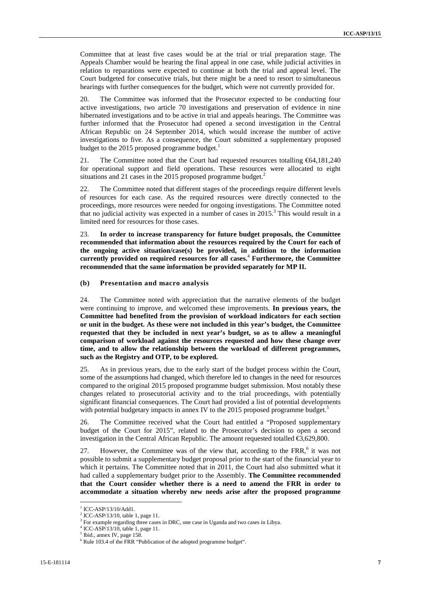Committee that at least five cases would be at the trial or trial preparation stage. The Appeals Chamber would be hearing the final appeal in one case, while judicial activities in relation to reparations were expected to continue at both the trial and appeal level. The Court budgeted for consecutive trials, but there might be a need to resort to simultaneous hearings with further consequences for the budget, which were not currently provided for.

20. The Committee was informed that the Prosecutor expected to be conducting four active investigations, two article 70 investigations and preservation of evidence in nine hibernated investigations and to be active in trial and appeals hearings. The Committee was further informed that the Prosecutor had opened a second investigation in the Central African Republic on 24 September 2014, which would increase the number of active investigations to five. As a consequence, the Court submitted a supplementary proposed budget to the 2015 proposed programme budget.<sup>1</sup>

21. The Committee noted that the Court had requested resources totalling €64,181,240 for operational support and field operations. These resources were allocated to eight situations and 21 cases in the 2015 proposed programme budget. $^2$ 

22. The Committee noted that different stages of the proceedings require different levels of resources for each case. As the required resources were directly connected to the proceedings, more resources were needed for ongoing investigations. The Committee noted that no judicial activity was expected in a number of cases in  $2015$ .<sup>3</sup> This would result in a limited need for resources for those cases.

23. **In order to increase transparency for future budget proposals, the Committee recommended that information about the resources required by the Court for each of the ongoing active situation/case(s) be provided, in addition to the information currently provided on required resources for all cases.**<sup>4</sup> **Furthermore, the Committee recommended that the same information be provided separately for MP II.**

### **(b) Presentation and macro analysis**

24. The Committee noted with appreciation that the narrative elements of the budget were continuing to improve, and welcomed these improvements. **In previous years, the Committee had benefited from the provision of workload indicators for each section or unit in the budget. As these were not included in this year's budget, the Committee requested that they be included in next year's budget, so as to allow a meaningful comparison of workload against the resources requested and how these change over time, and to allow the relationship between the workload of different programmes, such as the Registry and OTP, to be explored.**

25. As in previous years, due to the early start of the budget process within the Court, some of the assumptions had changed, which therefore led to changes in the need for resources compared to the original 2015 proposed programme budget submission. Most notably these changes related to prosecutorial activity and to the trial proceedings, with potentially significant financial consequences. The Court had provided a list of potential developments with potential budgetary impacts in annex IV to the  $2015$  proposed programme budget. $\overline{5}$ 

26. The Committee received what the Court had entitled a "Proposed supplementary budget of the Court for 2015", related to the Prosecutor's decision to open a second investigation in the Central African Republic. The amount requested totalled €3,629,800.

27. However, the Committee was of the view that, according to the  $FRR$ <sup>6</sup>, it was not possible to submit a supplementary budget proposal prior to the start of the financial year to which it pertains. The Committee noted that in 2011, the Court had also submitted what it had called a supplementary budget prior to the Assembly. **The Committee recommended that the Court consider whether there is a need to amend the FRR in order to accommodate a situation whereby new needs arise after the proposed programme**

<sup>&</sup>lt;sup>1</sup> ICC-ASP/13/10/Add1.<br><sup>2</sup> ICC-ASP/13/10, table 1, page 11.

<sup>&</sup>lt;sup>3</sup> For example regarding three cases in DRC, one case in Uganda and two cases in Libya.

ICC-ASP/13/10, table 1, page 11.<br>Ibid., annex IV, page 158.

<sup>6</sup> Rule 103.4 of the FRR "Publication of the adopted programme budget".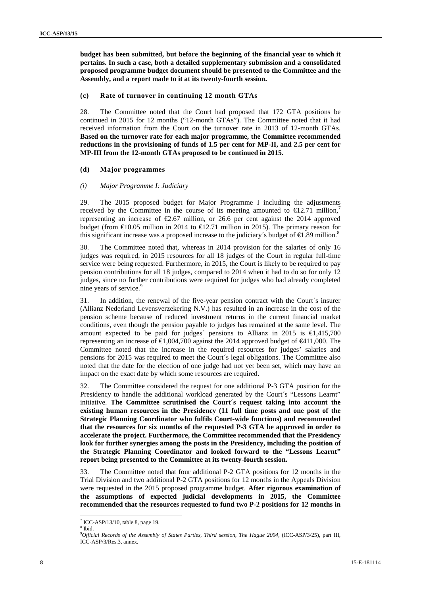**budget has been submitted, but before the beginning of the financial year to which it pertains. In such a case, both a detailed supplementary submission and a consolidated proposed programme budget document should be presented to the Committee and the Assembly, and a report made to it at its twenty-fourth session.**

### **(c) Rate of turnover in continuing 12 month GTAs**

28. The Committee noted that the Court had proposed that 172 GTA positions be continued in 2015 for 12 months ("12-month GTAs"). The Committee noted that it had received information from the Court on the turnover rate in 2013 of 12-month GTAs. **Based on the turnover rate for each major programme, the Committee recommended reductions in the provisioning of funds of 1.5 per cent for MP-II, and 2.5 per cent for MP-III from the 12-month GTAs proposed to be continued in 2015.**

### **(d) Major programmes**

#### *(i) Major Programme I: Judiciary*

29. The 2015 proposed budget for Major Programme I including the adjustments received by the Committee in the course of its meeting amounted to  $\epsilon$ 12.71 million, representing an increase of  $\epsilon$ 2.67 million, or 26.6 per cent against the 2014 approved budget (from  $\text{\textsterling}0.05$  million in 2014 to  $\text{\textsterling}2.71$  million in 2015). The primary reason for this significant increase was a proposed increase to the judiciary's budget of  $\epsilon$ 1.89 million.<sup>8</sup>

30. The Committee noted that, whereas in 2014 provision for the salaries of only 16 judges was required, in 2015 resources for all 18 judges of the Court in regular full-time service were being requested. Furthermore, in 2015, the Court is likely to be required to pay pension contributions for all 18 judges, compared to 2014 when it had to do so for only 12 judges, since no further contributions were required for judges who had already completed nine years of service.<sup>9</sup>

31. In addition, the renewal of the five-year pension contract with the Court´s insurer (Allianz Nederland Levensverzekering N.V.) has resulted in an increase in the cost of the pension scheme because of reduced investment returns in the current financial market conditions, even though the pension payable to judges has remained at the same level. The amount expected to be paid for judges' pensions to Allianz in 2015 is  $\in$ 1,415,700 representing an increase of  $\in$ ,004,700 against the 2014 approved budget of  $\in$ 411,000. The Committee noted that the increase in the required resources for judges' salaries and pensions for 2015 was required to meet the Court´s legal obligations. The Committee also noted that the date for the election of one judge had not yet been set, which may have an impact on the exact date by which some resources are required.

32. The Committee considered the request for one additional P-3 GTA position for the Presidency to handle the additional workload generated by the Court's "Lessons Learnt" initiative. **The Committee scrutinised the Court´s request taking into account the existing human resources in the Presidency (11 full time posts and one post of the Strategic Planning Coordinator who fulfils Court-wide functions) and recommended that the resources for six months of the requested P-3 GTA be approved in order to accelerate the project. Furthermore, the Committee recommended that the Presidency look for further synergies among the posts in the Presidency, including the position of the Strategic Planning Coordinator and looked forward to the "Lessons Learnt" report being presented to the Committee at its twenty-fourth session.**

33. The Committee noted that four additional P-2 GTA positions for 12 months in the Trial Division and two additional P-2 GTA positions for 12 months in the Appeals Division were requested in the 2015 proposed programme budget. **After rigorous examination of the assumptions of expected judicial developments in 2015, the Committee recommended that the resources requested to fund two P-2 positions for 12 months in**

 $^7$  ICC-ASP/13/10, table 8, page 19.<br><sup>8</sup> Ibid.

<sup>8</sup> Ibid. <sup>9</sup>*Official Records of the Assembly of States Parties, Third session, The Hague 2004,* (ICC-ASP/3/25), part III, ICC-ASP/3/Res.3, annex.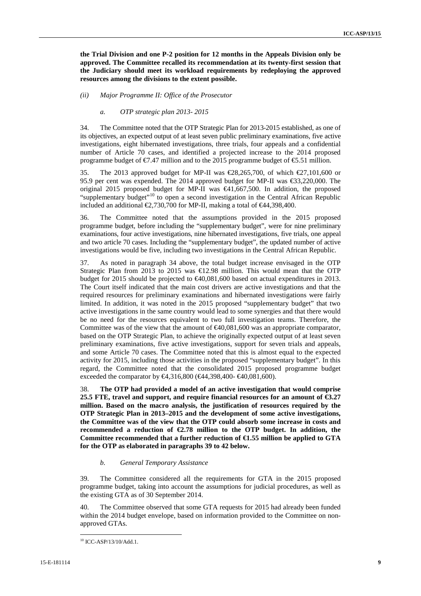**the Trial Division and one P-2 position for 12 months in the Appeals Division only be approved. The Committee recalled its recommendation at its twenty-first session that the Judiciary should meet its workload requirements by redeploying the approved resources among the divisions to the extent possible.**

*(ii) Major Programme II: Office of the Prosecutor*

### *a. OTP strategic plan 2013- 2015*

34. The Committee noted that the OTP Strategic Plan for 2013-2015 established, as one of its objectives, an expected output of at least seven public preliminary examinations, five active investigations, eight hibernated investigations, three trials, four appeals and a confidential number of Article 70 cases, and identified a projected increase to the 2014 proposed programme budget of  $\epsilon$ 7.47 million and to the 2015 programme budget of  $\epsilon$ 5.51 million.

The 2013 approved budget for MP-II was  $\mathcal{L}8,265,700$ , of which  $\mathcal{L}7,101,600$  or 95.9 per cent was expended. The 2014 approved budget for MP-II was €33,220,000. The original 2015 proposed budget for MP-II was €41,667,500. In addition, the proposed "supplementary budget"<sup>10</sup> to open a second investigation in the Central African Republic included an additional  $\epsilon$ 2,730,700 for MP-II, making a total of  $\epsilon$ 44,398,400.

36. The Committee noted that the assumptions provided in the 2015 proposed programme budget, before including the "supplementary budget", were for nine preliminary examinations, four active investigations, nine hibernated investigations, five trials, one appeal and two article 70 cases. Including the "supplementary budget", the updated number of active investigations would be five, including two investigations in the Central African Republic.

37. As noted in paragraph 34 above, the total budget increase envisaged in the OTP Strategic Plan from 2013 to 2015 was  $\bigoplus$  2.98 million. This would mean that the OTP budget for 2015 should be projected to €40,081,600 based on actual expenditures in 2013. The Court itself indicated that the main cost drivers are active investigations and that the required resources for preliminary examinations and hibernated investigations were fairly limited. In addition, it was noted in the 2015 proposed "supplementary budget" that two active investigations in the same country would lead to some synergies and that there would be no need for the resources equivalent to two full investigation teams. Therefore, the Committee was of the view that the amount of €40,081,600 was an appropriate comparator, based on the OTP Strategic Plan, to achieve the originally expected output of at least seven preliminary examinations, five active investigations, support for seven trials and appeals, and some Article 70 cases. The Committee noted that this is almost equal to the expected activity for 2015, including those activities in the proposed "supplementary budget". In this regard, the Committee noted that the consolidated 2015 proposed programme budget exceeded the comparator by €4,316,800 (€44,398,400- €40,081,600).

38. **The OTP had provided a model of an active investigation that would comprise 25.5 FTE, travel and support, and require financial resources for an amount of €3.27 million. Based on the macro analysis, the justification of resources required by the OTP Strategic Plan in 2013–2015 and the development of some active investigations, the Committee was of the view that the OTP could absorb some increase in costs and recommended a reduction of €2.78 million to the OTP budget. In addition, the Committee recommended that a further reduction of €1.55 million be applied to GTA for the OTP as elaborated in paragraphs 39 to 42 below.**

### *b. General Temporary Assistance*

39. The Committee considered all the requirements for GTA in the 2015 proposed programme budget, taking into account the assumptions for judicial procedures, as well as the existing GTA as of 30 September 2014.

40. The Committee observed that some GTA requests for 2015 had already been funded within the 2014 budget envelope, based on information provided to the Committee on non approved GTAs.

<sup>&</sup>lt;sup>10</sup> ICC-ASP/13/10/Add.1.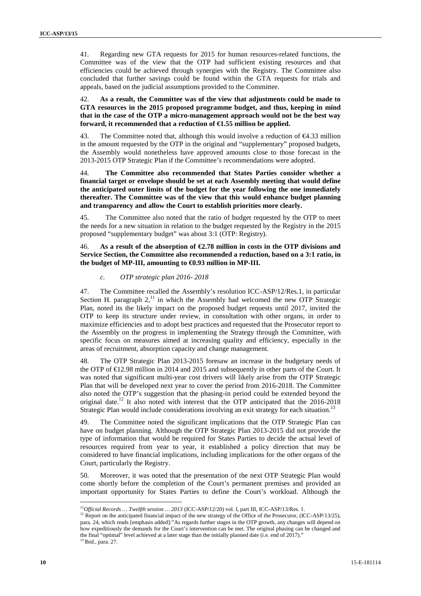41. Regarding new GTA requests for 2015 for human resources-related functions, the Committee was of the view that the OTP had sufficient existing resources and that efficiencies could be achieved through synergies with the Registry. The Committee also concluded that further savings could be found within the GTA requests for trials and appeals, based on the judicial assumptions provided to the Committee.

42. **As a result, the Committee was of the view that adjustments could be made to GTA resources in the 2015 proposed programme budget, and thus, keeping in mind that in the case of the OTP a micro-management approach would not be the best way forward, it recommended that a reduction of €1.55 million be applied.**

43. The Committee noted that, although this would involve a reduction of  $\epsilon$ 4.33 million in the amount requested by the OTP in the original and "supplementary" proposed budgets, the Assembly would nonetheless have approved amounts close to those forecast in the 2013-2015 OTP Strategic Plan if the Committee's recommendations were adopted.

44. **The Committee also recommended that States Parties consider whether a financial target or envelope should be set at each Assembly meeting that would define the anticipated outer limits of the budget for the year following the one immediately thereafter. The Committee was of the view that this would enhance budget planning and transparency and allow the Court to establish priorities more clearly.**

45. The Committee also noted that the ratio of budget requested by the OTP to meet the needs for a new situation in relation to the budget requested by the Registry in the 2015 proposed "supplementary budget" was about 3:1 (OTP: Registry).

46. **As a result of the absorption of €2.78 million in costs in the OTP divisions and Service Section, the Committee also recommended a reduction, based on a 3:1 ratio, in the budget of MP-III, amounting to €0.93 million in MP-III.**

### *c. OTP strategic plan 2016- 2018*

47. The Committee recalled the Assembly's resolution ICC-ASP/12/Res.1, in particular Section H. paragraph  $2<sup>11</sup>$  in which the Assembly had welcomed the new OTP Strategic Plan, noted its the likely impact on the proposed budget requests until 2017, invited the OTP to keep its structure under review, in consultation with other organs, in order to maximize efficiencies and to adopt best practices and requested that the Prosecutor report to the Assembly on the progress in implementing the Strategy through the Committee, with specific focus on measures aimed at increasing quality and efficiency, especially in the areas of recruitment, absorption capacity and change management.

48. The OTP Strategic Plan 2013-2015 foresaw an increase in the budgetary needs of the OTP of €12.98 million in 2014 and 2015 and subsequently in other parts of the Court. It was noted that significant multi-year cost drivers will likely arise from the OTP Strategic Plan that will be developed next year to cover the period from 2016-2018. The Committee also noted the OTP's suggestion that the phasing-in period could be extended beyond the original date.<sup>12</sup> It also noted with interest that the OTP anticipated that the 2016-2018 Strategic Plan would include considerations involving an exit strategy for each situation.<sup>13</sup>

49. The Committee noted the significant implications that the OTP Strategic Plan can have on budget planning. Although the OTP Strategic Plan 2013-2015 did not provide the type of information that would be required for States Parties to decide the actual level of resources required from year to year, it established a policy direction that may be considered to have financial implications, including implications for the other organs of the Court, particularly the Registry.

50. Moreover, it was noted that the presentation of the next OTP Strategic Plan would come shortly before the completion of the Court's permanent premises and provided an important opportunity for States Parties to define the Court's workload. Although the

<sup>&</sup>lt;sup>11</sup>*Official Records … Twelfth session … 2013* (ICC-ASP/12/20) vol. I, part III, ICC-ASP/13/Res. 1. <sup>12</sup> Report on the anticipated financial impact of the new strategy of the Office of the Prosecutor, (ICC-ASP/13/25), para. 24, which reads [emphasis added]:"As regards further stages in the OTP growth, any changes will depend on how expeditiously the demands for the Court's intervention can be met. The original phasing can be changed and the final "optimal" level achieved at a later stage than the initially planned date (i.e. end of 2017).' <sup>13</sup> Ibid., para. 27.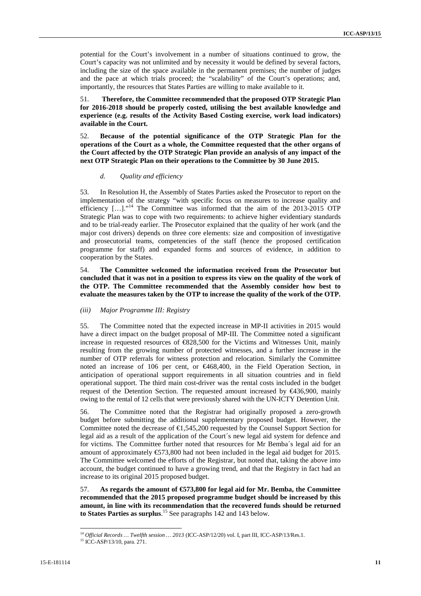potential for the Court's involvement in a number of situations continued to grow, the Court's capacity was not unlimited and by necessity it would be defined by several factors, including the size of the space available in the permanent premises; the number of judges and the pace at which trials proceed; the "scalability" of the Court's operations; and, importantly, the resources that States Parties are willing to make available to it.

51. **Therefore, the Committee recommended that the proposed OTP Strategic Plan for 2016-2018 should be properly costed, utilising the best available knowledge and experience (e.g. results of the Activity Based Costing exercise, work load indicators) available in the Court.**

52. **Because of the potential significance of the OTP Strategic Plan for the operations of the Court as a whole, the Committee requested that the other organs of the Court affected by the OTP Strategic Plan provide an analysis of any impact of the next OTP Strategic Plan on their operations to the Committee by 30 June 2015.**

### *d. Quality and efficiency*

53. In Resolution H, the Assembly of States Parties asked the Prosecutor to report on the implementation of the strategy "with specific focus on measures to increase quality and efficiency  $[\dots]$ ."<sup>14</sup> The Committee was informed that the aim of the 2013-2015 OTP Strategic Plan was to cope with two requirements: to achieve higher evidentiary standards and to be trial-ready earlier. The Prosecutor explained that the quality of her work (and the major cost drivers) depends on three core elements: size and composition of investigative and prosecutorial teams, competencies of the staff (hence the proposed certification programme for staff) and expanded forms and sources of evidence, in addition to cooperation by the States.

54. **The Committee welcomed the information received from the Prosecutor but concluded that it was not in a position to express its view on the quality of the work of the OTP. The Committee recommended that the Assembly consider how best to evaluate the measures taken by the OTP to increase the quality of the work of the OTP.**

### *(iii) Major Programme III: Registry*

55. The Committee noted that the expected increase in MP-II activities in 2015 would have a direct impact on the budget proposal of MP-III. The Committee noted a significant increase in requested resources of €828,500 for the Victims and Witnesses Unit, mainly resulting from the growing number of protected witnesses, and a further increase in the number of OTP referrals for witness protection and relocation. Similarly the Committee noted an increase of 106 per cent, or €468,400, in the Field Operation Section, in anticipation of operational support requirements in all situation countries and in field operational support. The third main cost-driver was the rental costs included in the budget request of the Detention Section. The requested amount increased by  $\bigoplus$  436,900, mainly owing to the rental of 12 cells that were previously shared with the UN-ICTY Detention Unit.

56. The Committee noted that the Registrar had originally proposed a zero-growth budget before submitting the additional supplementary proposed budget. However, the Committee noted the decrease of  $\bigoplus$ , 545,200 requested by the Counsel Support Section for legal aid as a result of the application of the Court´s new legal aid system for defence and for victims. The Committee further noted that resources for Mr Bemba´s legal aid for an amount of approximately  $\text{\textsterling}73,800$  had not been included in the legal aid budget for 2015. The Committee welcomed the efforts of the Registrar, but noted that, taking the above into account, the budget continued to have a growing trend, and that the Registry in fact had an increase to its original 2015 proposed budget.

57. **As regards the amount of €573,800 for legal aid for Mr. Bemba, the Committee recommended that the 2015 proposed programme budget should be increased by this amount, in line with its recommendation that the recovered funds should be returned to States Parties as surplus**.<sup>15</sup> See paragraphs 142 and 143 below.

<sup>14</sup> *Official Records … Twelfth session … 2013* (ICC-ASP/12/20) vol. I, part III, ICC-ASP/13/Res.1. <sup>15</sup> ICC-ASP/13/10, para. 271.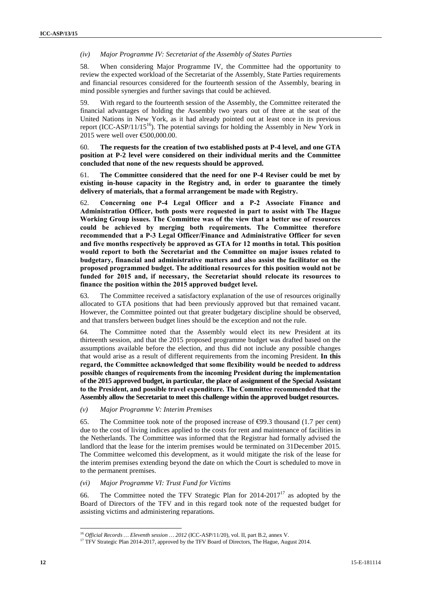### *(iv) Major Programme IV: Secretariat of the Assembly of States Parties*

58. When considering Major Programme IV, the Committee had the opportunity to review the expected workload of the Secretariat of the Assembly, State Parties requirements and financial resources considered for the fourteenth session of the Assembly, bearing in mind possible synergies and further savings that could be achieved.

59. With regard to the fourteenth session of the Assembly, the Committee reiterated the financial advantages of holding the Assembly two years out of three at the seat of the United Nations in New York, as it had already pointed out at least once in its previous report (ICC-ASP/11/15<sup>16</sup>). The potential savings for holding the Assembly in New York in 2015 were well over €500,000.00.

60. **The requests for the creation of two established posts at P-4 level, and one GTA position at P-2 level were considered on their individual merits and the Committee concluded that none of the new requests should be approved.**

61. **The Committee considered that the need for one P-4 Reviser could be met by existing in-house capacity in the Registry and, in order to guarantee the timely delivery of materials, that a formal arrangement be made with Registry.**

62. **Concerning one P-4 Legal Officer and a P-2 Associate Finance and Administration Officer, both posts were requested in part to assist with The Hague Working Group issues. The Committee was of the view that a better use of resources could be achieved by merging both requirements. The Committee therefore recommended that a P-3 Legal Officer/Finance and Administrative Officer for seven and five months respectively be approved as GTA for 12 months in total. This position would report to both the Secretariat and the Committee on major issues related to budgetary, financial and administrative matters and also assist the facilitator on the proposed programmed budget. The additional resources for this position would not be funded for 2015 and, if necessary, the Secretariat should relocate its resources to finance the position within the 2015 approved budget level.**

63. The Committee received a satisfactory explanation of the use of resources originally allocated to GTA positions that had been previously approved but that remained vacant. However, the Committee pointed out that greater budgetary discipline should be observed, and that transfers between budget lines should be the exception and not the rule.

64. The Committee noted that the Assembly would elect its new President at its thirteenth session, and that the 2015 proposed programme budget was drafted based on the assumptions available before the election, and thus did not include any possible changes that would arise as a result of different requirements from the incoming President. **In this regard, the Committee acknowledged that some flexibility would be needed to address possible changes of requirements from the incoming President during the implementation of the 2015 approved budget, in particular, the place of assignment of the Special Assistant to the President, and possible travel expenditure. The Committee recommended that the Assembly allow the Secretariat to meet this challenge within the approved budget resources.**

*(v) Major Programme V: Interim Premises*

65. The Committee took note of the proposed increase of  $\Theta$ 9.3 thousand (1.7 per cent) due to the cost of living indices applied to the costs for rent and maintenance of facilities in the Netherlands. The Committee was informed that the Registrar had formally advised the landlord that the lease for the interim premises would be terminated on 31December 2015. The Committee welcomed this development, as it would mitigate the risk of the lease for the interim premises extending beyond the date on which the Court is scheduled to move in to the permanent premises.

### *(vi) Major Programme VI: Trust Fund for Victims*

66. The Committee noted the TFV Strategic Plan for  $2014-2017$ <sup>17</sup> as adopted by the Board of Directors of the TFV and in this regard took note of the requested budget for assisting victims and administering reparations.

<sup>&</sup>lt;sup>16</sup> *Official Records … Eleventh session … 2012* (ICC-ASP/11/20), vol. II, part B.2, annex V.<br><sup>17</sup> TFV Strategic Plan 2014-2017, approved by the TFV Board of Directors, The Hague, August 2014.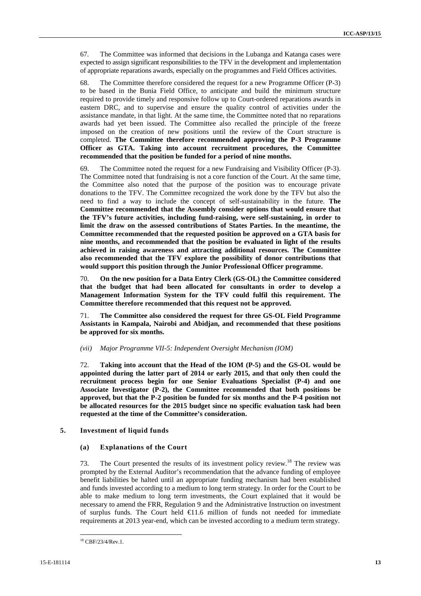67. The Committee was informed that decisions in the Lubanga and Katanga cases were expected to assign significant responsibilities to the TFV in the development and implementation of appropriate reparations awards, especially on the programmes and Field Offices activities.

68. The Committee therefore considered the request for a new Programme Officer (P-3) to be based in the Bunia Field Office, to anticipate and build the minimum structure required to provide timely and responsive follow up to Court-ordered reparations awards in eastern DRC, and to supervise and ensure the quality control of activities under the assistance mandate, in that light. At the same time, the Committee noted that no reparations awards had yet been issued. The Committee also recalled the principle of the freeze imposed on the creation of new positions until the review of the Court structure is completed. **The Committee therefore recommended approving the P-3 Programme Officer as GTA. Taking into account recruitment procedures, the Committee recommended that the position be funded for a period of nine months.**

69. The Committee noted the request for a new Fundraising and Visibility Officer (P-3). The Committee noted that fundraising is not a core function of the Court. At the same time, the Committee also noted that the purpose of the position was to encourage private donations to the TFV. The Committee recognized the work done by the TFV but also the need to find a way to include the concept of self-sustainability in the future. **The Committee recommended that the Assembly consider options that would ensure that the TFV's future activities, including fund-raising, were self-sustaining, in order to limit the draw on the assessed contributions of States Parties. In the meantime, the Committee recommended that the requested position be approved on a GTA basis for nine months, and recommended that the position be evaluated in light of the results achieved in raising awareness and attracting additional resources. The Committee also recommended that the TFV explore the possibility of donor contributions that would support this position through the Junior Professional Officer programme.**

70. **On the new position for a Data Entry Clerk (GS-OL) the Committee considered that the budget that had been allocated for consultants in order to develop a Management Information System for the TFV could fulfil this requirement. The Committee therefore recommended that this request not be approved.**

71. **The Committee also considered the request for three GS-OL Field Programme Assistants in Kampala, Nairobi and Abidjan, and recommended that these positions be approved for six months.**

#### *(vii) Major Programme VII-5: Independent Oversight Mechanism (IOM)*

72. **Taking into account that the Head of the IOM (P-5) and the GS-OL would be appointed during the latter part of 2014 or early 2015, and that only then could the recruitment process begin for one Senior Evaluations Specialist (P-4) and one Associate Investigator (P-2), the Committee recommended that both positions be approved, but that the P-2 position be funded for six months and the P-4 position not be allocated resources for the 2015 budget since no specific evaluation task had been requested at the time of the Committee's consideration.**

### **5. Investment of liquid funds**

### **(a) Explanations of the Court**

73. The Court presented the results of its investment policy review.<sup>18</sup> The review was prompted by the External Auditor's recommendation that the advance funding of employee benefit liabilities be halted until an appropriate funding mechanism had been established and funds invested according to a medium to long term strategy. In order for the Court to be able to make medium to long term investments, the Court explained that it would be necessary to amend the FRR, Regulation 9 and the Administrative Instruction on investment of surplus funds. The Court held €11.6 million of funds not needed for immediate requirements at 2013 year-end, which can be invested according to a medium term strategy.

<sup>18</sup> CBF/23/4/Rev.1.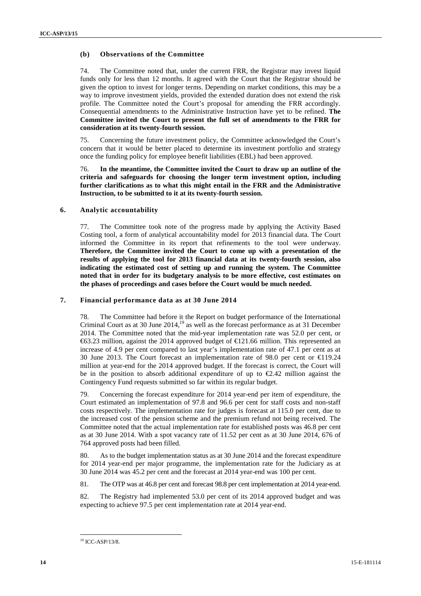### **(b) Observations of the Committee**

74. The Committee noted that, under the current FRR, the Registrar may invest liquid funds only for less than 12 months. It agreed with the Court that the Registrar should be given the option to invest for longer terms. Depending on market conditions, this may be a way to improve investment yields, provided the extended duration does not extend the risk profile. The Committee noted the Court's proposal for amending the FRR accordingly. Consequential amendments to the Administrative Instruction have yet to be refined. **The Committee invited the Court to present the full set of amendments to the FRR for consideration at its twenty-fourth session.**

75. Concerning the future investment policy, the Committee acknowledged the Court's concern that it would be better placed to determine its investment portfolio and strategy once the funding policy for employee benefit liabilities (EBL) had been approved.

76. **In the meantime, the Committee invited the Court to draw up an outline of the criteria and safeguards for choosing the longer term investment option, including further clarifications as to what this might entail in the FRR and the Administrative Instruction, to be submitted to it at its twenty-fourth session.**

### **6. Analytic accountability**

77. The Committee took note of the progress made by applying the Activity Based Costing tool, a form of analytical accountability model for 2013 financial data. The Court informed the Committee in its report that refinements to the tool were underway. **Therefore, the Committee invited the Court to come up with a presentation of the results of applying the tool for 2013 financial data at its twenty-fourth session, also indicating the estimated cost of setting up and running the system. The Committee noted that in order for its budgetary analysis to be more effective, cost estimates on the phases of proceedings and cases before the Court would be much needed.**

### **7. Financial performance data as at 30 June 2014**

78. The Committee had before it the Report on budget performance of the International Criminal Court as at 30 June  $2014$ ,<sup>19</sup> as well as the forecast performance as at 31 December 2014. The Committee noted that the mid-year implementation rate was 52.0 per cent, or  $\text{\textsterling}3.23$  million, against the 2014 approved budget of  $\text{\textsterling}21.66$  million. This represented an increase of 4.9 per cent compared to last year's implementation rate of 47.1 per cent as at 30 June 2013. The Court forecast an implementation rate of 98.0 per cent or  $\text{\textsterling}19.24$ million at year-end for the 2014 approved budget. If the forecast is correct, the Court will be in the position to absorb additional expenditure of up to  $\epsilon 2.42$  million against the Contingency Fund requests submitted so far within its regular budget.

79. Concerning the forecast expenditure for 2014 year-end per item of expenditure, the Court estimated an implementation of 97.8 and 96.6 per cent for staff costs and non-staff costs respectively. The implementation rate for judges is forecast at 115.0 per cent, due to the increased cost of the pension scheme and the premium refund not being received. The Committee noted that the actual implementation rate for established posts was 46.8 per cent as at 30 June 2014. With a spot vacancy rate of 11.52 per cent as at 30 June 2014, 676 of 764 approved posts had been filled.

80. As to the budget implementation status as at 30 June 2014 and the forecast expenditure for 2014 year-end per major programme, the implementation rate for the Judiciary as at 30 June 2014 was 45.2 per cent and the forecast at 2014 year-end was 100 per cent.

81. The OTP was at 46.8 per cent and forecast 98.8 per cent implementation at 2014 year-end.

82. The Registry had implemented 53.0 per cent of its 2014 approved budget and was expecting to achieve 97.5 per cent implementation rate at 2014 year-end.

<sup>&</sup>lt;sup>19</sup> ICC-ASP/13/8.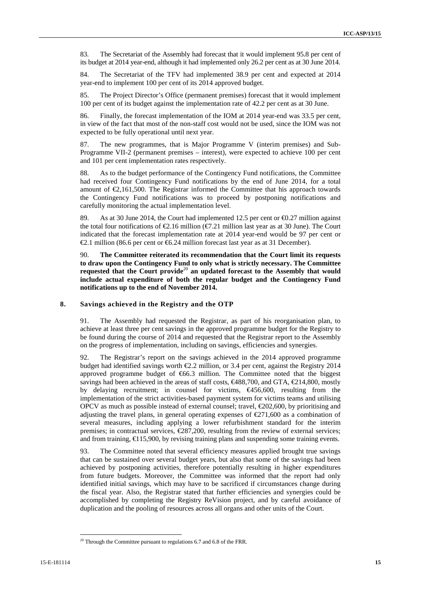83. The Secretariat of the Assembly had forecast that it would implement 95.8 per cent of its budget at 2014 year-end, although it had implemented only 26.2 per cent as at 30 June 2014.

84. The Secretariat of the TFV had implemented 38.9 per cent and expected at 2014 year-end to implement 100 per cent of its 2014 approved budget.

85. The Project Director's Office (permanent premises) forecast that it would implement 100 per cent of its budget against the implementation rate of 42.2 per cent as at 30 June.

86. Finally, the forecast implementation of the IOM at 2014 year-end was 33.5 per cent, in view of the fact that most of the non-staff cost would not be used, since the IOM was not expected to be fully operational until next year.

87. The new programmes, that is Major Programme V (interim premises) and Sub- Programme VII-2 (permanent premises – interest), were expected to achieve 100 per cent and 101 per cent implementation rates respectively.

88. As to the budget performance of the Contingency Fund notifications, the Committee had received four Contingency Fund notifications by the end of June 2014, for a total amount of  $\epsilon$ ,161,500. The Registrar informed the Committee that his approach towards the Contingency Fund notifications was to proceed by postponing notifications and carefully monitoring the actual implementation level.

89. As at 30 June 2014, the Court had implemented 12.5 per cent or  $\epsilon$ 0.27 million against the total four notifications of  $\epsilon 2.16$  million ( $\epsilon 7.21$  million last year as at 30 June). The Court indicated that the forecast implementation rate at 2014 year-end would be 97 per cent or €2.1 million (86.6 per cent or €6.24 million forecast last year as at 31 December).

90. **The Committee reiterated its recommendation that the Court limit its requests to draw upon the Contingency Fund to only what is strictly necessary. The Committee requested that the Court provide**<sup>20</sup> **an updated forecast to the Assembly that would include actual expenditure of both the regular budget and the Contingency Fund notifications up to the end of November 2014.**

#### **8. Savings achieved in the Registry and the OTP**

91. The Assembly had requested the Registrar, as part of his reorganisation plan, to achieve at least three per cent savings in the approved programme budget for the Registry to be found during the course of 2014 and requested that the Registrar report to the Assembly on the progress of implementation, including on savings, efficiencies and synergies.

92. The Registrar's report on the savings achieved in the 2014 approved programme budget had identified savings worth  $\epsilon 2.2$  million, or 3.4 per cent, against the Registry 2014 approved programme budget of  $666.3$  million. The Committee noted that the biggest savings had been achieved in the areas of staff costs,  $\epsilon$ 488,700, and GTA,  $\epsilon$ 214,800, mostly by delaying recruitment; in counsel for victims, €456,600, resulting from the implementation of the strict activities-based payment system for victims teams and utilising OPCV as much as possible instead of external counsel; travel,  $\epsilon$ 202,600, by prioritising and adjusting the travel plans, in general operating expenses of  $\epsilon$ 271,600 as a combination of several measures, including applying a lower refurbishment standard for the interim premises; in contractual services,  $\epsilon$ 287,200, resulting from the review of external services; and from training,  $\bigoplus$  15,900, by revising training plans and suspending some training events.

93. The Committee noted that several efficiency measures applied brought true savings that can be sustained over several budget years, but also that some of the savings had been achieved by postponing activities, therefore potentially resulting in higher expenditures from future budgets. Moreover, the Committee was informed that the report had only identified initial savings, which may have to be sacrificed if circumstances change during the fiscal year. Also, the Registrar stated that further efficiencies and synergies could be accomplished by completing the Registry ReVision project, and by careful avoidance of duplication and the pooling of resources across all organs and other units of the Court.

 $20$  Through the Committee pursuant to regulations 6.7 and 6.8 of the FRR.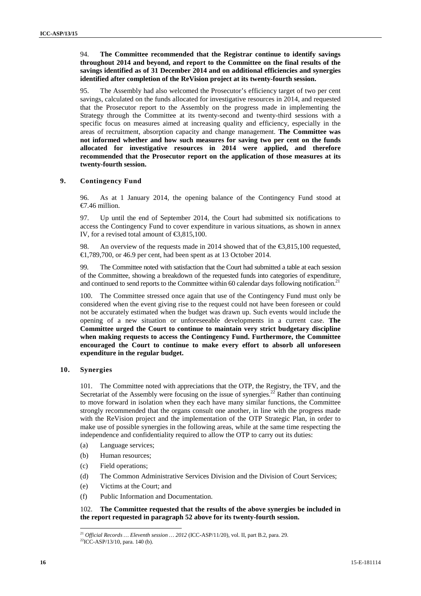### 94. **The Committee recommended that the Registrar continue to identify savings throughout 2014 and beyond, and report to the Committee on the final results of the savings identified as of 31 December 2014 and on additional efficiencies and synergies identified after completion of the ReVision project at its twenty-fourth session.**

95. The Assembly had also welcomed the Prosecutor's efficiency target of two per cent savings, calculated on the funds allocated for investigative resources in 2014, and requested that the Prosecutor report to the Assembly on the progress made in implementing the Strategy through the Committee at its twenty-second and twenty-third sessions with a specific focus on measures aimed at increasing quality and efficiency, especially in the areas of recruitment, absorption capacity and change management. **The Committee was not informed whether and how such measures for saving two per cent on the funds allocated for investigative resources in 2014 were applied, and therefore recommended that the Prosecutor report on the application of those measures at its twenty-fourth session.**

### **9. Contingency Fund**

96. As at 1 January 2014, the opening balance of the Contingency Fund stood at €7.46 million.

97. Up until the end of September 2014, the Court had submitted six notifications to access the Contingency Fund to cover expenditure in various situations, as shown in annex IV, for a revised total amount of €3,815,100.

98. An overview of the requests made in 2014 showed that of the €3,815,100 requested, €1,789,700, or 46.9 per cent, had been spent as at 13 October 2014.

99. The Committee noted with satisfaction that the Court had submitted a table at each session of the Committee, showing a breakdown of the requested funds into categories of expenditure, and continued to send reports to the Committee within 60 calendar days following notification.<sup>21</sup>

100. The Committee stressed once again that use of the Contingency Fund must only be considered when the event giving rise to the request could not have been foreseen or could not be accurately estimated when the budget was drawn up. Such events would include the opening of a new situation or unforeseeable developments in a current case. **The Committee urged the Court to continue to maintain very strict budgetary discipline when making requests to access the Contingency Fund. Furthermore, the Committee encouraged the Court to continue to make every effort to absorb all unforeseen expenditure in the regular budget.**

### **10. Synergies**

101. The Committee noted with appreciations that the OTP, the Registry, the TFV, and the Secretariat of the Assembly were focusing on the issue of synergies.<sup>22</sup> Rather than continuing to move forward in isolation when they each have many similar functions, the Committee strongly recommended that the organs consult one another, in line with the progress made with the ReVision project and the implementation of the OTP Strategic Plan, in order to make use of possible synergies in the following areas, while at the same time respecting the independence and confidentiality required to allow the OTP to carry out its duties:

- (a) Language services;
- (b) Human resources;
- (c) Field operations;
- (d) The Common Administrative Services Division and the Division of Court Services;
- (e) Victims at the Court; and
- (f) Public Information and Documentation.

### 102. **The Committee requested that the results of the above synergies be included in the report requested in paragraph 52 above for its twenty-fourth session.**

<sup>&</sup>lt;sup>21</sup> *Official Records ... Eleventh session ...* 2012 (ICC-ASP/11/20), vol. II, part B.2, para. 29. <sup>22</sup>ICC-ASP/13/10, para. 140 (b).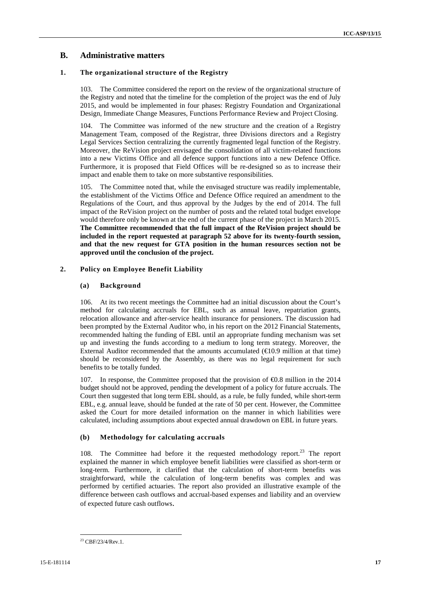## **B. Administrative matters**

### **1. The organizational structure of the Registry**

103. The Committee considered the report on the review of the organizational structure of the Registry and noted that the timeline for the completion of the project was the end of July 2015, and would be implemented in four phases: Registry Foundation and Organizational Design, Immediate Change Measures, Functions Performance Review and Project Closing.

The Committee was informed of the new structure and the creation of a Registry Management Team, composed of the Registrar, three Divisions directors and a Registry Legal Services Section centralizing the currently fragmented legal function of the Registry. Moreover, the ReVision project envisaged the consolidation of all victim-related functions into a new Victims Office and all defence support functions into a new Defence Office. Furthermore, it is proposed that Field Offices will be re-designed so as to increase their impact and enable them to take on more substantive responsibilities.

105. The Committee noted that, while the envisaged structure was readily implementable, the establishment of the Victims Office and Defence Office required an amendment to the Regulations of the Court, and thus approval by the Judges by the end of 2014. The full impact of the ReVision project on the number of posts and the related total budget envelope would therefore only be known at the end of the current phase of the project in March 2015. **The Committee recommended that the full impact of the ReVision project should be included in the report requested at paragraph 52 above for its twenty-fourth session, and that the new request for GTA position in the human resources section not be approved until the conclusion of the project.**

### **2. Policy on Employee Benefit Liability**

### **(a) Background**

106. At its two recent meetings the Committee had an initial discussion about the Court's method for calculating accruals for EBL, such as annual leave, repatriation grants, relocation allowance and after-service health insurance for pensioners. The discussion had been prompted by the External Auditor who, in his report on the 2012 Financial Statements, recommended halting the funding of EBL until an appropriate funding mechanism was set up and investing the funds according to a medium to long term strategy. Moreover, the External Auditor recommended that the amounts accumulated  $(\text{\e}0.9$  million at that time) should be reconsidered by the Assembly, as there was no legal requirement for such benefits to be totally funded.

107. In response, the Committee proposed that the provision of €0.8 million in the 2014 budget should not be approved, pending the development of a policy for future accruals. The Court then suggested that long term EBL should, as a rule, be fully funded, while short-term EBL, e.g. annual leave, should be funded at the rate of 50 per cent. However, the Committee asked the Court for more detailed information on the manner in which liabilities were calculated, including assumptions about expected annual drawdown on EBL in future years.

### **(b) Methodology for calculating accruals**

108. The Committee had before it the requested methodology report.<sup>23</sup> The report explained the manner in which employee benefit liabilities were classified as short-term or long-term. Furthermore, it clarified that the calculation of short-term benefits was straightforward, while the calculation of long-term benefits was complex and was performed by certified actuaries. The report also provided an illustrative example of the difference between cash outflows and accrual-based expenses and liability and an overview of expected future cash outflows.

<sup>23</sup> CBF/23/4/Rev.1.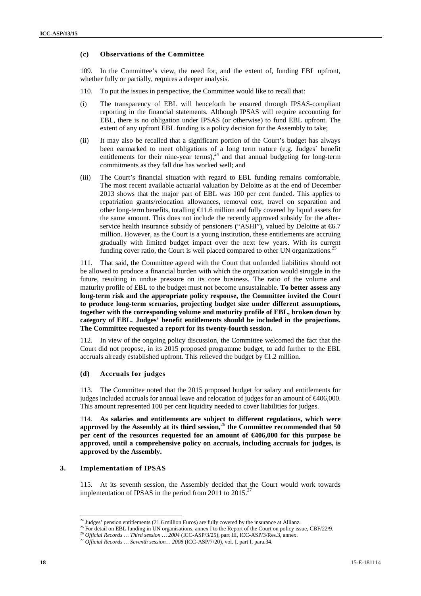### **(c) Observations of the Committee**

109. In the Committee's view, the need for, and the extent of, funding EBL upfront, whether fully or partially, requires a deeper analysis.

- 110. To put the issues in perspective, the Committee would like to recall that:
- (i) The transparency of EBL will henceforth be ensured through IPSAS-compliant reporting in the financial statements. Although IPSAS will require accounting for EBL, there is no obligation under IPSAS (or otherwise) to fund EBL upfront. The extent of any upfront EBL funding is a policy decision for the Assembly to take;
- (ii) It may also be recalled that a significant portion of the Court's budget has always been earmarked to meet obligations of a long term nature (e.g. Judges` benefit entitlements for their nine-year terms),  $24$  and that annual budgeting for long-term commitments as they fall due has worked well; and
- (iii) The Court's financial situation with regard to EBL funding remains comfortable. The most recent available actuarial valuation by Deloitte as at the end of December 2013 shows that the major part of EBL was 100 per cent funded. This applies to repatriation grants/relocation allowances, removal cost, travel on separation and other long-term benefits, totalling  $\bigoplus$  1.6 million and fully covered by liquid assets for the same amount. This does not include the recently approved subsidy for the after service health insurance subsidy of pensioners ("ASHI"), valued by Deloitte at  $66.7$ million. However, as the Court is a young institution, these entitlements are accruing gradually with limited budget impact over the next few years. With its current funding cover ratio, the Court is well placed compared to other UN organizations.<sup>25</sup>

111. That said, the Committee agreed with the Court that unfunded liabilities should not be allowed to produce a financial burden with which the organization would struggle in the future, resulting in undue pressure on its core business. The ratio of the volume and maturity profile of EBL to the budget must not become unsustainable. **To better assess any long-term risk and the appropriate policy response, the Committee invited the Court to produce long-term scenarios, projecting budget size under different assumptions, together with the corresponding volume and maturity profile of EBL, broken down by category of EBL. Judges' benefit entitlements should be included in the projections. The Committee requested a report for its twenty-fourth session.**

112. In view of the ongoing policy discussion, the Committee welcomed the fact that the Court did not propose, in its 2015 proposed programme budget, to add further to the EBL accruals already established upfront. This relieved the budget by  $\bigoplus$ .2 million.

### **(d) Accruals for judges**

113. The Committee noted that the 2015 proposed budget for salary and entitlements for judges included accruals for annual leave and relocation of judges for an amount of €406,000. This amount represented 100 per cent liquidity needed to cover liabilities for judges.

114. **As salaries and entitlements are subject to different regulations, which were** approved by the Assembly at its third session,<sup>26</sup> the Committee recommended that  $50$ **per cent of the resources requested for an amount of €406,000 for this purpose be approved, until a comprehensive policy on accruals, including accruals for judges, is approved by the Assembly.**

### **3. Implementation of IPSAS**

115. At its seventh session, the Assembly decided that the Court would work towards implementation of IPSAS in the period from 2011 to  $2015.^{27}$ 

<sup>&</sup>lt;sup>24</sup> Judges' pension entitlements (21.6 million Euros) are fully covered by the insurance at Allianz.<br><sup>25</sup> For detail on EBL funding in UN organisations, annex I to the Report of the Court on policy issue, CBF/22/9.<br><sup>26</sup>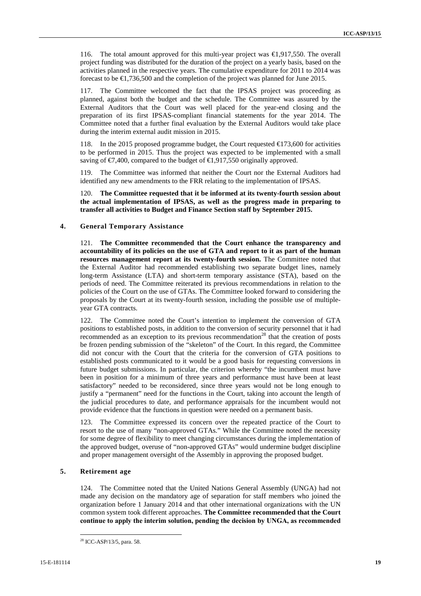116. The total amount approved for this multi-year project was €1,917,550. The overall project funding was distributed for the duration of the project on a yearly basis, based on the activities planned in the respective years. The cumulative expenditure for 2011 to 2014 was forecast to be €1,736,500 and the completion of the project was planned for June 2015.

117. The Committee welcomed the fact that the IPSAS project was proceeding as planned, against both the budget and the schedule. The Committee was assured by the External Auditors that the Court was well placed for the year-end closing and the preparation of its first IPSAS-compliant financial statements for the year 2014. The Committee noted that a further final evaluation by the External Auditors would take place during the interim external audit mission in 2015.

118. In the 2015 proposed programme budget, the Court requested  $\bigoplus$  73,600 for activities to be performed in 2015. Thus the project was expected to be implemented with a small saving of  $\epsilon$ 7,400, compared to the budget of  $\epsilon$ 1,917,550 originally approved.

119. The Committee was informed that neither the Court nor the External Auditors had identified any new amendments to the FRR relating to the implementation of IPSAS.

120. **The Committee requested that it be informed at its twenty-fourth session about the actual implementation of IPSAS, as well as the progress made in preparing to transfer all activities to Budget and Finance Section staff by September 2015.**

### **4. General Temporary Assistance**

121. **The Committee recommended that the Court enhance the transparency and accountability of its policies on the use of GTA and report to it as part of the human resources management report at its twenty-fourth session.** The Committee noted that the External Auditor had recommended establishing two separate budget lines, namely long-term Assistance (LTA) and short-term temporary assistance (STA), based on the periods of need. The Committee reiterated its previous recommendations in relation to the policies of the Court on the use of GTAs. The Committee looked forward to considering the proposals by the Court at its twenty-fourth session, including the possible use of multiple year GTA contracts.

122. The Committee noted the Court's intention to implement the conversion of GTA positions to established posts, in addition to the conversion of security personnel that it had recommended as an exception to its previous recommendation<sup>28</sup> that the creation of posts be frozen pending submission of the "skeleton" of the Court. In this regard, the Committee did not concur with the Court that the criteria for the conversion of GTA positions to established posts communicated to it would be a good basis for requesting conversions in future budget submissions. In particular, the criterion whereby "the incumbent must have been in position for a minimum of three years and performance must have been at least satisfactory" needed to be reconsidered, since three years would not be long enough to justify a "permanent" need for the functions in the Court, taking into account the length of the judicial procedures to date, and performance appraisals for the incumbent would not provide evidence that the functions in question were needed on a permanent basis.

123. The Committee expressed its concern over the repeated practice of the Court to resort to the use of many "non-approved GTAs." While the Committee noted the necessity for some degree of flexibility to meet changing circumstances during the implementation of the approved budget, overuse of "non-approved GTAs" would undermine budget discipline and proper management oversight of the Assembly in approving the proposed budget.

### **5. Retirement age**

124. The Committee noted that the United Nations General Assembly (UNGA) had not made any decision on the mandatory age of separation for staff members who joined the organization before 1 January 2014 and that other international organizations with the UN common system took different approaches. **The Committee recommended that the Court continue to apply the interim solution, pending the decision by UNGA, as recommended**

<sup>28</sup> ICC-ASP/13/5, para. 58.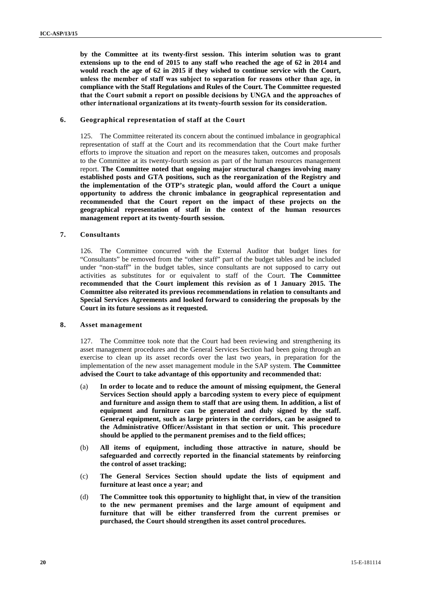**by the Committee at its twenty-first session. This interim solution was to grant extensions up to the end of 2015 to any staff who reached the age of 62 in 2014 and would reach the age of 62 in 2015 if they wished to continue service with the Court, unless the member of staff was subject to separation for reasons other than age, in compliance with the Staff Regulations and Rules of the Court. The Committee requested that the Court submit a report on possible decisions by UNGA and the approaches of other international organizations at its twenty-fourth session for its consideration.**

### **6. Geographical representation of staff at the Court**

125. The Committee reiterated its concern about the continued imbalance in geographical representation of staff at the Court and its recommendation that the Court make further efforts to improve the situation and report on the measures taken, outcomes and proposals to the Committee at its twenty-fourth session as part of the human resources management report. **The Committee noted that ongoing major structural changes involving many established posts and GTA positions, such as the reorganization of the Registry and the implementation of the OTP's strategic plan, would afford the Court a unique opportunity to address the chronic imbalance in geographical representation and recommended that the Court report on the impact of these projects on the geographical representation of staff in the context of the human resources management report at its twenty-fourth session.**

### **7. Consultants**

126. The Committee concurred with the External Auditor that budget lines for "Consultants" be removed from the "other staff" part of the budget tables and be included under "non-staff" in the budget tables, since consultants are not supposed to carry out activities as substitutes for or equivalent to staff of the Court. **The Committee recommended that the Court implement this revision as of 1 January 2015. The Committee also reiterated its previous recommendations in relation to consultants and Special Services Agreements and looked forward to considering the proposals by the Court in its future sessions as it requested.**

### **8. Asset management**

127. The Committee took note that the Court had been reviewing and strengthening its asset management procedures and the General Services Section had been going through an exercise to clean up its asset records over the last two years, in preparation for the implementation of the new asset management module in the SAP system. **The Committee advised the Court to take advantage of this opportunity and recommended that:**

- (a) **In order to locate and to reduce the amount of missing equipment, the General Services Section should apply a barcoding system to every piece of equipment and furniture and assign them to staff that are using them. In addition, a list of equipment and furniture can be generated and duly signed by the staff. General equipment, such as large printers in the corridors, can be assigned to the Administrative Officer/Assistant in that section or unit. This procedure should be applied to the permanent premises and to the field offices;**
- (b) **All items of equipment, including those attractive in nature, should be safeguarded and correctly reported in the financial statements by reinforcing the control of asset tracking;**
- (c) **The General Services Section should update the lists of equipment and furniture at least once a year; and**
- (d) **The Committee took this opportunity to highlight that, in view of the transition to the new permanent premises and the large amount of equipment and furniture that will be either transferred from the current premises or purchased, the Court should strengthen itsasset control procedures.**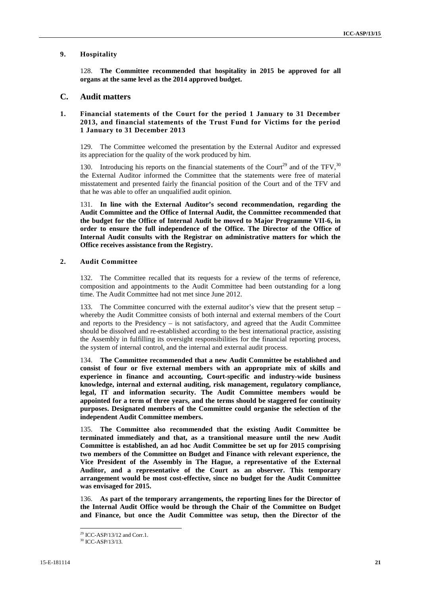### **9. Hospitality**

128. **The Committee recommended that hospitality in 2015 be approved for all organs at the same level as the 2014 approved budget.**

### **C. Audit matters**

### **1. Financial statements of the Court for the period 1 January to 31 December 2013, and financial statements of the Trust Fund for Victims for the period 1 January to 31 December 2013**

129. The Committee welcomed the presentation by the External Auditor and expressed its appreciation for the quality of the work produced by him.

130. Introducing his reports on the financial statements of the Court<sup>29</sup> and of the TFV,  $30$ the External Auditor informed the Committee that the statements were free of material misstatement and presented fairly the financial position of the Court and of the TFV and that he was able to offer an unqualified audit opinion.

131. **In line with the External Auditor's second recommendation, regarding the Audit Committee and the Office of Internal Audit, the Committee recommended that the budget for the Office of Internal Audit be moved to Major Programme VII-6, in order to ensure the full independence of the Office. The Director of the Office of Internal Audit consults with the Registrar on administrative matters for which the Office receives assistance from the Registry.**

### **2. Audit Committee**

132. The Committee recalled that its requests for a review of the terms of reference, composition and appointments to the Audit Committee had been outstanding for a long time. The Audit Committee had not met since June 2012.

133. The Committee concurred with the external auditor's view that the present setup – whereby the Audit Committee consists of both internal and external members of the Court and reports to the Presidency – is not satisfactory, and agreed that the Audit Committee should be dissolved and re-established according to the best international practice, assisting the Assembly in fulfilling its oversight responsibilities for the financial reporting process, the system of internal control, and the internal and external audit process.

134. **The Committee recommended that a new Audit Committee be established and consist of four or five external members with an appropriate mix of skills and experience in finance and accounting, Court-specific and industry-wide business knowledge, internal and external auditing, risk management, regulatory compliance, legal, IT and information security. The Audit Committee members would be appointed for a term of three years, and the terms should be staggered for continuity purposes. Designated members of the Committee could organise the selection of the independent Audit Committee members.**

135. **The Committee also recommended that the existing Audit Committee be terminated immediately and that, as a transitional measure until the new Audit Committee is established, an ad hoc Audit Committee be set up for 2015 comprising two members of the Committee on Budget and Finance with relevant experience, the Vice President of the Assembly in The Hague, a representative of the External Auditor, and a representative of the Court as an observer. This temporary arrangement would be most cost-effective, since no budget for the Audit Committee was envisaged for 2015.**

136. **As part of the temporary arrangements, the reporting lines for the Director of the Internal Audit Office would be through the Chair of the Committee on Budget and Finance, but once the Audit Committee was setup, then the Director of the**

<sup>29</sup> ICC-ASP/13/12 and Corr.1.

 $30$  ICC-ASP/13/13.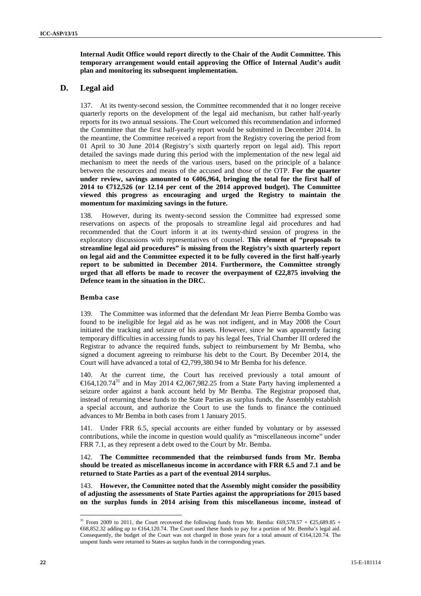**Internal Audit Office would report directly to the Chair of the Audit Committee. This temporary arrangement would entail approving the Office of Internal Audit's audit plan and monitoring its subsequent implementation.**

## **D. Legal aid**

137. At its twenty-second session, the Committee recommended that it no longer receive quarterly reports on the development of the legal aid mechanism, but rather half-yearly reports for its two annual sessions. The Court welcomed this recommendation and informed the Committee that the first half-yearly report would be submitted in December 2014. In the meantime, the Committee received a report from the Registry covering the period from 01 April to 30 June 2014 (Registry's sixth quarterly report on legal aid). This report detailed the savings made during this period with the implementation of the new legal aid mechanism to meet the needs of the various users, based on the principle of a balance between the resources and means of the accused and those of the OTP. **For the quarter under review, savings amounted to €406,964, bringing the total for the first half of 2014 to €712,526 (or 12.14 per cent of the 2014 approved budget). The Committee viewed this progress as encouraging and urged the Registry to maintain the momentum for maximizing savings in the future.**

138. However, during its twenty-second session the Committee had expressed some reservations on aspects of the proposals to streamline legal aid procedures and had recommended that the Court inform it at its twenty-third session of progress in the exploratory discussions with representatives of counsel. **This element of "proposals to streamline legal aid procedures" is missing from the Registry's sixth quarterly report on legal aid and the Committee expected it to be fully covered in the first half-yearly report to be submitted in December 2014. Furthermore, the Committee strongly urged that all efforts be made to recover the overpayment of**  $\epsilon$ **22,875 involving the Defence team in the situation in the DRC.**

### **Bemba case**

139. The Committee was informed that the defendant Mr Jean Pierre Bemba Gombo was found to be ineligible for legal aid as he was not indigent, and in May 2008 the Court initiated the tracking and seizure of his assets. However, since he was apparently facing temporary difficulties in accessing funds to pay his legal fees, Trial Chamber III ordered the Registrar to advance the required funds, subject to reimbursement by Mr Bemba, who signed a document agreeing to reimburse his debt to the Court. By December 2014, the Court will have advanced a total of  $\epsilon$ 2,799,380.94 to Mr Bemba for his defence.

140. At the current time, the Court has received previously a total amount of  $€164,120.74<sup>31</sup>$  and in May 2014  $€2,067,982.25$  from a State Party having implemented a seizure order against a bank account held by Mr Bemba. The Registrar proposed that, instead of returning these funds to the State Parties as surplus funds, the Assembly establish a special account, and authorize the Court to use the funds to finance the continued advances to Mr Bemba in both cases from 1 January 2015.

141. Under FRR 6.5, special accounts are either funded by voluntary or by assessed contributions, while the income in question would qualify as "miscellaneous income" under FRR 7.1, as they represent a debt owed to the Court by Mr. Bemba.

142. **The Committee recommended that the reimbursed funds from Mr. Bemba should be treated as miscellaneous income in accordance with FRR 6.5 and 7.1 and be returned to State Parties as a part of the eventual 2014 surplus.**

143. **However, the Committee noted that the Assembly might consider the possibility of adjusting the assessments of State Parties against the appropriations for 2015 based on the surplus funds in 2014 arising from this miscellaneous income, instead of**

<sup>&</sup>lt;sup>31</sup> From 2009 to 2011, the Court recovered the following funds from Mr. Bemba:  $69,578.57 + 25,689.85 +$ €68,852.32 adding up to €164,120.74. The Court used these funds to pay for a portion of Mr. Bemba's legal aid. Consequently, the budget of the Court was not charged in those years for a total amount of  $\epsilon$ 64,120.74. The unspent funds were returned to States as surplus funds in the corresponding years.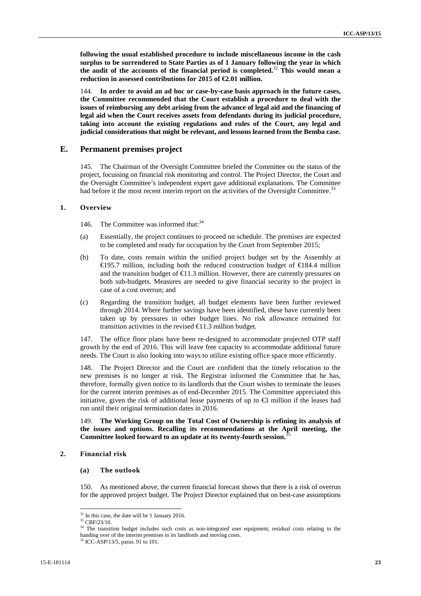**following the usual established procedure to include miscellaneous income in the cash surplus to be surrendered to State Parties as of 1 January following the year in which the audit of the accounts of the financial period is completed.**<sup>32</sup> **This would mean a reduction in assessed contributions for 2015 of €2.01 million.**

144. **In order to avoid an ad hoc or case-by-case basis approach in the future cases, the Committee recommended that the Court establish a procedure to deal with the issues of reimbursing any debt arising from the advance of legal aid and the financing of legal aid when the Court receives assets from defendants during its judicial procedure, taking into account the existing regulations and rules of the Court, any legal and judicial considerations that might be relevant, and lessons learned from the Bemba case.**

### **E. Permanent premises project**

145. The Chairman of the Oversight Committee briefed the Committee on the status of the project, focussing on financial risk monitoring and control. The Project Director, the Court and the Oversight Committee's independent expert gave additional explanations. The Committee had before it the most recent interim report on the activities of the Oversight Committee.<sup>33</sup>

### **1. Overview**

146. The Committee was informed that:<sup>34</sup>

- (a) Essentially, the project continues to proceed on schedule. The premises are expected to be completed and ready for occupation by the Court from September 2015;
- (b) To date, costs remain within the unified project budget set by the Assembly at €195.7 million, including both the reduced construction budget of €184.4 million and the transition budget of  $\in$ 1.3 million. However, there are currently pressures on both sub-budgets. Measures are needed to give financial security to the project in case of a cost overrun; and
- (c) Regarding the transition budget, all budget elements have been further reviewed through 2014. Where further savings have been identified, these have currently been taken up by pressures in other budget lines. No risk allowance remained for transition activities in the revised  $\in$  1.3 million budget.

147. The office floor plans have been re-designed to accommodate projected OTP staff growth by the end of 2016. This will leave free capacity to accommodate additional future needs. The Court is also looking into ways to utilize existing office space more efficiently.

148. The Project Director and the Court are confident that the timely relocation to the new premises is no longer at risk. The Registrar informed the Committee that he has, therefore, formally given notice to its landlords that the Court wishes to terminate the leases for the current interim premises as of end-December 2015. The Committee appreciated this initiative, given the risk of additional lease payments of up to  $\bigoplus$  million if the leases had run until their original termination dates in 2016.

149. **The Working Group on the Total Cost of Ownership is refining its analysis of the issues and options. Recalling its recommendations at the April meeting, the Committee looked forward to an update at its twenty-fourth session.**<sup>35</sup>

### **2. Financial risk**

#### **(a) The outlook**

150. As mentioned above, the current financial forecast shows that there is a risk of overrun for the approved project budget. The Project Director explained that on best-case assumptions

 $32$  In this case, the date will be 1 January 2016.

 $33$  CBF/23/10.

<sup>34</sup> The transition budget includes such costs as non-integrated user equipment, residual costs relating to the handing over of the interim premises to its landlords and moving costs.

<sup>&</sup>lt;sup>35</sup> ICC-ASP/13/5, paras. 91 to 101.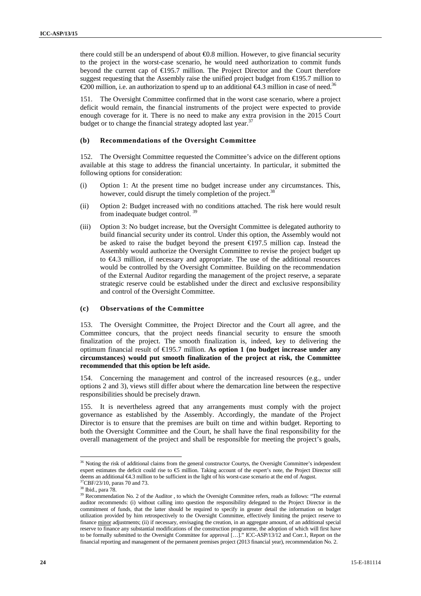there could still be an underspend of about  $\Theta$ .8 million. However, to give financial security to the project in the worst-case scenario, he would need authorization to commit funds beyond the current cap of €195.7 million. The Project Director and the Court therefore suggest requesting that the Assembly raise the unified project budget from  $\text{\textsterling}95.7$  million to €200 million, i.e. an authorization to spend up to an additional €4.3 million in case of need.<sup>36</sup>

151. The Oversight Committee confirmed that in the worst case scenario, where a project deficit would remain, the financial instruments of the project were expected to provide enough coverage for it. There is no need to make any extra provision in the 2015 Court budget or to change the financial strategy adopted last year.<sup>37</sup>

### **(b) Recommendations of the Oversight Committee**

152. The Oversight Committee requested the Committee's advice on the different options available at this stage to address the financial uncertainty. In particular, it submitted the following options for consideration:

- (i) Option 1: At the present time no budget increase under any circumstances. This, however, could disrupt the timely completion of the project.<sup>38</sup>
- (ii) Option 2: Budget increased with no conditions attached. The risk here would result from inadequate budget control. <sup>39</sup>
- (iii) Option 3: No budget increase, but the Oversight Committee is delegated authority to build financial security under its control. Under this option, the Assembly would not be asked to raise the budget beyond the present €197.5 million cap. Instead the Assembly would authorize the Oversight Committee to revise the project budget up to €4.3 million, if necessary and appropriate. The use of the additional resources would be controlled by the Oversight Committee. Building on the recommendation of the External Auditor regarding the management of the project reserve, a separate strategic reserve could be established under the direct and exclusive responsibility and control of the Oversight Committee.

### **(c) Observations of the Committee**

153. The Oversight Committee, the Project Director and the Court all agree, and the Committee concurs, that the project needs financial security to ensure the smooth finalization of the project. The smooth finalization is, indeed, key to delivering the optimum financial result of €195.7 million. **As option 1 (no budget increase under any circumstances) would put smooth finalization of the project at risk, the Committee recommended that this option be left aside.**

154. Concerning the management and control of the increased resources (e.g., under options 2 and 3), views still differ about where the demarcation line between the respective responsibilities should be precisely drawn.

155. It is nevertheless agreed that any arrangements must comply with the project governance as established by the Assembly. Accordingly, the mandate of the Project Director is to ensure that the premises are built on time and within budget. Reporting to both the Oversight Committee and the Court, he shall have the final responsibility for the overall management of the project and shall be responsible for meeting the project's goals,

<sup>&</sup>lt;sup>36</sup> Noting the risk of additional claims from the general constructor Courtys, the Oversight Committee's independent expert estimates the deficit could rise to € million. Taking account of the expert's note, the Project Director still deems an additional  $\epsilon 4.3$  million to be sufficient in the light of his worst-case scenario at the end of August. <sup>37</sup>CBF/23/10, paras 70 and 73.<br><sup>38</sup> Ibid., para 78.

<sup>&</sup>lt;sup>39</sup> Recommendation No. 2 of the Auditor, to which the Oversight Committee refers, reads as follows: "The external auditor recommends: (i) without calling into question the responsibility delegated to the Project Director in the commitment of funds, that the latter should be required to specify in greater detail the information on budget utilization provided by him retrospectively to the Oversight Committee, effectively limiting the project reserve to finance minor adjustments; (ii) if necessary, envisaging the creation, in an aggregate amount, of an additional special reserve to finance any substantial modifications of the construction programme, the adoption of which will first have to be formally submitted to the Oversight Committee for approval […]." ICC-ASP/13/12 and Corr.1, Report on the financial reporting and management of the permanent premises project (2013 financial year), recommendation No. 2.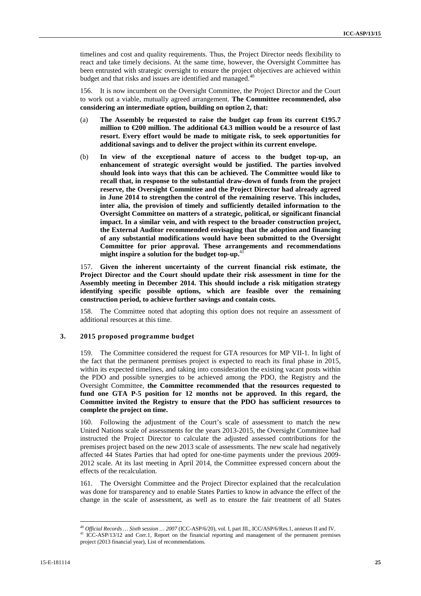timelines and cost and quality requirements. Thus, the Project Director needs flexibility to react and take timely decisions. At the same time, however, the Oversight Committee has been entrusted with strategic oversight to ensure the project objectives are achieved within budget and that risks and issues are identified and managed.<sup>40</sup>

156. It is now incumbent on the Oversight Committee, the Project Director and the Court to work out a viable, mutually agreed arrangement. **The Committee recommended, also considering an intermediate option, building on option 2, that:**

- (a) **The Assembly be requested to raise the budget cap from its current €195.7 million to €200 million. The additional €4.3 million would be a resource of last resort. Every effort would be made to mitigate risk, to seek opportunities for additional savings and to deliver the project within its current envelope.**
- (b) **In view of the exceptional nature of access to the budget top-up, an enhancement of strategic oversight would be justified. The parties involved should look into ways that this can be achieved. The Committee would like to recall that, in response to the substantial draw-down of funds from the project reserve, the Oversight Committee and the Project Director had already agreed in June 2014 to strengthen the control of the remaining reserve. This includes, inter alia, the provision of timely and sufficiently detailed information to the Oversight Committee on matters of a strategic, political, or significant financial impact. In a similar vein, and with respect to the broader construction project, the External Auditor recommended envisaging that the adoption and financing of any substantial modifications would have been submitted to the Oversight Committee for prior approval. These arrangements and recommendations** might inspire a solution for the budget top-up.<sup>4</sup>

157. **Given the inherent uncertainty of the current financial risk estimate, the Project Director and the Court should update their risk assessment in time for the Assembly meeting in December 2014. This should include a risk mitigation strategy identifying specific possible options, which are feasible over the remaining construction period, to achieve further savings and contain costs.**

158. The Committee noted that adopting this option does not require an assessment of additional resources at this time.

### **3. 2015 proposed programme budget**

159. The Committee considered the request for GTA resources for MP VII-1. In light of the fact that the permanent premises project is expected to reach its final phase in 2015, within its expected timelines, and taking into consideration the existing vacant posts within the PDO and possible synergies to be achieved among the PDO, the Registry and the Oversight Committee, **the Committee recommended that the resources requested to fund one GTA P-5 position for 12 months not be approved. In this regard, the Committee invited the Registry to ensure that the PDO has sufficient resources to complete the project on time.**

160. Following the adjustment of the Court's scale of assessment to match the new United Nations scale of assessments for the years 2013-2015, the Oversight Committee had instructed the Project Director to calculate the adjusted assessed contributions for the premises project based on the new 2013 scale of assessments. The new scale had negatively affected 44 States Parties that had opted for one-time payments under the previous 2009- 2012 scale. At its last meeting in April 2014, the Committee expressed concern about the effects of the recalculation.

161. The Oversight Committee and the Project Director explained that the recalculation was done for transparency and to enable States Parties to know in advance the effect of the change in the scale of assessment, as well as to ensure the fair treatment of all States

<sup>&</sup>lt;sup>40</sup> *Official Records … Sixth session … 2007* (ICC-ASP/6/20), vol. I, part III., ICC/ASP/6/Res.1, annexes II and IV.<br><sup>41</sup> ICC-ASP/13/12 and Corr.1, Report on the financial reporting and management of the permanent premise project (2013 financial year), List of recommendations.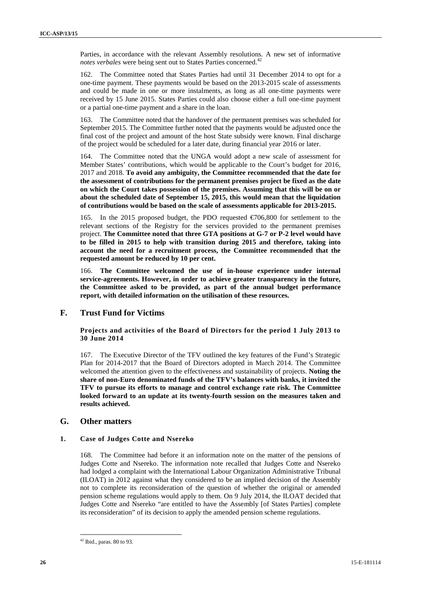Parties, in accordance with the relevant Assembly resolutions. A new set of informative *notes verbales* were being sent out to States Parties concerned.<sup>42</sup>

162. The Committee noted that States Parties had until 31 December 2014 to opt for a one-time payment. These payments would be based on the 2013-2015 scale of assessments and could be made in one or more instalments, as long as all one-time payments were received by 15 June 2015. States Parties could also choose either a full one-time payment or a partial one-time payment and a share in the loan.

163. The Committee noted that the handover of the permanent premises was scheduled for September 2015. The Committee further noted that the payments would be adjusted once the final cost of the project and amount of the host State subsidy were known. Final discharge of the project would be scheduled for a later date, during financial year 2016 or later.

164. The Committee noted that the UNGA would adopt a new scale of assessment for Member States' contributions, which would be applicable to the Court's budget for 2016, 2017 and 2018. **To avoid any ambiguity, the Committee recommended that the date for the assessment of contributions for the permanent premises project be fixed as the date on which the Court takes possession of the premises. Assuming that this will be on or about the scheduled date of September 15, 2015, this would mean that the liquidation of contributions would be based on the scale of assessments applicable for 2013-2015.**

165. In the 2015 proposed budget, the PDO requested €706,800 for settlement to the relevant sections of the Registry for the services provided to the permanent premises project. **The Committee noted that three GTA positions at G-7 or P-2 level would have to be filled in 2015 to help with transition during 2015 and therefore, taking into account the need for a recruitment process, the Committee recommended that the requested amount be reduced by 10 per cent.**

166. **The Committee welcomed the use of in-house experience under internal service-agreements. However, in order to achieve greater transparency in the future, the Committee asked to be provided, as part of the annual budget performance report, with detailed information on the utilisation of these resources.**

## **F. Trust Fund for Victims**

### **Projects and activities of the Board of Directors for the period 1 July 2013 to 30 June 2014**

167. The Executive Director of the TFV outlined the key features of the Fund's Strategic Plan for 2014-2017 that the Board of Directors adopted in March 2014. The Committee welcomed the attention given to the effectiveness and sustainability of projects. **Noting the share of non-Euro denominated funds of the TFV's balances with banks, it invited the TFV to pursue its efforts to manage and control exchange rate risk. The Committee looked forward to an update at its twenty-fourth session on the measures taken and results achieved.**

## **G. Other matters**

### **1. Case of Judges Cotte and Nsereko**

168. The Committee had before it an information note on the matter of the pensions of Judges Cotte and Nsereko. The information note recalled that Judges Cotte and Nsereko had lodged a complaint with the International Labour Organization Administrative Tribunal (ILOAT) in 2012 against what they considered to be an implied decision of the Assembly not to complete its reconsideration of the question of whether the original or amended pension scheme regulations would apply to them. On 9 July 2014, the ILOAT decided that Judges Cotte and Nsereko "are entitled to have the Assembly [of States Parties] complete its reconsideration" of its decision to apply the amended pension scheme regulations.

 $42$  Ibid., paras. 80 to 93.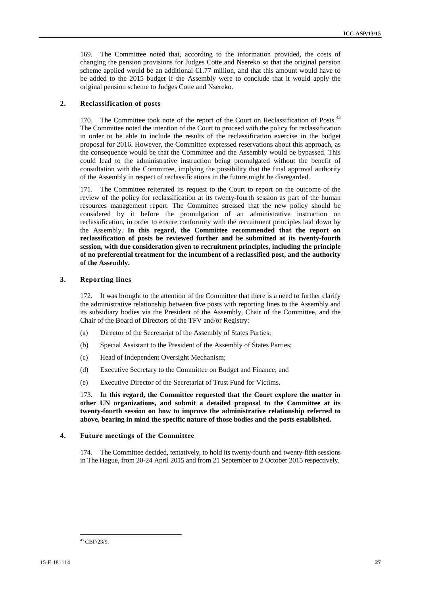169. The Committee noted that, according to the information provided, the costs of changing the pension provisions for Judges Cotte and Nsereko so that the original pension scheme applied would be an additional  $\epsilon$ 1.77 million, and that this amount would have to be added to the 2015 budget if the Assembly were to conclude that it would apply the original pension scheme to Judges Cotte and Nsereko.

### **2. Reclassification of posts**

170. The Committee took note of the report of the Court on Reclassification of Posts.<sup>43</sup> The Committee noted the intention of the Court to proceed with the policy for reclassification in order to be able to include the results of the reclassification exercise in the budget proposal for 2016. However, the Committee expressed reservations about this approach, as the consequence would be that the Committee and the Assembly would be bypassed. This could lead to the administrative instruction being promulgated without the benefit of consultation with the Committee, implying the possibility that the final approval authority of the Assembly in respect of reclassifications in the future might be disregarded.

171. The Committee reiterated its request to the Court to report on the outcome of the review of the policy for reclassification at its twenty-fourth session as part of the human resources management report. The Committee stressed that the new policy should be considered by it before the promulgation of an administrative instruction on reclassification, in order to ensure conformity with the recruitment principles laid down by the Assembly. **In this regard, the Committee recommended that the report on reclassification of posts be reviewed further and be submitted at its twenty-fourth session, with due consideration given to recruitment principles, including the principle of no preferential treatment for the incumbent of a reclassified post, and the authority of the Assembly.**

#### **3. Reporting lines**

172. It was brought to the attention of the Committee that there is a need to further clarify the administrative relationship between five posts with reporting lines to the Assembly and its subsidiary bodies via the President of the Assembly, Chair of the Committee, and the Chair of the Board of Directors of the TFV and/or Registry:

- (a) Director of the Secretariat of the Assembly of States Parties;
- (b) Special Assistant to the President of the Assembly of States Parties;
- (c) Head of Independent Oversight Mechanism;
- (d) Executive Secretary to the Committee on Budget and Finance; and
- (e) Executive Director of the Secretariat of Trust Fund for Victims.

173. **In this regard, the Committee requested that the Court explore the matter in other UN organizations, and submit a detailed proposal to the Committee at its twenty-fourth session on how to improve the administrative relationship referred to above, bearing in mind the specific nature of those bodies and the posts established.**

### **4. Future meetings of the Committee**

174. The Committee decided, tentatively, to hold its twenty-fourth and twenty-fifth sessions in The Hague, from 20-24 April 2015 and from 21 September to 2 October 2015 respectively.

<sup>43</sup> CBF/23/9.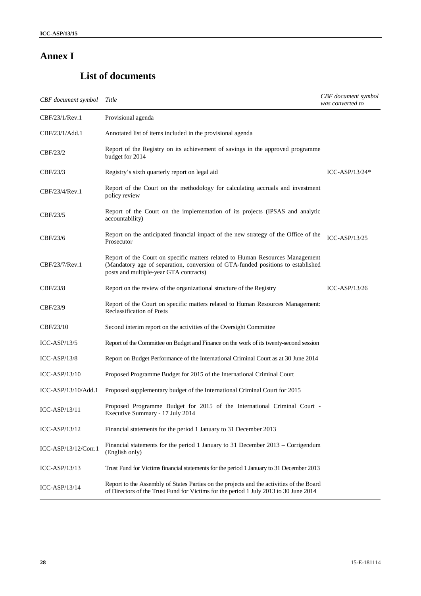# **Annex I**

# **List of documents**

| <b>CBF</b> document symbol Title |                                                                                                                                                                                                            | CBF document symbol<br>was converted to |
|----------------------------------|------------------------------------------------------------------------------------------------------------------------------------------------------------------------------------------------------------|-----------------------------------------|
| CBF/23/1/Rev.1                   | Provisional agenda                                                                                                                                                                                         |                                         |
| CBF/23/1/Add.1                   | Annotated list of items included in the provisional agenda                                                                                                                                                 |                                         |
| CBF/23/2                         | Report of the Registry on its achievement of savings in the approved programme<br>budget for 2014                                                                                                          |                                         |
| CBF/23/3                         | Registry's sixth quarterly report on legal aid                                                                                                                                                             | ICC-ASP/13/24 $*$                       |
| CBF/23/4/Rev.1                   | Report of the Court on the methodology for calculating accruals and investment<br>policy review                                                                                                            |                                         |
| CBF/23/5                         | Report of the Court on the implementation of its projects (IPSAS and analytic<br>accountability)                                                                                                           |                                         |
| CBF/23/6                         | Report on the anticipated financial impact of the new strategy of the Office of the<br>Prosecutor                                                                                                          | $ICC-ASP/13/25$                         |
| CBF/23/7/Rev.1                   | Report of the Court on specific matters related to Human Resources Management<br>(Mandatory age of separation, conversion of GTA-funded positions to established<br>posts and multiple-year GTA contracts) |                                         |
| CBF/23/8                         | Report on the review of the organizational structure of the Registry                                                                                                                                       | $ICC-ASP/13/26$                         |
| CBF/23/9                         | Report of the Court on specific matters related to Human Resources Management:<br>Reclassification of Posts                                                                                                |                                         |
| CBF/23/10                        | Second interim report on the activities of the Oversight Committee                                                                                                                                         |                                         |
| $ICC-ASP/13/5$                   | Report of the Committee on Budget and Finance on the work of its twenty-second session                                                                                                                     |                                         |
| $ICC-ASP/13/8$                   | Report on Budget Performance of the International Criminal Court as at 30 June 2014                                                                                                                        |                                         |
| $ICC-ASP/13/10$                  | Proposed Programme Budget for 2015 of the International Criminal Court                                                                                                                                     |                                         |
| ICC-ASP/13/10/Add.1              | Proposed supplementary budget of the International Criminal Court for 2015                                                                                                                                 |                                         |
| $ICC-ASP/13/11$                  | Proposed Programme Budget for 2015 of the International Criminal Court -<br>Executive Summary - 17 July 2014                                                                                               |                                         |
| $ICC-ASP/13/12$                  | Financial statements for the period 1 January to 31 December 2013                                                                                                                                          |                                         |
| ICC-ASP/13/12/Corr.1             | Financial statements for the period 1 January to 31 December 2013 – Corrigendum<br>(English only)                                                                                                          |                                         |
| $ICC-ASP/13/13$                  | Trust Fund for Victims financial statements for the period 1 January to 31 December 2013                                                                                                                   |                                         |
| $ICC-ASP/13/14$                  | Report to the Assembly of States Parties on the projects and the activities of the Board<br>of Directors of the Trust Fund for Victims for the period 1 July 2013 to 30 June 2014                          |                                         |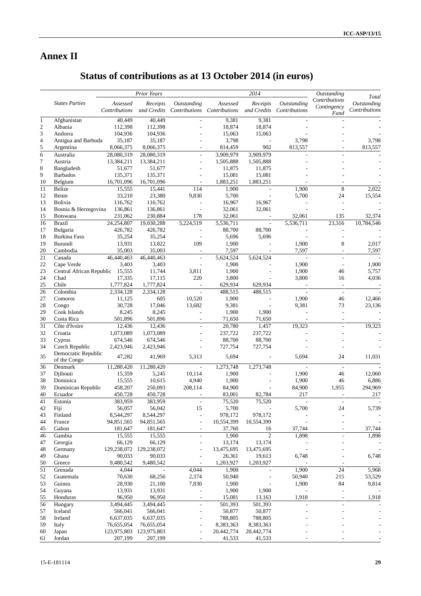# **Annex II**

# **Status of contributions as at 13 October 2014 (in euros)**

| Contributions<br><b>States Parties</b><br>Outstanding<br><b>Outstanding</b><br>Outstanding<br>Assessed<br>Receipts<br>Assessed<br>Receipts<br>Contingency<br>Contributions<br>and Credits<br>Contributions Contributions<br>and Credits<br>Contributions<br>Contributions<br>Fund<br>40,449<br>40,449<br>9,381<br>9,381<br>Afghanistan<br>112,398<br>Albania<br>112,398<br>18,874<br>18,874<br>104,936<br>104,936<br>15,063<br>15,063<br>Andorra<br>35,187<br>3,798<br>3,798<br>3,798<br>Antigua and Barbuda<br>35,187<br>$\overline{\phantom{a}}$<br>8,066,375<br>8,066,375<br>902<br>813,557<br>813,557<br>Argentina<br>814,459<br>28,080,319<br>28,080,319<br>3,909,979<br>3,909,979<br>Australia<br>$\overline{\phantom{a}}$<br>L,<br>13,384,211<br>13,384,211<br>1,505,888<br>Austria<br>1,505,888<br>÷,<br>51,677<br>11,875<br>11,875<br>Bangladesh<br>51,677<br>L,<br><b>Barbados</b><br>135,371<br>135,371<br>15,081<br>15,081<br>÷,<br>16,701,096<br>16,701,096<br>1,883,251<br>1,883,251<br>Belgium<br>8<br><b>Belize</b><br>15,555<br>15,441<br>114<br>1,900<br>1,900<br>2,022<br>$\overline{\phantom{a}}$<br>33,210<br>23,380<br>9,830<br>5,700<br>5,700<br>24<br>15,554<br>Benin<br>Bolivia<br>116,762<br>116,762<br>16,967<br>16,967<br>÷,<br>136,861<br>136,861<br>32,061<br>32,061<br>Bosnia & Herzegovina<br>$\frac{1}{2}$<br>L,<br>231,062<br>230,884<br>178<br>32,061<br>32,061<br>Botswana<br>135<br>32,374<br>19,030,288<br>5,224,519<br>5,536,711<br>23,316<br><b>Brazil</b><br>24,254,807<br>5,536,711<br>10,784,546<br>$\overline{\phantom{a}}$<br>88,700<br>Bulgaria<br>426,782<br>426,782<br>88,700<br>$\overline{\phantom{m}}$<br><b>Burkina Faso</b><br>35,254<br>35,254<br>5,696<br>5,696<br>$\overline{\phantom{a}}$<br>J.<br>8<br>13,931<br>13,822<br>109<br>1,900<br>Burundi<br>1,900<br>2,017<br>35,003<br>Cambodia<br>35,003<br>7,597<br>7,597<br>7,597<br>$\overline{\phantom{a}}$<br>$\overline{a}$<br>Canada<br>46,440,463<br>46,440,463<br>5,624,524<br>5,624,524<br>$\blacksquare$<br>$\overline{\phantom{a}}$<br>Cape Verde<br>3,403<br>3,403<br>1,900<br>1,900<br>1,900<br>$\overline{\phantom{a}}$<br>÷,<br>Central African Republic 15,555<br>11,744<br>3,811<br>1,900<br>1,900<br>5,757<br>46<br>Chad<br>17,335<br>17,115<br>220<br>3,800<br>3,800<br>4,036<br>16<br>Chile<br>1,777,824<br>1,777,824<br>629,934<br>629,934<br>$\overline{\phantom{a}}$<br>$\overline{\phantom{a}}$<br>Colombia<br>2,334,128<br>2,334,128<br>488,515<br>488,515<br>÷<br>$\overline{\phantom{a}}$<br>11,125<br>605<br>10,520<br>1,900<br>1,900<br>Comoros<br>46<br>12,466<br>$\overline{\phantom{a}}$<br>30,728<br>17,046<br>13,682<br>9,381<br>9,381<br>73<br>23,136<br>Congo<br>Cook Islands<br>8,245<br>8,245<br>1,900<br>1,900<br>L,<br>501,896<br>501,896<br>Costa Rica<br>71,650<br>71,650<br>20,780<br>Côte d'Ivoire<br>12,436<br>12,436<br>1,457<br>19,323<br>19,323<br>$\overline{a}$<br>1,073,089<br>1,073,089<br>237,722<br>237,722<br>Croatia<br>÷,<br>88,700<br>674,546<br>674,546<br>88,700<br>Cyprus<br>Czech Republic<br>2,423,946<br>2,423,946<br>727,754<br>727,754<br>÷,<br>Democratic Republic<br>35<br>47,282<br>41,969<br>5,313<br>5,694<br>5,694<br>24<br>11,031<br>$\sim$<br>of the Congo<br>11,280,420<br>1,273,748<br>1,273,748<br>Denmark<br>11,280,420<br>$\blacksquare$<br>$\overline{\phantom{a}}$<br>$\overline{a}$<br>Djibouti<br>15,359<br>5,245<br>10,114<br>1,900<br>1,900<br>12,060<br>46<br>4,940<br>Dominica<br>15,555<br>10,615<br>1,900<br>1,900<br>46<br>6,886<br>Dominican Republic<br>458,207<br>250,093<br>84,900<br>294,969<br>208,114<br>84,900<br>1,955<br>217<br>450,728<br>450,728<br>83,001<br>217<br>Ecuador<br>82,784<br>75,520<br>L.<br>383,959<br>383,959<br>$\overline{a}$<br>75,520<br>Estonia<br>$\overline{a}$<br>Fiji<br>56,057<br>56,042<br>15<br>5,700<br>5,700<br>24<br>5,739<br>8,544,297<br>8,544,297<br>978,172<br>978,172<br>Finland<br>L,<br>France<br>94,851,565<br>10,554,399<br>94,851,565<br>10,554,399<br>37,744<br>Gabon<br>37,760<br>37,744<br>181,647<br>181,647<br>16<br>1,900<br>$\mathfrak{2}$<br>1,898<br>1,898<br>15,555<br>15,555<br>Gambia<br>$\sim$<br>$\overline{\phantom{a}}$<br>66,129<br>66,129<br>13,174<br>Georgia<br>13,174<br>$\overline{a}$<br>129,238,072 129,238,072<br>13,475,695<br>13,475,695<br>Germany<br>90,033<br>90,033<br>26,361<br>19,613<br>6,748<br>Ghana<br>6,748<br>Greece<br>9,480,542<br>9,480,542<br>1,203,927<br>1,203,927<br>1,900<br>1,900<br>24<br>5,968<br>Grenada<br>4,044<br>4,044<br>70,630<br>68,256<br>2,374<br>50,940<br>50,940<br>215<br>53,529<br>Guatemala<br>84<br>Guinea<br>28,930<br>21,100<br>7,830<br>1,900<br>9,814<br>1,900<br>13,931<br>13,931<br>1,900<br>1,900<br>Guyana<br>1,918<br>96,950<br>1,918<br>Honduras<br>96,950<br>15,081<br>13,163<br>3,494,445<br>3,494,445<br>501,393<br>501,393<br>Hungary<br>566,041<br>566,041<br>50,877<br>50,877<br>Iceland<br>788,805<br>788,805<br>Ireland<br>6,637,035<br>6,637,035<br>Italy<br>76,655,054<br>76,655,054<br>8,383,363<br>8,383,363<br>123,975,803<br>20,442,774<br>20,442,774<br>Japan<br>123,975,803<br>Jordan<br>207,199<br>207,199<br>41,533<br>41,533 |                  |  | Prior Years |  | $\overline{2014}$ | Outstanding | Total |
|----------------------------------------------------------------------------------------------------------------------------------------------------------------------------------------------------------------------------------------------------------------------------------------------------------------------------------------------------------------------------------------------------------------------------------------------------------------------------------------------------------------------------------------------------------------------------------------------------------------------------------------------------------------------------------------------------------------------------------------------------------------------------------------------------------------------------------------------------------------------------------------------------------------------------------------------------------------------------------------------------------------------------------------------------------------------------------------------------------------------------------------------------------------------------------------------------------------------------------------------------------------------------------------------------------------------------------------------------------------------------------------------------------------------------------------------------------------------------------------------------------------------------------------------------------------------------------------------------------------------------------------------------------------------------------------------------------------------------------------------------------------------------------------------------------------------------------------------------------------------------------------------------------------------------------------------------------------------------------------------------------------------------------------------------------------------------------------------------------------------------------------------------------------------------------------------------------------------------------------------------------------------------------------------------------------------------------------------------------------------------------------------------------------------------------------------------------------------------------------------------------------------------------------------------------------------------------------------------------------------------------------------------------------------------------------------------------------------------------------------------------------------------------------------------------------------------------------------------------------------------------------------------------------------------------------------------------------------------------------------------------------------------------------------------------------------------------------------------------------------------------------------------------------------------------------------------------------------------------------------------------------------------------------------------------------------------------------------------------------------------------------------------------------------------------------------------------------------------------------------------------------------------------------------------------------------------------------------------------------------------------------------------------------------------------------------------------------------------------------------------------------------------------------------------------------------------------------------------------------------------------------------------------------------------------------------------------------------------------------------------------------------------------------------------------------------------------------------------------------------------------------------------------------------------------------------------------------------------------------------------------------------------------------------------------------------------------------------------------------------------------------------------------------------------------------------------------------------------------------------------------------------------------------------------------------------------------------------------------------------------------------------------------------------------------------------------------------------------------------------------------------------------------------------------------------------------------------------------------------------------------------------------------------------------------------------------------------------------------------------------------------------------------------------------------------------------------------------------------------------------------------------------------------------------------|------------------|--|-------------|--|-------------------|-------------|-------|
|                                                                                                                                                                                                                                                                                                                                                                                                                                                                                                                                                                                                                                                                                                                                                                                                                                                                                                                                                                                                                                                                                                                                                                                                                                                                                                                                                                                                                                                                                                                                                                                                                                                                                                                                                                                                                                                                                                                                                                                                                                                                                                                                                                                                                                                                                                                                                                                                                                                                                                                                                                                                                                                                                                                                                                                                                                                                                                                                                                                                                                                                                                                                                                                                                                                                                                                                                                                                                                                                                                                                                                                                                                                                                                                                                                                                                                                                                                                                                                                                                                                                                                                                                                                                                                                                                                                                                                                                                                                                                                                                                                                                                                                                                                                                                                                                                                                                                                                                                                                                                                                                                                                                                                                  |                  |  |             |  |                   |             |       |
|                                                                                                                                                                                                                                                                                                                                                                                                                                                                                                                                                                                                                                                                                                                                                                                                                                                                                                                                                                                                                                                                                                                                                                                                                                                                                                                                                                                                                                                                                                                                                                                                                                                                                                                                                                                                                                                                                                                                                                                                                                                                                                                                                                                                                                                                                                                                                                                                                                                                                                                                                                                                                                                                                                                                                                                                                                                                                                                                                                                                                                                                                                                                                                                                                                                                                                                                                                                                                                                                                                                                                                                                                                                                                                                                                                                                                                                                                                                                                                                                                                                                                                                                                                                                                                                                                                                                                                                                                                                                                                                                                                                                                                                                                                                                                                                                                                                                                                                                                                                                                                                                                                                                                                                  | $\mathbf{1}$     |  |             |  |                   |             |       |
|                                                                                                                                                                                                                                                                                                                                                                                                                                                                                                                                                                                                                                                                                                                                                                                                                                                                                                                                                                                                                                                                                                                                                                                                                                                                                                                                                                                                                                                                                                                                                                                                                                                                                                                                                                                                                                                                                                                                                                                                                                                                                                                                                                                                                                                                                                                                                                                                                                                                                                                                                                                                                                                                                                                                                                                                                                                                                                                                                                                                                                                                                                                                                                                                                                                                                                                                                                                                                                                                                                                                                                                                                                                                                                                                                                                                                                                                                                                                                                                                                                                                                                                                                                                                                                                                                                                                                                                                                                                                                                                                                                                                                                                                                                                                                                                                                                                                                                                                                                                                                                                                                                                                                                                  | $\boldsymbol{2}$ |  |             |  |                   |             |       |
|                                                                                                                                                                                                                                                                                                                                                                                                                                                                                                                                                                                                                                                                                                                                                                                                                                                                                                                                                                                                                                                                                                                                                                                                                                                                                                                                                                                                                                                                                                                                                                                                                                                                                                                                                                                                                                                                                                                                                                                                                                                                                                                                                                                                                                                                                                                                                                                                                                                                                                                                                                                                                                                                                                                                                                                                                                                                                                                                                                                                                                                                                                                                                                                                                                                                                                                                                                                                                                                                                                                                                                                                                                                                                                                                                                                                                                                                                                                                                                                                                                                                                                                                                                                                                                                                                                                                                                                                                                                                                                                                                                                                                                                                                                                                                                                                                                                                                                                                                                                                                                                                                                                                                                                  | 3                |  |             |  |                   |             |       |
|                                                                                                                                                                                                                                                                                                                                                                                                                                                                                                                                                                                                                                                                                                                                                                                                                                                                                                                                                                                                                                                                                                                                                                                                                                                                                                                                                                                                                                                                                                                                                                                                                                                                                                                                                                                                                                                                                                                                                                                                                                                                                                                                                                                                                                                                                                                                                                                                                                                                                                                                                                                                                                                                                                                                                                                                                                                                                                                                                                                                                                                                                                                                                                                                                                                                                                                                                                                                                                                                                                                                                                                                                                                                                                                                                                                                                                                                                                                                                                                                                                                                                                                                                                                                                                                                                                                                                                                                                                                                                                                                                                                                                                                                                                                                                                                                                                                                                                                                                                                                                                                                                                                                                                                  | $\overline{4}$   |  |             |  |                   |             |       |
|                                                                                                                                                                                                                                                                                                                                                                                                                                                                                                                                                                                                                                                                                                                                                                                                                                                                                                                                                                                                                                                                                                                                                                                                                                                                                                                                                                                                                                                                                                                                                                                                                                                                                                                                                                                                                                                                                                                                                                                                                                                                                                                                                                                                                                                                                                                                                                                                                                                                                                                                                                                                                                                                                                                                                                                                                                                                                                                                                                                                                                                                                                                                                                                                                                                                                                                                                                                                                                                                                                                                                                                                                                                                                                                                                                                                                                                                                                                                                                                                                                                                                                                                                                                                                                                                                                                                                                                                                                                                                                                                                                                                                                                                                                                                                                                                                                                                                                                                                                                                                                                                                                                                                                                  | 5                |  |             |  |                   |             |       |
|                                                                                                                                                                                                                                                                                                                                                                                                                                                                                                                                                                                                                                                                                                                                                                                                                                                                                                                                                                                                                                                                                                                                                                                                                                                                                                                                                                                                                                                                                                                                                                                                                                                                                                                                                                                                                                                                                                                                                                                                                                                                                                                                                                                                                                                                                                                                                                                                                                                                                                                                                                                                                                                                                                                                                                                                                                                                                                                                                                                                                                                                                                                                                                                                                                                                                                                                                                                                                                                                                                                                                                                                                                                                                                                                                                                                                                                                                                                                                                                                                                                                                                                                                                                                                                                                                                                                                                                                                                                                                                                                                                                                                                                                                                                                                                                                                                                                                                                                                                                                                                                                                                                                                                                  | $\overline{6}$   |  |             |  |                   |             |       |
|                                                                                                                                                                                                                                                                                                                                                                                                                                                                                                                                                                                                                                                                                                                                                                                                                                                                                                                                                                                                                                                                                                                                                                                                                                                                                                                                                                                                                                                                                                                                                                                                                                                                                                                                                                                                                                                                                                                                                                                                                                                                                                                                                                                                                                                                                                                                                                                                                                                                                                                                                                                                                                                                                                                                                                                                                                                                                                                                                                                                                                                                                                                                                                                                                                                                                                                                                                                                                                                                                                                                                                                                                                                                                                                                                                                                                                                                                                                                                                                                                                                                                                                                                                                                                                                                                                                                                                                                                                                                                                                                                                                                                                                                                                                                                                                                                                                                                                                                                                                                                                                                                                                                                                                  | $\tau$           |  |             |  |                   |             |       |
|                                                                                                                                                                                                                                                                                                                                                                                                                                                                                                                                                                                                                                                                                                                                                                                                                                                                                                                                                                                                                                                                                                                                                                                                                                                                                                                                                                                                                                                                                                                                                                                                                                                                                                                                                                                                                                                                                                                                                                                                                                                                                                                                                                                                                                                                                                                                                                                                                                                                                                                                                                                                                                                                                                                                                                                                                                                                                                                                                                                                                                                                                                                                                                                                                                                                                                                                                                                                                                                                                                                                                                                                                                                                                                                                                                                                                                                                                                                                                                                                                                                                                                                                                                                                                                                                                                                                                                                                                                                                                                                                                                                                                                                                                                                                                                                                                                                                                                                                                                                                                                                                                                                                                                                  | $\,$ 8 $\,$      |  |             |  |                   |             |       |
|                                                                                                                                                                                                                                                                                                                                                                                                                                                                                                                                                                                                                                                                                                                                                                                                                                                                                                                                                                                                                                                                                                                                                                                                                                                                                                                                                                                                                                                                                                                                                                                                                                                                                                                                                                                                                                                                                                                                                                                                                                                                                                                                                                                                                                                                                                                                                                                                                                                                                                                                                                                                                                                                                                                                                                                                                                                                                                                                                                                                                                                                                                                                                                                                                                                                                                                                                                                                                                                                                                                                                                                                                                                                                                                                                                                                                                                                                                                                                                                                                                                                                                                                                                                                                                                                                                                                                                                                                                                                                                                                                                                                                                                                                                                                                                                                                                                                                                                                                                                                                                                                                                                                                                                  | 9                |  |             |  |                   |             |       |
|                                                                                                                                                                                                                                                                                                                                                                                                                                                                                                                                                                                                                                                                                                                                                                                                                                                                                                                                                                                                                                                                                                                                                                                                                                                                                                                                                                                                                                                                                                                                                                                                                                                                                                                                                                                                                                                                                                                                                                                                                                                                                                                                                                                                                                                                                                                                                                                                                                                                                                                                                                                                                                                                                                                                                                                                                                                                                                                                                                                                                                                                                                                                                                                                                                                                                                                                                                                                                                                                                                                                                                                                                                                                                                                                                                                                                                                                                                                                                                                                                                                                                                                                                                                                                                                                                                                                                                                                                                                                                                                                                                                                                                                                                                                                                                                                                                                                                                                                                                                                                                                                                                                                                                                  | 10               |  |             |  |                   |             |       |
|                                                                                                                                                                                                                                                                                                                                                                                                                                                                                                                                                                                                                                                                                                                                                                                                                                                                                                                                                                                                                                                                                                                                                                                                                                                                                                                                                                                                                                                                                                                                                                                                                                                                                                                                                                                                                                                                                                                                                                                                                                                                                                                                                                                                                                                                                                                                                                                                                                                                                                                                                                                                                                                                                                                                                                                                                                                                                                                                                                                                                                                                                                                                                                                                                                                                                                                                                                                                                                                                                                                                                                                                                                                                                                                                                                                                                                                                                                                                                                                                                                                                                                                                                                                                                                                                                                                                                                                                                                                                                                                                                                                                                                                                                                                                                                                                                                                                                                                                                                                                                                                                                                                                                                                  | 11               |  |             |  |                   |             |       |
|                                                                                                                                                                                                                                                                                                                                                                                                                                                                                                                                                                                                                                                                                                                                                                                                                                                                                                                                                                                                                                                                                                                                                                                                                                                                                                                                                                                                                                                                                                                                                                                                                                                                                                                                                                                                                                                                                                                                                                                                                                                                                                                                                                                                                                                                                                                                                                                                                                                                                                                                                                                                                                                                                                                                                                                                                                                                                                                                                                                                                                                                                                                                                                                                                                                                                                                                                                                                                                                                                                                                                                                                                                                                                                                                                                                                                                                                                                                                                                                                                                                                                                                                                                                                                                                                                                                                                                                                                                                                                                                                                                                                                                                                                                                                                                                                                                                                                                                                                                                                                                                                                                                                                                                  | 12               |  |             |  |                   |             |       |
|                                                                                                                                                                                                                                                                                                                                                                                                                                                                                                                                                                                                                                                                                                                                                                                                                                                                                                                                                                                                                                                                                                                                                                                                                                                                                                                                                                                                                                                                                                                                                                                                                                                                                                                                                                                                                                                                                                                                                                                                                                                                                                                                                                                                                                                                                                                                                                                                                                                                                                                                                                                                                                                                                                                                                                                                                                                                                                                                                                                                                                                                                                                                                                                                                                                                                                                                                                                                                                                                                                                                                                                                                                                                                                                                                                                                                                                                                                                                                                                                                                                                                                                                                                                                                                                                                                                                                                                                                                                                                                                                                                                                                                                                                                                                                                                                                                                                                                                                                                                                                                                                                                                                                                                  | 13               |  |             |  |                   |             |       |
|                                                                                                                                                                                                                                                                                                                                                                                                                                                                                                                                                                                                                                                                                                                                                                                                                                                                                                                                                                                                                                                                                                                                                                                                                                                                                                                                                                                                                                                                                                                                                                                                                                                                                                                                                                                                                                                                                                                                                                                                                                                                                                                                                                                                                                                                                                                                                                                                                                                                                                                                                                                                                                                                                                                                                                                                                                                                                                                                                                                                                                                                                                                                                                                                                                                                                                                                                                                                                                                                                                                                                                                                                                                                                                                                                                                                                                                                                                                                                                                                                                                                                                                                                                                                                                                                                                                                                                                                                                                                                                                                                                                                                                                                                                                                                                                                                                                                                                                                                                                                                                                                                                                                                                                  | 14               |  |             |  |                   |             |       |
|                                                                                                                                                                                                                                                                                                                                                                                                                                                                                                                                                                                                                                                                                                                                                                                                                                                                                                                                                                                                                                                                                                                                                                                                                                                                                                                                                                                                                                                                                                                                                                                                                                                                                                                                                                                                                                                                                                                                                                                                                                                                                                                                                                                                                                                                                                                                                                                                                                                                                                                                                                                                                                                                                                                                                                                                                                                                                                                                                                                                                                                                                                                                                                                                                                                                                                                                                                                                                                                                                                                                                                                                                                                                                                                                                                                                                                                                                                                                                                                                                                                                                                                                                                                                                                                                                                                                                                                                                                                                                                                                                                                                                                                                                                                                                                                                                                                                                                                                                                                                                                                                                                                                                                                  | 15               |  |             |  |                   |             |       |
|                                                                                                                                                                                                                                                                                                                                                                                                                                                                                                                                                                                                                                                                                                                                                                                                                                                                                                                                                                                                                                                                                                                                                                                                                                                                                                                                                                                                                                                                                                                                                                                                                                                                                                                                                                                                                                                                                                                                                                                                                                                                                                                                                                                                                                                                                                                                                                                                                                                                                                                                                                                                                                                                                                                                                                                                                                                                                                                                                                                                                                                                                                                                                                                                                                                                                                                                                                                                                                                                                                                                                                                                                                                                                                                                                                                                                                                                                                                                                                                                                                                                                                                                                                                                                                                                                                                                                                                                                                                                                                                                                                                                                                                                                                                                                                                                                                                                                                                                                                                                                                                                                                                                                                                  | 16               |  |             |  |                   |             |       |
|                                                                                                                                                                                                                                                                                                                                                                                                                                                                                                                                                                                                                                                                                                                                                                                                                                                                                                                                                                                                                                                                                                                                                                                                                                                                                                                                                                                                                                                                                                                                                                                                                                                                                                                                                                                                                                                                                                                                                                                                                                                                                                                                                                                                                                                                                                                                                                                                                                                                                                                                                                                                                                                                                                                                                                                                                                                                                                                                                                                                                                                                                                                                                                                                                                                                                                                                                                                                                                                                                                                                                                                                                                                                                                                                                                                                                                                                                                                                                                                                                                                                                                                                                                                                                                                                                                                                                                                                                                                                                                                                                                                                                                                                                                                                                                                                                                                                                                                                                                                                                                                                                                                                                                                  | 17               |  |             |  |                   |             |       |
|                                                                                                                                                                                                                                                                                                                                                                                                                                                                                                                                                                                                                                                                                                                                                                                                                                                                                                                                                                                                                                                                                                                                                                                                                                                                                                                                                                                                                                                                                                                                                                                                                                                                                                                                                                                                                                                                                                                                                                                                                                                                                                                                                                                                                                                                                                                                                                                                                                                                                                                                                                                                                                                                                                                                                                                                                                                                                                                                                                                                                                                                                                                                                                                                                                                                                                                                                                                                                                                                                                                                                                                                                                                                                                                                                                                                                                                                                                                                                                                                                                                                                                                                                                                                                                                                                                                                                                                                                                                                                                                                                                                                                                                                                                                                                                                                                                                                                                                                                                                                                                                                                                                                                                                  | 18               |  |             |  |                   |             |       |
|                                                                                                                                                                                                                                                                                                                                                                                                                                                                                                                                                                                                                                                                                                                                                                                                                                                                                                                                                                                                                                                                                                                                                                                                                                                                                                                                                                                                                                                                                                                                                                                                                                                                                                                                                                                                                                                                                                                                                                                                                                                                                                                                                                                                                                                                                                                                                                                                                                                                                                                                                                                                                                                                                                                                                                                                                                                                                                                                                                                                                                                                                                                                                                                                                                                                                                                                                                                                                                                                                                                                                                                                                                                                                                                                                                                                                                                                                                                                                                                                                                                                                                                                                                                                                                                                                                                                                                                                                                                                                                                                                                                                                                                                                                                                                                                                                                                                                                                                                                                                                                                                                                                                                                                  | 19               |  |             |  |                   |             |       |
|                                                                                                                                                                                                                                                                                                                                                                                                                                                                                                                                                                                                                                                                                                                                                                                                                                                                                                                                                                                                                                                                                                                                                                                                                                                                                                                                                                                                                                                                                                                                                                                                                                                                                                                                                                                                                                                                                                                                                                                                                                                                                                                                                                                                                                                                                                                                                                                                                                                                                                                                                                                                                                                                                                                                                                                                                                                                                                                                                                                                                                                                                                                                                                                                                                                                                                                                                                                                                                                                                                                                                                                                                                                                                                                                                                                                                                                                                                                                                                                                                                                                                                                                                                                                                                                                                                                                                                                                                                                                                                                                                                                                                                                                                                                                                                                                                                                                                                                                                                                                                                                                                                                                                                                  | 20               |  |             |  |                   |             |       |
|                                                                                                                                                                                                                                                                                                                                                                                                                                                                                                                                                                                                                                                                                                                                                                                                                                                                                                                                                                                                                                                                                                                                                                                                                                                                                                                                                                                                                                                                                                                                                                                                                                                                                                                                                                                                                                                                                                                                                                                                                                                                                                                                                                                                                                                                                                                                                                                                                                                                                                                                                                                                                                                                                                                                                                                                                                                                                                                                                                                                                                                                                                                                                                                                                                                                                                                                                                                                                                                                                                                                                                                                                                                                                                                                                                                                                                                                                                                                                                                                                                                                                                                                                                                                                                                                                                                                                                                                                                                                                                                                                                                                                                                                                                                                                                                                                                                                                                                                                                                                                                                                                                                                                                                  | 21               |  |             |  |                   |             |       |
|                                                                                                                                                                                                                                                                                                                                                                                                                                                                                                                                                                                                                                                                                                                                                                                                                                                                                                                                                                                                                                                                                                                                                                                                                                                                                                                                                                                                                                                                                                                                                                                                                                                                                                                                                                                                                                                                                                                                                                                                                                                                                                                                                                                                                                                                                                                                                                                                                                                                                                                                                                                                                                                                                                                                                                                                                                                                                                                                                                                                                                                                                                                                                                                                                                                                                                                                                                                                                                                                                                                                                                                                                                                                                                                                                                                                                                                                                                                                                                                                                                                                                                                                                                                                                                                                                                                                                                                                                                                                                                                                                                                                                                                                                                                                                                                                                                                                                                                                                                                                                                                                                                                                                                                  | 22               |  |             |  |                   |             |       |
|                                                                                                                                                                                                                                                                                                                                                                                                                                                                                                                                                                                                                                                                                                                                                                                                                                                                                                                                                                                                                                                                                                                                                                                                                                                                                                                                                                                                                                                                                                                                                                                                                                                                                                                                                                                                                                                                                                                                                                                                                                                                                                                                                                                                                                                                                                                                                                                                                                                                                                                                                                                                                                                                                                                                                                                                                                                                                                                                                                                                                                                                                                                                                                                                                                                                                                                                                                                                                                                                                                                                                                                                                                                                                                                                                                                                                                                                                                                                                                                                                                                                                                                                                                                                                                                                                                                                                                                                                                                                                                                                                                                                                                                                                                                                                                                                                                                                                                                                                                                                                                                                                                                                                                                  | 23               |  |             |  |                   |             |       |
|                                                                                                                                                                                                                                                                                                                                                                                                                                                                                                                                                                                                                                                                                                                                                                                                                                                                                                                                                                                                                                                                                                                                                                                                                                                                                                                                                                                                                                                                                                                                                                                                                                                                                                                                                                                                                                                                                                                                                                                                                                                                                                                                                                                                                                                                                                                                                                                                                                                                                                                                                                                                                                                                                                                                                                                                                                                                                                                                                                                                                                                                                                                                                                                                                                                                                                                                                                                                                                                                                                                                                                                                                                                                                                                                                                                                                                                                                                                                                                                                                                                                                                                                                                                                                                                                                                                                                                                                                                                                                                                                                                                                                                                                                                                                                                                                                                                                                                                                                                                                                                                                                                                                                                                  | 24               |  |             |  |                   |             |       |
|                                                                                                                                                                                                                                                                                                                                                                                                                                                                                                                                                                                                                                                                                                                                                                                                                                                                                                                                                                                                                                                                                                                                                                                                                                                                                                                                                                                                                                                                                                                                                                                                                                                                                                                                                                                                                                                                                                                                                                                                                                                                                                                                                                                                                                                                                                                                                                                                                                                                                                                                                                                                                                                                                                                                                                                                                                                                                                                                                                                                                                                                                                                                                                                                                                                                                                                                                                                                                                                                                                                                                                                                                                                                                                                                                                                                                                                                                                                                                                                                                                                                                                                                                                                                                                                                                                                                                                                                                                                                                                                                                                                                                                                                                                                                                                                                                                                                                                                                                                                                                                                                                                                                                                                  | 25               |  |             |  |                   |             |       |
|                                                                                                                                                                                                                                                                                                                                                                                                                                                                                                                                                                                                                                                                                                                                                                                                                                                                                                                                                                                                                                                                                                                                                                                                                                                                                                                                                                                                                                                                                                                                                                                                                                                                                                                                                                                                                                                                                                                                                                                                                                                                                                                                                                                                                                                                                                                                                                                                                                                                                                                                                                                                                                                                                                                                                                                                                                                                                                                                                                                                                                                                                                                                                                                                                                                                                                                                                                                                                                                                                                                                                                                                                                                                                                                                                                                                                                                                                                                                                                                                                                                                                                                                                                                                                                                                                                                                                                                                                                                                                                                                                                                                                                                                                                                                                                                                                                                                                                                                                                                                                                                                                                                                                                                  | 26               |  |             |  |                   |             |       |
|                                                                                                                                                                                                                                                                                                                                                                                                                                                                                                                                                                                                                                                                                                                                                                                                                                                                                                                                                                                                                                                                                                                                                                                                                                                                                                                                                                                                                                                                                                                                                                                                                                                                                                                                                                                                                                                                                                                                                                                                                                                                                                                                                                                                                                                                                                                                                                                                                                                                                                                                                                                                                                                                                                                                                                                                                                                                                                                                                                                                                                                                                                                                                                                                                                                                                                                                                                                                                                                                                                                                                                                                                                                                                                                                                                                                                                                                                                                                                                                                                                                                                                                                                                                                                                                                                                                                                                                                                                                                                                                                                                                                                                                                                                                                                                                                                                                                                                                                                                                                                                                                                                                                                                                  | 27               |  |             |  |                   |             |       |
|                                                                                                                                                                                                                                                                                                                                                                                                                                                                                                                                                                                                                                                                                                                                                                                                                                                                                                                                                                                                                                                                                                                                                                                                                                                                                                                                                                                                                                                                                                                                                                                                                                                                                                                                                                                                                                                                                                                                                                                                                                                                                                                                                                                                                                                                                                                                                                                                                                                                                                                                                                                                                                                                                                                                                                                                                                                                                                                                                                                                                                                                                                                                                                                                                                                                                                                                                                                                                                                                                                                                                                                                                                                                                                                                                                                                                                                                                                                                                                                                                                                                                                                                                                                                                                                                                                                                                                                                                                                                                                                                                                                                                                                                                                                                                                                                                                                                                                                                                                                                                                                                                                                                                                                  | 28               |  |             |  |                   |             |       |
|                                                                                                                                                                                                                                                                                                                                                                                                                                                                                                                                                                                                                                                                                                                                                                                                                                                                                                                                                                                                                                                                                                                                                                                                                                                                                                                                                                                                                                                                                                                                                                                                                                                                                                                                                                                                                                                                                                                                                                                                                                                                                                                                                                                                                                                                                                                                                                                                                                                                                                                                                                                                                                                                                                                                                                                                                                                                                                                                                                                                                                                                                                                                                                                                                                                                                                                                                                                                                                                                                                                                                                                                                                                                                                                                                                                                                                                                                                                                                                                                                                                                                                                                                                                                                                                                                                                                                                                                                                                                                                                                                                                                                                                                                                                                                                                                                                                                                                                                                                                                                                                                                                                                                                                  | 29               |  |             |  |                   |             |       |
|                                                                                                                                                                                                                                                                                                                                                                                                                                                                                                                                                                                                                                                                                                                                                                                                                                                                                                                                                                                                                                                                                                                                                                                                                                                                                                                                                                                                                                                                                                                                                                                                                                                                                                                                                                                                                                                                                                                                                                                                                                                                                                                                                                                                                                                                                                                                                                                                                                                                                                                                                                                                                                                                                                                                                                                                                                                                                                                                                                                                                                                                                                                                                                                                                                                                                                                                                                                                                                                                                                                                                                                                                                                                                                                                                                                                                                                                                                                                                                                                                                                                                                                                                                                                                                                                                                                                                                                                                                                                                                                                                                                                                                                                                                                                                                                                                                                                                                                                                                                                                                                                                                                                                                                  | 30               |  |             |  |                   |             |       |
|                                                                                                                                                                                                                                                                                                                                                                                                                                                                                                                                                                                                                                                                                                                                                                                                                                                                                                                                                                                                                                                                                                                                                                                                                                                                                                                                                                                                                                                                                                                                                                                                                                                                                                                                                                                                                                                                                                                                                                                                                                                                                                                                                                                                                                                                                                                                                                                                                                                                                                                                                                                                                                                                                                                                                                                                                                                                                                                                                                                                                                                                                                                                                                                                                                                                                                                                                                                                                                                                                                                                                                                                                                                                                                                                                                                                                                                                                                                                                                                                                                                                                                                                                                                                                                                                                                                                                                                                                                                                                                                                                                                                                                                                                                                                                                                                                                                                                                                                                                                                                                                                                                                                                                                  | 31               |  |             |  |                   |             |       |
|                                                                                                                                                                                                                                                                                                                                                                                                                                                                                                                                                                                                                                                                                                                                                                                                                                                                                                                                                                                                                                                                                                                                                                                                                                                                                                                                                                                                                                                                                                                                                                                                                                                                                                                                                                                                                                                                                                                                                                                                                                                                                                                                                                                                                                                                                                                                                                                                                                                                                                                                                                                                                                                                                                                                                                                                                                                                                                                                                                                                                                                                                                                                                                                                                                                                                                                                                                                                                                                                                                                                                                                                                                                                                                                                                                                                                                                                                                                                                                                                                                                                                                                                                                                                                                                                                                                                                                                                                                                                                                                                                                                                                                                                                                                                                                                                                                                                                                                                                                                                                                                                                                                                                                                  | 32               |  |             |  |                   |             |       |
|                                                                                                                                                                                                                                                                                                                                                                                                                                                                                                                                                                                                                                                                                                                                                                                                                                                                                                                                                                                                                                                                                                                                                                                                                                                                                                                                                                                                                                                                                                                                                                                                                                                                                                                                                                                                                                                                                                                                                                                                                                                                                                                                                                                                                                                                                                                                                                                                                                                                                                                                                                                                                                                                                                                                                                                                                                                                                                                                                                                                                                                                                                                                                                                                                                                                                                                                                                                                                                                                                                                                                                                                                                                                                                                                                                                                                                                                                                                                                                                                                                                                                                                                                                                                                                                                                                                                                                                                                                                                                                                                                                                                                                                                                                                                                                                                                                                                                                                                                                                                                                                                                                                                                                                  | 33               |  |             |  |                   |             |       |
|                                                                                                                                                                                                                                                                                                                                                                                                                                                                                                                                                                                                                                                                                                                                                                                                                                                                                                                                                                                                                                                                                                                                                                                                                                                                                                                                                                                                                                                                                                                                                                                                                                                                                                                                                                                                                                                                                                                                                                                                                                                                                                                                                                                                                                                                                                                                                                                                                                                                                                                                                                                                                                                                                                                                                                                                                                                                                                                                                                                                                                                                                                                                                                                                                                                                                                                                                                                                                                                                                                                                                                                                                                                                                                                                                                                                                                                                                                                                                                                                                                                                                                                                                                                                                                                                                                                                                                                                                                                                                                                                                                                                                                                                                                                                                                                                                                                                                                                                                                                                                                                                                                                                                                                  | 34               |  |             |  |                   |             |       |
|                                                                                                                                                                                                                                                                                                                                                                                                                                                                                                                                                                                                                                                                                                                                                                                                                                                                                                                                                                                                                                                                                                                                                                                                                                                                                                                                                                                                                                                                                                                                                                                                                                                                                                                                                                                                                                                                                                                                                                                                                                                                                                                                                                                                                                                                                                                                                                                                                                                                                                                                                                                                                                                                                                                                                                                                                                                                                                                                                                                                                                                                                                                                                                                                                                                                                                                                                                                                                                                                                                                                                                                                                                                                                                                                                                                                                                                                                                                                                                                                                                                                                                                                                                                                                                                                                                                                                                                                                                                                                                                                                                                                                                                                                                                                                                                                                                                                                                                                                                                                                                                                                                                                                                                  |                  |  |             |  |                   |             |       |
|                                                                                                                                                                                                                                                                                                                                                                                                                                                                                                                                                                                                                                                                                                                                                                                                                                                                                                                                                                                                                                                                                                                                                                                                                                                                                                                                                                                                                                                                                                                                                                                                                                                                                                                                                                                                                                                                                                                                                                                                                                                                                                                                                                                                                                                                                                                                                                                                                                                                                                                                                                                                                                                                                                                                                                                                                                                                                                                                                                                                                                                                                                                                                                                                                                                                                                                                                                                                                                                                                                                                                                                                                                                                                                                                                                                                                                                                                                                                                                                                                                                                                                                                                                                                                                                                                                                                                                                                                                                                                                                                                                                                                                                                                                                                                                                                                                                                                                                                                                                                                                                                                                                                                                                  |                  |  |             |  |                   |             |       |
|                                                                                                                                                                                                                                                                                                                                                                                                                                                                                                                                                                                                                                                                                                                                                                                                                                                                                                                                                                                                                                                                                                                                                                                                                                                                                                                                                                                                                                                                                                                                                                                                                                                                                                                                                                                                                                                                                                                                                                                                                                                                                                                                                                                                                                                                                                                                                                                                                                                                                                                                                                                                                                                                                                                                                                                                                                                                                                                                                                                                                                                                                                                                                                                                                                                                                                                                                                                                                                                                                                                                                                                                                                                                                                                                                                                                                                                                                                                                                                                                                                                                                                                                                                                                                                                                                                                                                                                                                                                                                                                                                                                                                                                                                                                                                                                                                                                                                                                                                                                                                                                                                                                                                                                  | 36               |  |             |  |                   |             |       |
|                                                                                                                                                                                                                                                                                                                                                                                                                                                                                                                                                                                                                                                                                                                                                                                                                                                                                                                                                                                                                                                                                                                                                                                                                                                                                                                                                                                                                                                                                                                                                                                                                                                                                                                                                                                                                                                                                                                                                                                                                                                                                                                                                                                                                                                                                                                                                                                                                                                                                                                                                                                                                                                                                                                                                                                                                                                                                                                                                                                                                                                                                                                                                                                                                                                                                                                                                                                                                                                                                                                                                                                                                                                                                                                                                                                                                                                                                                                                                                                                                                                                                                                                                                                                                                                                                                                                                                                                                                                                                                                                                                                                                                                                                                                                                                                                                                                                                                                                                                                                                                                                                                                                                                                  | 37               |  |             |  |                   |             |       |
|                                                                                                                                                                                                                                                                                                                                                                                                                                                                                                                                                                                                                                                                                                                                                                                                                                                                                                                                                                                                                                                                                                                                                                                                                                                                                                                                                                                                                                                                                                                                                                                                                                                                                                                                                                                                                                                                                                                                                                                                                                                                                                                                                                                                                                                                                                                                                                                                                                                                                                                                                                                                                                                                                                                                                                                                                                                                                                                                                                                                                                                                                                                                                                                                                                                                                                                                                                                                                                                                                                                                                                                                                                                                                                                                                                                                                                                                                                                                                                                                                                                                                                                                                                                                                                                                                                                                                                                                                                                                                                                                                                                                                                                                                                                                                                                                                                                                                                                                                                                                                                                                                                                                                                                  | 38               |  |             |  |                   |             |       |
|                                                                                                                                                                                                                                                                                                                                                                                                                                                                                                                                                                                                                                                                                                                                                                                                                                                                                                                                                                                                                                                                                                                                                                                                                                                                                                                                                                                                                                                                                                                                                                                                                                                                                                                                                                                                                                                                                                                                                                                                                                                                                                                                                                                                                                                                                                                                                                                                                                                                                                                                                                                                                                                                                                                                                                                                                                                                                                                                                                                                                                                                                                                                                                                                                                                                                                                                                                                                                                                                                                                                                                                                                                                                                                                                                                                                                                                                                                                                                                                                                                                                                                                                                                                                                                                                                                                                                                                                                                                                                                                                                                                                                                                                                                                                                                                                                                                                                                                                                                                                                                                                                                                                                                                  | 39               |  |             |  |                   |             |       |
|                                                                                                                                                                                                                                                                                                                                                                                                                                                                                                                                                                                                                                                                                                                                                                                                                                                                                                                                                                                                                                                                                                                                                                                                                                                                                                                                                                                                                                                                                                                                                                                                                                                                                                                                                                                                                                                                                                                                                                                                                                                                                                                                                                                                                                                                                                                                                                                                                                                                                                                                                                                                                                                                                                                                                                                                                                                                                                                                                                                                                                                                                                                                                                                                                                                                                                                                                                                                                                                                                                                                                                                                                                                                                                                                                                                                                                                                                                                                                                                                                                                                                                                                                                                                                                                                                                                                                                                                                                                                                                                                                                                                                                                                                                                                                                                                                                                                                                                                                                                                                                                                                                                                                                                  | 40               |  |             |  |                   |             |       |
|                                                                                                                                                                                                                                                                                                                                                                                                                                                                                                                                                                                                                                                                                                                                                                                                                                                                                                                                                                                                                                                                                                                                                                                                                                                                                                                                                                                                                                                                                                                                                                                                                                                                                                                                                                                                                                                                                                                                                                                                                                                                                                                                                                                                                                                                                                                                                                                                                                                                                                                                                                                                                                                                                                                                                                                                                                                                                                                                                                                                                                                                                                                                                                                                                                                                                                                                                                                                                                                                                                                                                                                                                                                                                                                                                                                                                                                                                                                                                                                                                                                                                                                                                                                                                                                                                                                                                                                                                                                                                                                                                                                                                                                                                                                                                                                                                                                                                                                                                                                                                                                                                                                                                                                  | 41               |  |             |  |                   |             |       |
|                                                                                                                                                                                                                                                                                                                                                                                                                                                                                                                                                                                                                                                                                                                                                                                                                                                                                                                                                                                                                                                                                                                                                                                                                                                                                                                                                                                                                                                                                                                                                                                                                                                                                                                                                                                                                                                                                                                                                                                                                                                                                                                                                                                                                                                                                                                                                                                                                                                                                                                                                                                                                                                                                                                                                                                                                                                                                                                                                                                                                                                                                                                                                                                                                                                                                                                                                                                                                                                                                                                                                                                                                                                                                                                                                                                                                                                                                                                                                                                                                                                                                                                                                                                                                                                                                                                                                                                                                                                                                                                                                                                                                                                                                                                                                                                                                                                                                                                                                                                                                                                                                                                                                                                  | 42               |  |             |  |                   |             |       |
|                                                                                                                                                                                                                                                                                                                                                                                                                                                                                                                                                                                                                                                                                                                                                                                                                                                                                                                                                                                                                                                                                                                                                                                                                                                                                                                                                                                                                                                                                                                                                                                                                                                                                                                                                                                                                                                                                                                                                                                                                                                                                                                                                                                                                                                                                                                                                                                                                                                                                                                                                                                                                                                                                                                                                                                                                                                                                                                                                                                                                                                                                                                                                                                                                                                                                                                                                                                                                                                                                                                                                                                                                                                                                                                                                                                                                                                                                                                                                                                                                                                                                                                                                                                                                                                                                                                                                                                                                                                                                                                                                                                                                                                                                                                                                                                                                                                                                                                                                                                                                                                                                                                                                                                  | 43               |  |             |  |                   |             |       |
|                                                                                                                                                                                                                                                                                                                                                                                                                                                                                                                                                                                                                                                                                                                                                                                                                                                                                                                                                                                                                                                                                                                                                                                                                                                                                                                                                                                                                                                                                                                                                                                                                                                                                                                                                                                                                                                                                                                                                                                                                                                                                                                                                                                                                                                                                                                                                                                                                                                                                                                                                                                                                                                                                                                                                                                                                                                                                                                                                                                                                                                                                                                                                                                                                                                                                                                                                                                                                                                                                                                                                                                                                                                                                                                                                                                                                                                                                                                                                                                                                                                                                                                                                                                                                                                                                                                                                                                                                                                                                                                                                                                                                                                                                                                                                                                                                                                                                                                                                                                                                                                                                                                                                                                  | 44               |  |             |  |                   |             |       |
|                                                                                                                                                                                                                                                                                                                                                                                                                                                                                                                                                                                                                                                                                                                                                                                                                                                                                                                                                                                                                                                                                                                                                                                                                                                                                                                                                                                                                                                                                                                                                                                                                                                                                                                                                                                                                                                                                                                                                                                                                                                                                                                                                                                                                                                                                                                                                                                                                                                                                                                                                                                                                                                                                                                                                                                                                                                                                                                                                                                                                                                                                                                                                                                                                                                                                                                                                                                                                                                                                                                                                                                                                                                                                                                                                                                                                                                                                                                                                                                                                                                                                                                                                                                                                                                                                                                                                                                                                                                                                                                                                                                                                                                                                                                                                                                                                                                                                                                                                                                                                                                                                                                                                                                  | 45               |  |             |  |                   |             |       |
|                                                                                                                                                                                                                                                                                                                                                                                                                                                                                                                                                                                                                                                                                                                                                                                                                                                                                                                                                                                                                                                                                                                                                                                                                                                                                                                                                                                                                                                                                                                                                                                                                                                                                                                                                                                                                                                                                                                                                                                                                                                                                                                                                                                                                                                                                                                                                                                                                                                                                                                                                                                                                                                                                                                                                                                                                                                                                                                                                                                                                                                                                                                                                                                                                                                                                                                                                                                                                                                                                                                                                                                                                                                                                                                                                                                                                                                                                                                                                                                                                                                                                                                                                                                                                                                                                                                                                                                                                                                                                                                                                                                                                                                                                                                                                                                                                                                                                                                                                                                                                                                                                                                                                                                  | 46               |  |             |  |                   |             |       |
|                                                                                                                                                                                                                                                                                                                                                                                                                                                                                                                                                                                                                                                                                                                                                                                                                                                                                                                                                                                                                                                                                                                                                                                                                                                                                                                                                                                                                                                                                                                                                                                                                                                                                                                                                                                                                                                                                                                                                                                                                                                                                                                                                                                                                                                                                                                                                                                                                                                                                                                                                                                                                                                                                                                                                                                                                                                                                                                                                                                                                                                                                                                                                                                                                                                                                                                                                                                                                                                                                                                                                                                                                                                                                                                                                                                                                                                                                                                                                                                                                                                                                                                                                                                                                                                                                                                                                                                                                                                                                                                                                                                                                                                                                                                                                                                                                                                                                                                                                                                                                                                                                                                                                                                  | 47               |  |             |  |                   |             |       |
|                                                                                                                                                                                                                                                                                                                                                                                                                                                                                                                                                                                                                                                                                                                                                                                                                                                                                                                                                                                                                                                                                                                                                                                                                                                                                                                                                                                                                                                                                                                                                                                                                                                                                                                                                                                                                                                                                                                                                                                                                                                                                                                                                                                                                                                                                                                                                                                                                                                                                                                                                                                                                                                                                                                                                                                                                                                                                                                                                                                                                                                                                                                                                                                                                                                                                                                                                                                                                                                                                                                                                                                                                                                                                                                                                                                                                                                                                                                                                                                                                                                                                                                                                                                                                                                                                                                                                                                                                                                                                                                                                                                                                                                                                                                                                                                                                                                                                                                                                                                                                                                                                                                                                                                  | 48               |  |             |  |                   |             |       |
|                                                                                                                                                                                                                                                                                                                                                                                                                                                                                                                                                                                                                                                                                                                                                                                                                                                                                                                                                                                                                                                                                                                                                                                                                                                                                                                                                                                                                                                                                                                                                                                                                                                                                                                                                                                                                                                                                                                                                                                                                                                                                                                                                                                                                                                                                                                                                                                                                                                                                                                                                                                                                                                                                                                                                                                                                                                                                                                                                                                                                                                                                                                                                                                                                                                                                                                                                                                                                                                                                                                                                                                                                                                                                                                                                                                                                                                                                                                                                                                                                                                                                                                                                                                                                                                                                                                                                                                                                                                                                                                                                                                                                                                                                                                                                                                                                                                                                                                                                                                                                                                                                                                                                                                  | 49               |  |             |  |                   |             |       |
|                                                                                                                                                                                                                                                                                                                                                                                                                                                                                                                                                                                                                                                                                                                                                                                                                                                                                                                                                                                                                                                                                                                                                                                                                                                                                                                                                                                                                                                                                                                                                                                                                                                                                                                                                                                                                                                                                                                                                                                                                                                                                                                                                                                                                                                                                                                                                                                                                                                                                                                                                                                                                                                                                                                                                                                                                                                                                                                                                                                                                                                                                                                                                                                                                                                                                                                                                                                                                                                                                                                                                                                                                                                                                                                                                                                                                                                                                                                                                                                                                                                                                                                                                                                                                                                                                                                                                                                                                                                                                                                                                                                                                                                                                                                                                                                                                                                                                                                                                                                                                                                                                                                                                                                  | 50               |  |             |  |                   |             |       |
|                                                                                                                                                                                                                                                                                                                                                                                                                                                                                                                                                                                                                                                                                                                                                                                                                                                                                                                                                                                                                                                                                                                                                                                                                                                                                                                                                                                                                                                                                                                                                                                                                                                                                                                                                                                                                                                                                                                                                                                                                                                                                                                                                                                                                                                                                                                                                                                                                                                                                                                                                                                                                                                                                                                                                                                                                                                                                                                                                                                                                                                                                                                                                                                                                                                                                                                                                                                                                                                                                                                                                                                                                                                                                                                                                                                                                                                                                                                                                                                                                                                                                                                                                                                                                                                                                                                                                                                                                                                                                                                                                                                                                                                                                                                                                                                                                                                                                                                                                                                                                                                                                                                                                                                  | 51               |  |             |  |                   |             |       |
|                                                                                                                                                                                                                                                                                                                                                                                                                                                                                                                                                                                                                                                                                                                                                                                                                                                                                                                                                                                                                                                                                                                                                                                                                                                                                                                                                                                                                                                                                                                                                                                                                                                                                                                                                                                                                                                                                                                                                                                                                                                                                                                                                                                                                                                                                                                                                                                                                                                                                                                                                                                                                                                                                                                                                                                                                                                                                                                                                                                                                                                                                                                                                                                                                                                                                                                                                                                                                                                                                                                                                                                                                                                                                                                                                                                                                                                                                                                                                                                                                                                                                                                                                                                                                                                                                                                                                                                                                                                                                                                                                                                                                                                                                                                                                                                                                                                                                                                                                                                                                                                                                                                                                                                  | 52               |  |             |  |                   |             |       |
|                                                                                                                                                                                                                                                                                                                                                                                                                                                                                                                                                                                                                                                                                                                                                                                                                                                                                                                                                                                                                                                                                                                                                                                                                                                                                                                                                                                                                                                                                                                                                                                                                                                                                                                                                                                                                                                                                                                                                                                                                                                                                                                                                                                                                                                                                                                                                                                                                                                                                                                                                                                                                                                                                                                                                                                                                                                                                                                                                                                                                                                                                                                                                                                                                                                                                                                                                                                                                                                                                                                                                                                                                                                                                                                                                                                                                                                                                                                                                                                                                                                                                                                                                                                                                                                                                                                                                                                                                                                                                                                                                                                                                                                                                                                                                                                                                                                                                                                                                                                                                                                                                                                                                                                  | 53               |  |             |  |                   |             |       |
|                                                                                                                                                                                                                                                                                                                                                                                                                                                                                                                                                                                                                                                                                                                                                                                                                                                                                                                                                                                                                                                                                                                                                                                                                                                                                                                                                                                                                                                                                                                                                                                                                                                                                                                                                                                                                                                                                                                                                                                                                                                                                                                                                                                                                                                                                                                                                                                                                                                                                                                                                                                                                                                                                                                                                                                                                                                                                                                                                                                                                                                                                                                                                                                                                                                                                                                                                                                                                                                                                                                                                                                                                                                                                                                                                                                                                                                                                                                                                                                                                                                                                                                                                                                                                                                                                                                                                                                                                                                                                                                                                                                                                                                                                                                                                                                                                                                                                                                                                                                                                                                                                                                                                                                  | 54               |  |             |  |                   |             |       |
|                                                                                                                                                                                                                                                                                                                                                                                                                                                                                                                                                                                                                                                                                                                                                                                                                                                                                                                                                                                                                                                                                                                                                                                                                                                                                                                                                                                                                                                                                                                                                                                                                                                                                                                                                                                                                                                                                                                                                                                                                                                                                                                                                                                                                                                                                                                                                                                                                                                                                                                                                                                                                                                                                                                                                                                                                                                                                                                                                                                                                                                                                                                                                                                                                                                                                                                                                                                                                                                                                                                                                                                                                                                                                                                                                                                                                                                                                                                                                                                                                                                                                                                                                                                                                                                                                                                                                                                                                                                                                                                                                                                                                                                                                                                                                                                                                                                                                                                                                                                                                                                                                                                                                                                  | 55               |  |             |  |                   |             |       |
|                                                                                                                                                                                                                                                                                                                                                                                                                                                                                                                                                                                                                                                                                                                                                                                                                                                                                                                                                                                                                                                                                                                                                                                                                                                                                                                                                                                                                                                                                                                                                                                                                                                                                                                                                                                                                                                                                                                                                                                                                                                                                                                                                                                                                                                                                                                                                                                                                                                                                                                                                                                                                                                                                                                                                                                                                                                                                                                                                                                                                                                                                                                                                                                                                                                                                                                                                                                                                                                                                                                                                                                                                                                                                                                                                                                                                                                                                                                                                                                                                                                                                                                                                                                                                                                                                                                                                                                                                                                                                                                                                                                                                                                                                                                                                                                                                                                                                                                                                                                                                                                                                                                                                                                  | 56               |  |             |  |                   |             |       |
|                                                                                                                                                                                                                                                                                                                                                                                                                                                                                                                                                                                                                                                                                                                                                                                                                                                                                                                                                                                                                                                                                                                                                                                                                                                                                                                                                                                                                                                                                                                                                                                                                                                                                                                                                                                                                                                                                                                                                                                                                                                                                                                                                                                                                                                                                                                                                                                                                                                                                                                                                                                                                                                                                                                                                                                                                                                                                                                                                                                                                                                                                                                                                                                                                                                                                                                                                                                                                                                                                                                                                                                                                                                                                                                                                                                                                                                                                                                                                                                                                                                                                                                                                                                                                                                                                                                                                                                                                                                                                                                                                                                                                                                                                                                                                                                                                                                                                                                                                                                                                                                                                                                                                                                  | 57               |  |             |  |                   |             |       |
|                                                                                                                                                                                                                                                                                                                                                                                                                                                                                                                                                                                                                                                                                                                                                                                                                                                                                                                                                                                                                                                                                                                                                                                                                                                                                                                                                                                                                                                                                                                                                                                                                                                                                                                                                                                                                                                                                                                                                                                                                                                                                                                                                                                                                                                                                                                                                                                                                                                                                                                                                                                                                                                                                                                                                                                                                                                                                                                                                                                                                                                                                                                                                                                                                                                                                                                                                                                                                                                                                                                                                                                                                                                                                                                                                                                                                                                                                                                                                                                                                                                                                                                                                                                                                                                                                                                                                                                                                                                                                                                                                                                                                                                                                                                                                                                                                                                                                                                                                                                                                                                                                                                                                                                  | 58               |  |             |  |                   |             |       |
|                                                                                                                                                                                                                                                                                                                                                                                                                                                                                                                                                                                                                                                                                                                                                                                                                                                                                                                                                                                                                                                                                                                                                                                                                                                                                                                                                                                                                                                                                                                                                                                                                                                                                                                                                                                                                                                                                                                                                                                                                                                                                                                                                                                                                                                                                                                                                                                                                                                                                                                                                                                                                                                                                                                                                                                                                                                                                                                                                                                                                                                                                                                                                                                                                                                                                                                                                                                                                                                                                                                                                                                                                                                                                                                                                                                                                                                                                                                                                                                                                                                                                                                                                                                                                                                                                                                                                                                                                                                                                                                                                                                                                                                                                                                                                                                                                                                                                                                                                                                                                                                                                                                                                                                  | 59               |  |             |  |                   |             |       |
|                                                                                                                                                                                                                                                                                                                                                                                                                                                                                                                                                                                                                                                                                                                                                                                                                                                                                                                                                                                                                                                                                                                                                                                                                                                                                                                                                                                                                                                                                                                                                                                                                                                                                                                                                                                                                                                                                                                                                                                                                                                                                                                                                                                                                                                                                                                                                                                                                                                                                                                                                                                                                                                                                                                                                                                                                                                                                                                                                                                                                                                                                                                                                                                                                                                                                                                                                                                                                                                                                                                                                                                                                                                                                                                                                                                                                                                                                                                                                                                                                                                                                                                                                                                                                                                                                                                                                                                                                                                                                                                                                                                                                                                                                                                                                                                                                                                                                                                                                                                                                                                                                                                                                                                  | 60               |  |             |  |                   |             |       |
|                                                                                                                                                                                                                                                                                                                                                                                                                                                                                                                                                                                                                                                                                                                                                                                                                                                                                                                                                                                                                                                                                                                                                                                                                                                                                                                                                                                                                                                                                                                                                                                                                                                                                                                                                                                                                                                                                                                                                                                                                                                                                                                                                                                                                                                                                                                                                                                                                                                                                                                                                                                                                                                                                                                                                                                                                                                                                                                                                                                                                                                                                                                                                                                                                                                                                                                                                                                                                                                                                                                                                                                                                                                                                                                                                                                                                                                                                                                                                                                                                                                                                                                                                                                                                                                                                                                                                                                                                                                                                                                                                                                                                                                                                                                                                                                                                                                                                                                                                                                                                                                                                                                                                                                  | 61               |  |             |  |                   |             |       |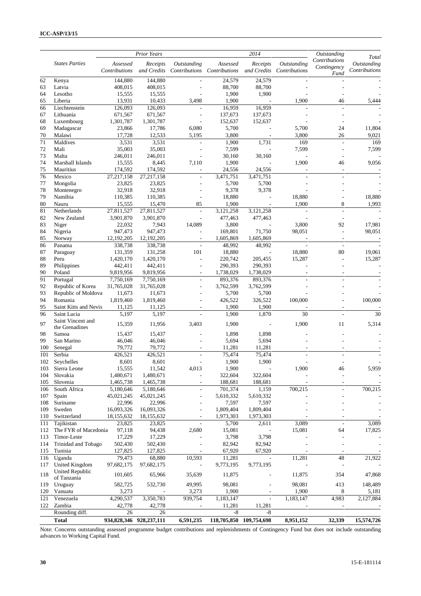|            |                                       |                           | Prior Years             |                          |                                         | $\frac{2014}{ }$         |                              | Outstanding                          |                                       |
|------------|---------------------------------------|---------------------------|-------------------------|--------------------------|-----------------------------------------|--------------------------|------------------------------|--------------------------------------|---------------------------------------|
|            | <b>States Parties</b>                 | Assessed<br>Contributions | Receipts<br>and Credits | Outstanding              | Assessed<br>Contributions Contributions | Receipts<br>and Credits  | Outstanding<br>Contributions | Contributions<br>Contingency<br>Fund | Total<br>Outstanding<br>Contributions |
| 62         | Kenya                                 | 144,880                   | 144,880                 |                          | 24,579                                  | 24,579                   |                              |                                      |                                       |
| 63         | Latvia                                | 408,015                   | 408,015                 |                          | 88,700                                  | 88,700                   |                              |                                      |                                       |
| 64         | Lesotho                               | 15,555                    | 15,555                  |                          | 1,900                                   | 1,900                    |                              |                                      |                                       |
| 65         | Liberia                               | 13,931                    | 10,433                  | 3,498                    | 1,900                                   |                          | 1,900                        | 46                                   | 5,444                                 |
| 66         | Liechtenstein                         | 126,093                   | 126,093                 |                          | 16,959                                  | 16,959                   |                              |                                      |                                       |
| 67         | Lithuania                             | 671,567                   | 671,567                 | ÷,                       | 137,673                                 | 137,673                  |                              |                                      |                                       |
| 68         | Luxembourg                            | 1,301,787                 | 1,301,787               | $\overline{a}$           | 152,637                                 | 152,637                  |                              |                                      |                                       |
| 69         | Madagascar                            | 23,866                    | 17,786                  | 6,080                    | 5,700                                   |                          | 5,700                        | 24                                   | 11,804                                |
| 70         | Malawi                                | 17,728                    | 12,533                  | 5,195                    | 3,800                                   |                          | 3,800                        | 26                                   | 9,021                                 |
| 71         | Maldives                              | 3,531                     | 3,531                   | $\overline{\phantom{a}}$ | 1,900                                   | 1,731                    | 169                          | $\overline{\phantom{a}}$             | 169                                   |
| 72         | Mali                                  | 35,003                    | 35,003                  | L,                       | 7,599                                   |                          | 7,599                        | ÷,                                   | 7,599                                 |
| 73         | Malta                                 | 246,011                   | 246,011                 | Ĭ.                       | 30,160                                  | 30,160                   |                              |                                      |                                       |
| 74         | Marshall Islands                      | 15,555                    | 8,445                   | 7,110                    | 1,900                                   |                          | 1,900                        | 46                                   | 9,056                                 |
| 75         | Mauritius                             | 174,592                   | 174,592                 | $\overline{\phantom{a}}$ | 24,556                                  | 24,556                   | ÷,                           | $\overline{\phantom{a}}$             |                                       |
| 76         | Mexico                                | 27,217,158                | 27, 217, 158            | $\overline{a}$           | 3,471,751                               | 3,471,751                |                              |                                      |                                       |
| 77         | Mongolia                              | 23,825                    | 23,825                  |                          | 5,700                                   | 5,700                    |                              |                                      |                                       |
| 78         | Montenegro                            | 32,918                    | 32,918                  | L,                       | 9,378                                   | 9,378                    |                              |                                      |                                       |
| 79         | Namibia                               | 110,385                   | 110,385                 | L,                       | 18,880                                  |                          | 18,880                       |                                      | 18,880                                |
| 80         | Nauru                                 | 15,555                    | 15,470                  | 85                       | 1,900                                   | $\overline{\phantom{a}}$ | 1,900                        | 8                                    | 1,993                                 |
| 81<br>82   | Netherlands<br>New Zealand            | 27,811,527<br>3,901,870   | 27,811,527<br>3,901,870 | $\Box$<br>÷,             | 3,121,258<br>477,463                    | 3,121,258                | $\blacksquare$               | $\overline{\phantom{a}}$             |                                       |
| 83         |                                       | 22,032                    | 7,943                   | 14,089                   | 3,800                                   | 477,463                  | 3,800                        | 92                                   | 17,981                                |
| 84         | Niger<br>Nigeria                      | 947,473                   | 947,473                 |                          | 169,801                                 | 71,750                   | 98,051                       | ÷,                                   | 98,051                                |
| 85         | Norway                                | 12,192,205                | 12,192,205              | $\overline{a}$           | 1,605,869                               | 1,605,869                | L,                           |                                      |                                       |
| 86         | Panama                                | 338,738                   | 338,738                 | $\frac{1}{2}$            | 48,992                                  | 48,992                   | ÷,                           |                                      |                                       |
| 87         | Paraguay                              | 131,359                   | 131,258                 | 101                      | 18,880                                  |                          | 18,880                       | $\overline{\phantom{a}}$<br>80       | 19,061                                |
| 88         | Peru                                  | 1,420,170                 | 1,420,170               | L,                       | 220,742                                 | 205,455                  | 15,287                       |                                      | 15,287                                |
| 89         | Philippines                           | 442,411                   | 442,411                 | L,                       | 290,393                                 | 290,393                  |                              |                                      |                                       |
| 90         | Poland                                | 9,819,956                 | 9,819,956               | ÷,                       | 1,738,029                               | 1,738,029                |                              |                                      |                                       |
| 91         | Portugal                              | 7,750,169                 | 7,750,169               | $\overline{a}$           | 893,376                                 | 893,376                  |                              |                                      |                                       |
| 92         | Republic of Korea                     | 31,765,028                | 31,765,028              | ÷.                       | 3,762,599                               | 3,762,599                |                              |                                      |                                       |
| 93         | Republic of Moldova                   | 11,673                    | 11,673                  |                          | 5,700                                   | 5,700                    |                              |                                      |                                       |
| 94         | Romania                               | 1,819,460                 | 1,819,460               | L,                       | 426,522                                 | 326,522                  | 100,000                      |                                      | 100,000                               |
| 95         | Saint Kitts and Nevis                 | 11,125                    | 11,125                  |                          | 1,900                                   | 1,900                    |                              |                                      |                                       |
| 96         | Saint Lucia                           | 5,197                     | 5,197                   |                          | 1,900                                   | 1,870                    | 30                           |                                      | 30                                    |
|            | Saint Vincent and                     |                           |                         |                          |                                         |                          |                              |                                      |                                       |
| 97         | the Grenadines                        | 15,359                    | 11,956                  | 3,403                    | 1,900                                   | $\overline{\phantom{a}}$ | 1,900                        | 11                                   | 5,314                                 |
| 98         | Samoa                                 | 15,437                    | 15,437                  |                          | 1,898                                   | 1,898                    |                              |                                      |                                       |
| 99         | San Marino                            | 46,046                    | 46,046                  |                          | 5,694                                   | 5,694                    |                              |                                      |                                       |
| 100        | Senegal                               | 79,772                    | 79,772                  | ÷,                       | 11,281                                  | 11,281                   | ٠                            |                                      |                                       |
| 101        | Serbia                                | 426,521                   | 426,521                 | L,                       | 75,474                                  | 75,474                   |                              |                                      |                                       |
| 102        | Seychelles                            | 8,601                     | 8,601                   | L,                       | 1,900                                   | 1,900                    | ÷,                           |                                      |                                       |
| 103        | Sierra Leone                          | 15,555                    | 11,542                  | 4,013                    | 1,900                                   |                          | 1,900                        | 46                                   | 5,959                                 |
| 104        | Slovakia                              | 1,480,671                 | 1,480,671               |                          | 322,604                                 | 322,604                  |                              |                                      |                                       |
| 105        | Slovenia                              | 1,465,738                 | 1,465,738               | $\overline{\phantom{a}}$ | 188,681                                 | 188,681                  | $\overline{\phantom{a}}$     | $\overline{a}$                       |                                       |
| 106        | South Africa                          | 5,180,646                 | 5,180,646               | $\overline{\phantom{a}}$ | 701,374                                 | 1,159                    | 700,215                      | $\overline{a}$                       | 700,215                               |
| 107        | Spain                                 | 45,021,245                | 45,021,245              | ÷,                       | 5,610,332                               | 5,610,332                |                              |                                      |                                       |
| 108        | Suriname                              | 22,996                    | 22,996                  | L,                       | 7,597                                   | 7,597                    |                              |                                      |                                       |
| 109        | Sweden                                | 16,093,326                | 16,093,326              |                          | 1,809,404                               | 1,809,404                |                              |                                      |                                       |
| 110        | Switzerland                           | 18,155,632                | 18,155,632              |                          | 1,973,303                               | 1,973,303                |                              |                                      |                                       |
| 111        | Tajikistan                            | 23,825                    | 23,825                  |                          | 5,700                                   | 2,611                    | 3,089                        | $\sim$                               | 3,089                                 |
| 112        | The FYR of Macedonia                  | 97,118                    | 94,438                  | 2,680                    | 15,081                                  |                          | 15,081                       | 64                                   | 17,825                                |
| 113        | Timor-Leste                           | 17,229                    | 17,229                  |                          | 3,798                                   | 3,798                    |                              |                                      |                                       |
| 114        | Trinidad and Tobago                   | 502,430                   | 502,430                 |                          | 82,942                                  | 82,942                   |                              |                                      |                                       |
| 115        | Tunisia                               | 127,825                   | 127,825                 |                          | 67,920                                  | 67,920                   |                              |                                      |                                       |
| 116<br>117 | Uganda<br>United Kingdom              | 79,473<br>97,682,175      | 68,880<br>97,682,175    | 10,593                   | 11,281<br>9,773,195                     | 9,773,195                | 11,281                       | 48                                   | 21,922                                |
| 118        | <b>United Republic</b><br>of Tanzania | 101,605                   | 65,966                  | 35,639                   | 11,875                                  |                          | 11,875                       | 354                                  | 47,868                                |
| 119        | Uruguay                               | 582,725                   | 532,730                 | 49,995                   | 98,081                                  |                          | 98,081                       | 413                                  | 148,489                               |
| 120        | Vanuatu                               | 3,273                     |                         | 3,273                    | 1,900                                   |                          | 1,900                        | 8                                    | 5,181                                 |
| 121        | Venezuela                             | 4,290,537                 | 3,350,783               | 939,754                  | 1,183,147                               |                          | 1,183,147                    | $\overline{4,983}$                   | 2,127,884                             |
| 122        | Zambia                                | 42,778                    | 42,778                  | $\overline{\phantom{a}}$ | 11,281                                  | 11,281                   | ä,                           | ÷,                                   |                                       |
|            | Rounding diff.                        | 26                        | 26                      |                          | $-8$                                    | -8                       |                              |                                      |                                       |
|            | <b>Total</b>                          |                           | 934,828,346 928,237,111 | 6,591,235                |                                         | 118,705,850 109,754,698  | 8,951,152                    | 32,339                               | 15,574,726                            |

Note: Concerns outstanding assessed programme budget contributions and replenishments of Contingency Fund but does not include outstanding advances to Working Capital Fund.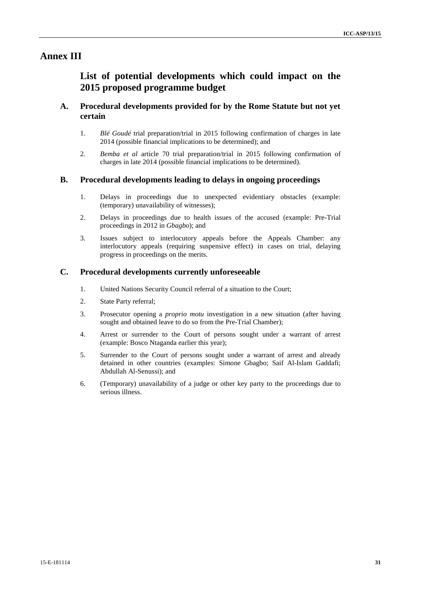## **Annex III**

# **List of potential developments which could impact on the 2015 proposed programme budget**

## **A. Procedural developments provided for by the Rome Statute but not yet certain**

- 1. *Blé Goudé* trial preparation/trial in 2015 following confirmation of charges in late 2014 (possible financial implications to be determined); and
- 2. *Bemba et al* article 70 trial preparation/trial in 2015 following confirmation of charges in late 2014 (possible financial implications to be determined).

### **B. Procedural developments leading to delays in ongoing proceedings**

- 1. Delays in proceedings due to unexpected evidentiary obstacles (example: (temporary) unavailability of witnesses);
- 2. Delays in proceedings due to health issues of the accused (example: Pre-Trial proceedings in 2012 in *Gbagbo*); and
- 3. Issues subject to interlocutory appeals before the Appeals Chamber: any interlocutory appeals (requiring suspensive effect) in cases on trial, delaying progress in proceedings on the merits.

### **C. Procedural developments currently unforeseeable**

- 1. United Nations Security Council referral of a situation to the Court;
- 2. State Party referral;
- 3. Prosecutor opening a *proprio motu* investigation in a new situation (after having sought and obtained leave to do so from the Pre-Trial Chamber):
- 4. Arrest or surrender to the Court of persons sought under a warrant of arrest (example: Bosco Ntaganda earlier this year);
- 5. Surrender to the Court of persons sought under a warrant of arrest and already detained in other countries (examples: Simone Gbagbo; Saif Al-Islam Gaddafi; Abdullah Al-Senussi); and
- 6. (Temporary) unavailability of a judge or other key party to the proceedings due to serious illness.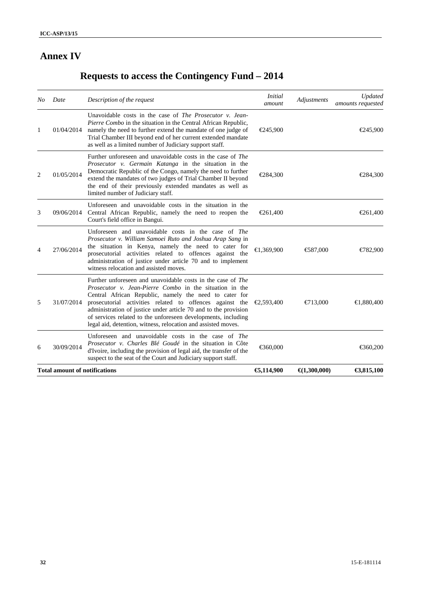# **Annex IV**

# **Requests to access the Contingency Fund – 2014**

| No. | Date                                 | Description of the request                                                                                                                                                                                                                                                                                                                                                                                                                                      | <i>Initial</i><br>amount | Adjustments            | Updated<br>amounts requested |
|-----|--------------------------------------|-----------------------------------------------------------------------------------------------------------------------------------------------------------------------------------------------------------------------------------------------------------------------------------------------------------------------------------------------------------------------------------------------------------------------------------------------------------------|--------------------------|------------------------|------------------------------|
| 1   | 01/04/2014                           | Unavoidable costs in the case of <i>The Prosecutor v. Jean-</i><br>Pierre Combo in the situation in the Central African Republic,<br>namely the need to further extend the mandate of one judge of<br>Trial Chamber III beyond end of her current extended mandate<br>as well as a limited number of Judiciary support staff.                                                                                                                                   | €245,900                 |                        | €245,900                     |
| 2   | 01/05/2014                           | Further unforeseen and unavoidable costs in the case of <i>The</i><br>Prosecutor v. Germain Katanga in the situation in the<br>Democratic Republic of the Congo, namely the need to further<br>extend the mandates of two judges of Trial Chamber II beyond<br>the end of their previously extended mandates as well as<br>limited number of Judiciary staff.                                                                                                   | €284,300                 |                        | €284,300                     |
| 3   | 09/06/2014                           | Unforeseen and unavoidable costs in the situation in the<br>Central African Republic, namely the need to reopen the<br>Court's field office in Bangui.                                                                                                                                                                                                                                                                                                          | €261,400                 |                        | €261,400                     |
| 4   | 27/06/2014                           | Unforeseen and unavoidable costs in the case of The<br>Prosecutor v. William Samoei Ruto and Joshua Arap Sang in<br>the situation in Kenya, namely the need to cater for<br>prosecutorial activities related to offences against the<br>administration of justice under article 70 and to implement<br>witness relocation and assisted moves.                                                                                                                   | €1,369,900               | €87,000                | €782,900                     |
| 5   | 31/07/2014                           | Further unforeseen and unavoidable costs in the case of <i>The</i><br><i>Prosecutor v. Jean-Pierre Combo</i> in the situation in the<br>Central African Republic, namely the need to cater for<br>prosecutorial activities related to offences against the<br>administration of justice under article 70 and to the provision<br>of services related to the unforeseen developments, including<br>legal aid, detention, witness, relocation and assisted moves. | €2,593,400               | $\bigoplus$ 13,000     | €1,880,400                   |
| 6   | 30/09/2014                           | Unforeseen and unavoidable costs in the case of The<br>Prosecutor v. Charles Blé Goudé in the situation in Côte<br>d'Ivoire, including the provision of legal aid, the transfer of the<br>suspect to the seat of the Court and Judiciary support staff.                                                                                                                                                                                                         | €360,000                 |                        | €360,200                     |
|     | <b>Total amount of notifications</b> |                                                                                                                                                                                                                                                                                                                                                                                                                                                                 | €5,114,900               | $\bigoplus$ 1,300,000) | €3,815,100                   |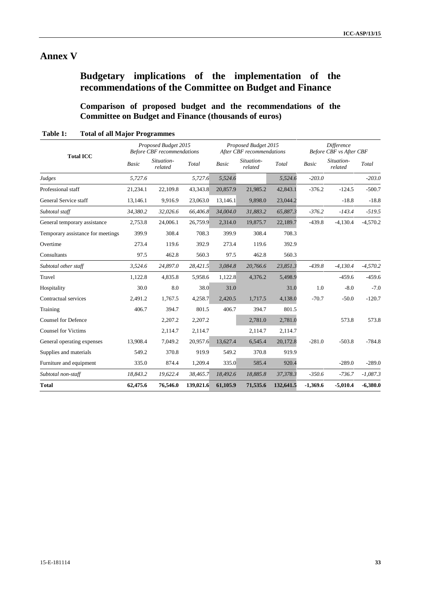# **Annex V**

# **Budgetary implications of the implementation of the recommendations of the Committee on Budget and Finance**

**Comparison of proposed budget and the recommendations of the Committee on Budget and Finance (thousands of euros)**

|                                   | Proposed Budget 2015<br><b>Before CBF</b> recommendations |                       |           |              | Proposed Budget 2015<br>After CBF recommendations |           |              | <b>Difference</b><br><b>Before CBF</b> vs After CBF |            |  |
|-----------------------------------|-----------------------------------------------------------|-----------------------|-----------|--------------|---------------------------------------------------|-----------|--------------|-----------------------------------------------------|------------|--|
| <b>Total ICC</b>                  | <b>Basic</b>                                              | Situation-<br>related | Total     | <b>Basic</b> | Situation-<br>related                             | Total     | <b>Basic</b> | Situation-<br>related                               | Total      |  |
| Judges                            | 5,727.6                                                   |                       | 5,727.6   | 5,524.6      |                                                   | 5,524.6   | $-203.0$     |                                                     | $-203.0$   |  |
| Professional staff                | 21,234.1                                                  | 22,109.8              | 43,343.8  | 20,857.9     | 21,985.2                                          | 42,843.1  | $-376.2$     | $-124.5$                                            | $-500.7$   |  |
| General Service staff             | 13,146.1                                                  | 9.916.9               | 23,063.0  | 13,146.1     | 9,898.0                                           | 23,044.2  |              | $-18.8$                                             | $-18.8$    |  |
| Subtotal staff                    | 34,380.2                                                  | 32,026.6              | 66,406.8  | 34,004.0     | 31,883.2                                          | 65,887.3  | $-376.2$     | $-143.4$                                            | $-519.5$   |  |
| General temporary assistance      | 2,753.8                                                   | 24,006.1              | 26,759.9  | 2,314.0      | 19,875.7                                          | 22,189.7  | $-439.8$     | $-4,130.4$                                          | $-4,570.2$ |  |
| Temporary assistance for meetings | 399.9                                                     | 308.4                 | 708.3     | 399.9        | 308.4                                             | 708.3     |              |                                                     |            |  |
| Overtime                          | 273.4                                                     | 119.6                 | 392.9     | 273.4        | 119.6                                             | 392.9     |              |                                                     |            |  |
| Consultants                       | 97.5                                                      | 462.8                 | 560.3     | 97.5         | 462.8                                             | 560.3     |              |                                                     |            |  |
| Subtotal other staff              | 3,524.6                                                   | 24,897.0              | 28,421.5  | 3,084.8      | 20,766.6                                          | 23,851.3  | $-439.8$     | $-4,130.4$                                          | $-4,570.2$ |  |
| Travel                            | 1,122.8                                                   | 4,835.8               | 5,958.6   | 1,122.8      | 4,376.2                                           | 5,498.9   |              | $-459.6$                                            | $-459.6$   |  |
| Hospitality                       | 30.0                                                      | 8.0                   | 38.0      | 31.0         |                                                   | 31.0      | 1.0          | $-8.0$                                              | $-7.0$     |  |
| Contractual services              | 2,491.2                                                   | 1,767.5               | 4,258.7   | 2,420.5      | 1,717.5                                           | 4,138.0   | $-70.7$      | $-50.0$                                             | $-120.7$   |  |
| Training                          | 406.7                                                     | 394.7                 | 801.5     | 406.7        | 394.7                                             | 801.5     |              |                                                     |            |  |
| <b>Counsel for Defence</b>        |                                                           | 2,207.2               | 2,207.2   |              | 2,781.0                                           | 2,781.0   |              | 573.8                                               | 573.8      |  |
| <b>Counsel for Victims</b>        |                                                           | 2,114.7               | 2,114.7   |              | 2,114.7                                           | 2,114.7   |              |                                                     |            |  |
| General operating expenses        | 13,908.4                                                  | 7,049.2               | 20,957.6  | 13,627.4     | 6,545.4                                           | 20,172.8  | $-281.0$     | $-503.8$                                            | $-784.8$   |  |
| Supplies and materials            | 549.2                                                     | 370.8                 | 919.9     | 549.2        | 370.8                                             | 919.9     |              |                                                     |            |  |
| Furniture and equipment           | 335.0                                                     | 874.4                 | 1,209.4   | 335.0        | 585.4                                             | 920.4     |              | $-289.0$                                            | $-289.0$   |  |
| Subtotal non-staff                | 18,843.2                                                  | 19,622.4              | 38,465.7  | 18,492.6     | 18,885.8                                          | 37,378.3  | $-350.6$     | $-736.7$                                            | $-1,087.3$ |  |
| <b>Total</b>                      | 62,475.6                                                  | 76,546.0              | 139,021.6 | 61,105.9     | 71,535.6                                          | 132,641.5 | $-1,369.6$   | $-5,010.4$                                          | $-6,380.0$ |  |

**Table 1: Total of all Major Programmes**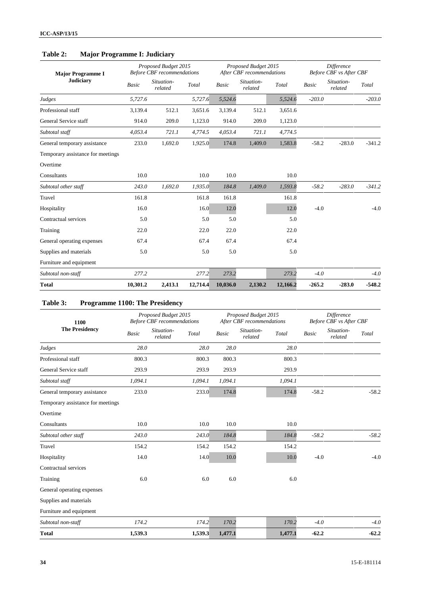| Table 2: | <b>Major Programme I: Judiciary</b> |  |
|----------|-------------------------------------|--|
|----------|-------------------------------------|--|

| <b>Major Programme I</b>          | Proposed Budget 2015<br><b>Before CBF</b> recommendations |                       |          |              | Proposed Budget 2015<br>After CBF recommendations |          | Difference<br><b>Before CBF</b> vs After CBF |                       |          |
|-----------------------------------|-----------------------------------------------------------|-----------------------|----------|--------------|---------------------------------------------------|----------|----------------------------------------------|-----------------------|----------|
| <b>Judiciary</b>                  | Basic                                                     | Situation-<br>related | Total    | <b>Basic</b> | Situation-<br>related                             | Total    | <b>Basic</b>                                 | Situation-<br>related | Total    |
| Judges                            | 5,727.6                                                   |                       | 5,727.6  | 5,524.6      |                                                   | 5,524.6  | $-203.0$                                     |                       | $-203.0$ |
| Professional staff                | 3.139.4                                                   | 512.1                 | 3,651.6  | 3,139.4      | 512.1                                             | 3,651.6  |                                              |                       |          |
| General Service staff             | 914.0                                                     | 209.0                 | 1,123.0  | 914.0        | 209.0                                             | 1,123.0  |                                              |                       |          |
| Subtotal staff                    | 4,053.4                                                   | 721.1                 | 4,774.5  | 4,053.4      | 721.1                                             | 4,774.5  |                                              |                       |          |
| General temporary assistance      | 233.0                                                     | 1,692.0               | 1,925.0  | 174.8        | 1,409.0                                           | 1,583.8  | $-58.2$                                      | $-283.0$              | $-341.2$ |
| Temporary assistance for meetings |                                                           |                       |          |              |                                                   |          |                                              |                       |          |
| Overtime                          |                                                           |                       |          |              |                                                   |          |                                              |                       |          |
| Consultants                       | 10.0                                                      |                       | 10.0     | 10.0         |                                                   | 10.0     |                                              |                       |          |
| Subtotal other staff              | 243.0                                                     | 1,692.0               | 1,935.0  | 184.8        | 1,409.0                                           | 1,593.8  | $-58.2$                                      | $-283.0$              | $-341.2$ |
| Travel                            | 161.8                                                     |                       | 161.8    | 161.8        |                                                   | 161.8    |                                              |                       |          |
| Hospitality                       | 16.0                                                      |                       | 16.0     | 12.0         |                                                   | 12.0     | $-4.0$                                       |                       | $-4.0$   |
| Contractual services              | 5.0                                                       |                       | 5.0      | 5.0          |                                                   | 5.0      |                                              |                       |          |
| Training                          | 22.0                                                      |                       | 22.0     | 22.0         |                                                   | 22.0     |                                              |                       |          |
| General operating expenses        | 67.4                                                      |                       | 67.4     | 67.4         |                                                   | 67.4     |                                              |                       |          |
| Supplies and materials            | 5.0                                                       |                       | 5.0      | 5.0          |                                                   | 5.0      |                                              |                       |          |
| Furniture and equipment           |                                                           |                       |          |              |                                                   |          |                                              |                       |          |
| Subtotal non-staff                | 277.2                                                     |                       | 277.2    | 273.2        |                                                   | 273.2    | $-4.0$                                       |                       | $-4.0$   |
| <b>Total</b>                      | 10,301.2                                                  | 2,413.1               | 12,714.4 | 10,036.0     | 2,130.2                                           | 12,166.2 | $-265.2$                                     | $-283.0$              | $-548.2$ |

# **Table 3: Programme 1100: The Presidency**

| 1100                              | Proposed Budget 2015<br><b>Before CBF</b> recommendations |                                |              | Proposed Budget 2015<br>After CBF recommendations |         |              | Difference<br><b>Before CBF</b> vs After CBF |         |  |
|-----------------------------------|-----------------------------------------------------------|--------------------------------|--------------|---------------------------------------------------|---------|--------------|----------------------------------------------|---------|--|
| <b>The Presidency</b>             | <b>Basic</b>                                              | Situation-<br>Total<br>related | <b>Basic</b> | Situation-<br>related                             | Total   | <b>Basic</b> | Situation-<br>related                        | Total   |  |
| Judges                            | 28.0                                                      | 28.0                           | 28.0         |                                                   | 28.0    |              |                                              |         |  |
| Professional staff                | 800.3                                                     | 800.3                          | 800.3        |                                                   | 800.3   |              |                                              |         |  |
| General Service staff             | 293.9                                                     | 293.9                          | 293.9        |                                                   | 293.9   |              |                                              |         |  |
| Subtotal staff                    | 1,094.1                                                   | 1,094.1                        | 1,094.1      |                                                   | 1,094.1 |              |                                              |         |  |
| General temporary assistance      | 233.0                                                     | 233.0                          | 174.8        |                                                   | 174.8   | $-58.2$      |                                              | $-58.2$ |  |
| Temporary assistance for meetings |                                                           |                                |              |                                                   |         |              |                                              |         |  |
| Overtime                          |                                                           |                                |              |                                                   |         |              |                                              |         |  |
| Consultants                       | 10.0                                                      | 10.0                           | 10.0         |                                                   | 10.0    |              |                                              |         |  |
| Subtotal other staff              | 243.0                                                     | 243.0                          | 184.8        |                                                   | 184.8   | $-58.2$      |                                              | $-58.2$ |  |
| Travel                            | 154.2                                                     | 154.2                          | 154.2        |                                                   | 154.2   |              |                                              |         |  |
| Hospitality                       | 14.0                                                      | 14.0                           | 10.0         |                                                   | 10.0    | $-4.0$       |                                              | $-4.0$  |  |
| Contractual services              |                                                           |                                |              |                                                   |         |              |                                              |         |  |
| Training                          | 6.0                                                       | 6.0                            | 6.0          |                                                   | 6.0     |              |                                              |         |  |
| General operating expenses        |                                                           |                                |              |                                                   |         |              |                                              |         |  |
| Supplies and materials            |                                                           |                                |              |                                                   |         |              |                                              |         |  |
| Furniture and equipment           |                                                           |                                |              |                                                   |         |              |                                              |         |  |
| Subtotal non-staff                | 174.2                                                     | 174.2                          | 170.2        |                                                   | 170.2   | $-4.0$       |                                              | $-4.0$  |  |
| <b>Total</b>                      | 1,539.3                                                   | 1,539.3                        | 1,477.1      |                                                   | 1,477.1 | $-62.2$      |                                              | $-62.2$ |  |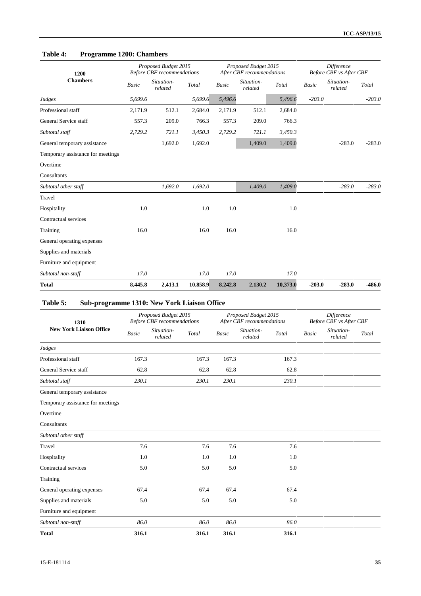## **Table 4: Programme 1200: Chambers**

| 1200                              |              | Proposed Budget 2015<br><b>Before CBF</b> recommendations |          |              | Proposed Budget 2015<br>After CBF recommendations |          |              | Difference<br><b>Before CBF</b> vs After CBF |          |  |
|-----------------------------------|--------------|-----------------------------------------------------------|----------|--------------|---------------------------------------------------|----------|--------------|----------------------------------------------|----------|--|
| <b>Chambers</b>                   | <b>Basic</b> | Situation-<br>related                                     | Total    | <b>Basic</b> | Situation-<br>related                             | Total    | <b>Basic</b> | Situation-<br>related                        | Total    |  |
| Judges                            | 5,699.6      |                                                           | 5,699.6  | 5,496.6      |                                                   | 5,496.6  | $-203.0$     |                                              | $-203.0$ |  |
| Professional staff                | 2,171.9      | 512.1                                                     | 2,684.0  | 2,171.9      | 512.1                                             | 2,684.0  |              |                                              |          |  |
| General Service staff             | 557.3        | 209.0                                                     | 766.3    | 557.3        | 209.0                                             | 766.3    |              |                                              |          |  |
| Subtotal staff                    | 2,729.2      | 721.1                                                     | 3,450.3  | 2,729.2      | 721.1                                             | 3,450.3  |              |                                              |          |  |
| General temporary assistance      |              | 1,692.0                                                   | 1,692.0  |              | 1,409.0                                           | 1,409.0  |              | $-283.0$                                     | $-283.0$ |  |
| Temporary assistance for meetings |              |                                                           |          |              |                                                   |          |              |                                              |          |  |
| Overtime                          |              |                                                           |          |              |                                                   |          |              |                                              |          |  |
| Consultants                       |              |                                                           |          |              |                                                   |          |              |                                              |          |  |
| Subtotal other staff              |              | 1,692.0                                                   | 1,692.0  |              | 1,409.0                                           | 1,409.0  |              | $-283.0$                                     | $-283.0$ |  |
| Travel                            |              |                                                           |          |              |                                                   |          |              |                                              |          |  |
| Hospitality                       | 1.0          |                                                           | 1.0      | 1.0          |                                                   | 1.0      |              |                                              |          |  |
| Contractual services              |              |                                                           |          |              |                                                   |          |              |                                              |          |  |
| Training                          | 16.0         |                                                           | 16.0     | 16.0         |                                                   | 16.0     |              |                                              |          |  |
| General operating expenses        |              |                                                           |          |              |                                                   |          |              |                                              |          |  |
| Supplies and materials            |              |                                                           |          |              |                                                   |          |              |                                              |          |  |
| Furniture and equipment           |              |                                                           |          |              |                                                   |          |              |                                              |          |  |
| Subtotal non-staff                | 17.0         |                                                           | 17.0     | 17.0         |                                                   | 17.0     |              |                                              |          |  |
| <b>Total</b>                      | 8,445.8      | 2,413.1                                                   | 10,858.9 | 8,242.8      | 2,130.2                                           | 10,373.0 | $-203.0$     | $-283.0$                                     | $-486.0$ |  |

# **Table 5: Sub-programme 1310: New York Liaison Office**

| 1310                              |       | Proposed Budget 2015<br><b>Before CBF</b> recommendations |       |              | Proposed Budget 2015<br>After CBF recommendations |       |              | Difference<br><b>Before CBF vs After CBF</b> |       |
|-----------------------------------|-------|-----------------------------------------------------------|-------|--------------|---------------------------------------------------|-------|--------------|----------------------------------------------|-------|
| <b>New York Liaison Office</b>    | Basic | Situation-<br>related                                     | Total | <b>Basic</b> | Situation-<br>related                             | Total | <b>Basic</b> | Situation-<br>related                        | Total |
| Judges                            |       |                                                           |       |              |                                                   |       |              |                                              |       |
| Professional staff                | 167.3 |                                                           | 167.3 | 167.3        |                                                   | 167.3 |              |                                              |       |
| General Service staff             | 62.8  |                                                           | 62.8  | 62.8         |                                                   | 62.8  |              |                                              |       |
| Subtotal staff                    | 230.1 |                                                           | 230.1 | 230.1        |                                                   | 230.1 |              |                                              |       |
| General temporary assistance      |       |                                                           |       |              |                                                   |       |              |                                              |       |
| Temporary assistance for meetings |       |                                                           |       |              |                                                   |       |              |                                              |       |
| Overtime                          |       |                                                           |       |              |                                                   |       |              |                                              |       |
| Consultants                       |       |                                                           |       |              |                                                   |       |              |                                              |       |
| Subtotal other staff              |       |                                                           |       |              |                                                   |       |              |                                              |       |
| Travel                            | 7.6   |                                                           | 7.6   | 7.6          |                                                   | 7.6   |              |                                              |       |
| Hospitality                       | 1.0   |                                                           | 1.0   | 1.0          |                                                   | 1.0   |              |                                              |       |
| Contractual services              | 5.0   |                                                           | 5.0   | 5.0          |                                                   | 5.0   |              |                                              |       |
| Training                          |       |                                                           |       |              |                                                   |       |              |                                              |       |
| General operating expenses        | 67.4  |                                                           | 67.4  | 67.4         |                                                   | 67.4  |              |                                              |       |
| Supplies and materials            | 5.0   |                                                           | 5.0   | 5.0          |                                                   | 5.0   |              |                                              |       |
| Furniture and equipment           |       |                                                           |       |              |                                                   |       |              |                                              |       |
| Subtotal non-staff                | 86.0  |                                                           | 86.0  | 86.0         |                                                   | 86.0  |              |                                              |       |
| <b>Total</b>                      | 316.1 |                                                           | 316.1 | 316.1        |                                                   | 316.1 |              |                                              |       |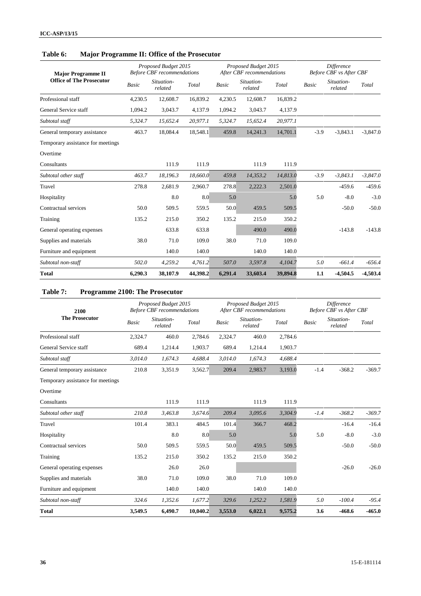| <b>Major Programme II</b>         |         | Proposed Budget 2015<br><b>Before CBF</b> recommendations |          |              | Proposed Budget 2015<br>After CBF recommendations |          | <b>Difference</b><br><b>Before CBF</b> vs After CBF |                       |            |
|-----------------------------------|---------|-----------------------------------------------------------|----------|--------------|---------------------------------------------------|----------|-----------------------------------------------------|-----------------------|------------|
| <b>Office of The Prosecutor</b>   | Basic   | Situation-<br>related                                     | Total    | <b>Basic</b> | Situation-<br>related                             | Total    | <b>Basic</b>                                        | Situation-<br>related | Total      |
| Professional staff                | 4,230.5 | 12,608.7                                                  | 16,839.2 | 4,230.5      | 12,608.7                                          | 16,839.2 |                                                     |                       |            |
| General Service staff             | 1,094.2 | 3,043.7                                                   | 4,137.9  | 1,094.2      | 3,043.7                                           | 4,137.9  |                                                     |                       |            |
| Subtotal staff                    | 5,324.7 | 15,652.4                                                  | 20,977.1 | 5,324.7      | 15,652.4                                          | 20,977.1 |                                                     |                       |            |
| General temporary assistance      | 463.7   | 18,084.4                                                  | 18,548.1 | 459.8        | 14,241.3                                          | 14,701.1 | $-3.9$                                              | $-3,843.1$            | $-3,847.0$ |
| Temporary assistance for meetings |         |                                                           |          |              |                                                   |          |                                                     |                       |            |
| Overtime                          |         |                                                           |          |              |                                                   |          |                                                     |                       |            |
| Consultants                       |         | 111.9                                                     | 111.9    |              | 111.9                                             | 111.9    |                                                     |                       |            |
| Subtotal other staff              | 463.7   | 18,196.3                                                  | 18,660.0 | 459.8        | 14,353.2                                          | 14,813.0 | $-3.9$                                              | $-3,843.1$            | $-3,847.0$ |
| Travel                            | 278.8   | 2,681.9                                                   | 2,960.7  | 278.8        | 2,222.3                                           | 2,501.0  |                                                     | $-459.6$              | $-459.6$   |
| Hospitality                       |         | 8.0                                                       | 8.0      | 5.0          |                                                   | 5.0      | 5.0                                                 | $-8.0$                | $-3.0$     |
| Contractual services              | 50.0    | 509.5                                                     | 559.5    | 50.0         | 459.5                                             | 509.5    |                                                     | $-50.0$               | $-50.0$    |
| Training                          | 135.2   | 215.0                                                     | 350.2    | 135.2        | 215.0                                             | 350.2    |                                                     |                       |            |
| General operating expenses        |         | 633.8                                                     | 633.8    |              | 490.0                                             | 490.0    |                                                     | $-143.8$              | $-143.8$   |
| Supplies and materials            | 38.0    | 71.0                                                      | 109.0    | 38.0         | 71.0                                              | 109.0    |                                                     |                       |            |
| Furniture and equipment           |         | 140.0                                                     | 140.0    |              | 140.0                                             | 140.0    |                                                     |                       |            |
| Subtotal non-staff                | 502.0   | 4,259.2                                                   | 4,761.2  | 507.0        | 3,597.8                                           | 4,104.7  | 5.0                                                 | $-661.4$              | $-656.4$   |
| Total                             | 6,290.3 | 38,107.9                                                  | 44,398.2 | 6,291.4      | 33,603.4                                          | 39,894.8 | 1.1                                                 | $-4,504.5$            | $-4,503.4$ |

# **Table 6: Major Programme II: Office of the Prosecutor**

## **Table 7: Programme 2100: The Prosecutor**

| 2100                              |              | Proposed Budget 2015<br><b>Before CBF</b> recommendations |          |              | Proposed Budget 2015<br>After CBF recommendations |         | <b>Difference</b><br><b>Before CBF</b> vs After CBF |                       |          |
|-----------------------------------|--------------|-----------------------------------------------------------|----------|--------------|---------------------------------------------------|---------|-----------------------------------------------------|-----------------------|----------|
| <b>The Prosecutor</b>             | <b>Basic</b> | Situation-<br>related                                     | Total    | <b>Basic</b> | Situation-<br>related                             | Total   | <b>Basic</b>                                        | Situation-<br>related | Total    |
| Professional staff                | 2,324.7      | 460.0                                                     | 2,784.6  | 2,324.7      | 460.0                                             | 2,784.6 |                                                     |                       |          |
| General Service staff             | 689.4        | 1,214.4                                                   | 1,903.7  | 689.4        | 1,214.4                                           | 1,903.7 |                                                     |                       |          |
| Subtotal staff                    | 3,014.0      | 1,674.3                                                   | 4,688.4  | 3,014.0      | 1,674.3                                           | 4,688.4 |                                                     |                       |          |
| General temporary assistance      | 210.8        | 3,351.9                                                   | 3,562.7  | 209.4        | 2,983.7                                           | 3,193.0 | $-1.4$                                              | $-368.2$              | $-369.7$ |
| Temporary assistance for meetings |              |                                                           |          |              |                                                   |         |                                                     |                       |          |
| Overtime                          |              |                                                           |          |              |                                                   |         |                                                     |                       |          |
| Consultants                       |              | 111.9                                                     | 111.9    |              | 111.9                                             | 111.9   |                                                     |                       |          |
| Subtotal other staff              | 210.8        | 3,463.8                                                   | 3,674.6  | 209.4        | 3,095.6                                           | 3,304.9 | $-1.4$                                              | $-368.2$              | $-369.7$ |
| Travel                            | 101.4        | 383.1                                                     | 484.5    | 101.4        | 366.7                                             | 468.2   |                                                     | $-16.4$               | $-16.4$  |
| Hospitality                       |              | 8.0                                                       | 8.0      | 5.0          |                                                   | 5.0     | 5.0                                                 | $-8.0$                | $-3.0$   |
| Contractual services              | 50.0         | 509.5                                                     | 559.5    | 50.0         | 459.5                                             | 509.5   |                                                     | $-50.0$               | $-50.0$  |
| Training                          | 135.2        | 215.0                                                     | 350.2    | 135.2        | 215.0                                             | 350.2   |                                                     |                       |          |
| General operating expenses        |              | 26.0                                                      | 26.0     |              |                                                   |         |                                                     | $-26.0$               | $-26.0$  |
| Supplies and materials            | 38.0         | 71.0                                                      | 109.0    | 38.0         | 71.0                                              | 109.0   |                                                     |                       |          |
| Furniture and equipment           |              | 140.0                                                     | 140.0    |              | 140.0                                             | 140.0   |                                                     |                       |          |
| Subtotal non-staff                | 324.6        | 1,352.6                                                   | 1,677.2  | 329.6        | 1,252.2                                           | 1,581.9 | 5.0                                                 | $-100.4$              | $-95.4$  |
| <b>Total</b>                      | 3,549.5      | 6,490.7                                                   | 10.040.2 | 3,553.0      | 6,022.1                                           | 9,575.2 | 3.6                                                 | $-468.6$              | $-465.0$ |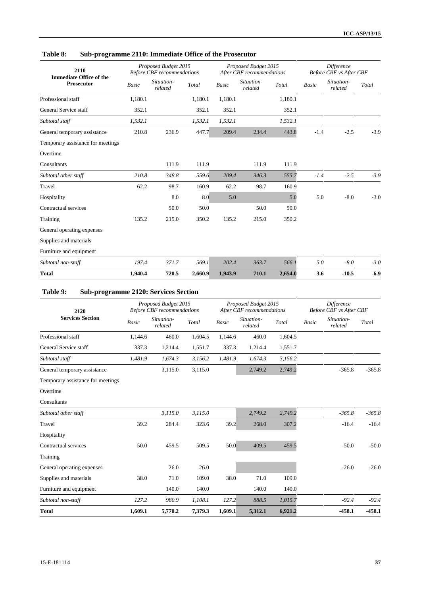| 2110<br><b>Immediate Office of the</b> |              | Proposed Budget 2015<br><b>Before CBF</b> recommendations |         |              | Proposed Budget 2015<br>After CBF recommendations |         |              | Difference<br><b>Before CBF</b> vs After CBF |        |  |
|----------------------------------------|--------------|-----------------------------------------------------------|---------|--------------|---------------------------------------------------|---------|--------------|----------------------------------------------|--------|--|
| <b>Prosecutor</b>                      | <b>Basic</b> | Situation-<br>related                                     | Total   | <b>Basic</b> | Situation-<br>related                             | Total   | <b>Basic</b> | Situation-<br>related                        | Total  |  |
| Professional staff                     | 1,180.1      |                                                           | 1,180.1 | 1,180.1      |                                                   | 1,180.1 |              |                                              |        |  |
| General Service staff                  | 352.1        |                                                           | 352.1   | 352.1        |                                                   | 352.1   |              |                                              |        |  |
| Subtotal staff                         | 1,532.1      |                                                           | 1,532.1 | 1,532.1      |                                                   | 1,532.1 |              |                                              |        |  |
| General temporary assistance           | 210.8        | 236.9                                                     | 447.7   | 209.4        | 234.4                                             | 443.8   | $-1.4$       | $-2.5$                                       | $-3.9$ |  |
| Temporary assistance for meetings      |              |                                                           |         |              |                                                   |         |              |                                              |        |  |
| Overtime                               |              |                                                           |         |              |                                                   |         |              |                                              |        |  |
| Consultants                            |              | 111.9                                                     | 111.9   |              | 111.9                                             | 111.9   |              |                                              |        |  |
| Subtotal other staff                   | 210.8        | 348.8                                                     | 559.6   | 209.4        | 346.3                                             | 555.7   | $-1.4$       | $-2.5$                                       | $-3.9$ |  |
| Travel                                 | 62.2         | 98.7                                                      | 160.9   | 62.2         | 98.7                                              | 160.9   |              |                                              |        |  |
| Hospitality                            |              | 8.0                                                       | 8.0     | 5.0          |                                                   | 5.0     | 5.0          | $-8.0$                                       | $-3.0$ |  |
| Contractual services                   |              | 50.0                                                      | 50.0    |              | 50.0                                              | 50.0    |              |                                              |        |  |
| Training                               | 135.2        | 215.0                                                     | 350.2   | 135.2        | 215.0                                             | 350.2   |              |                                              |        |  |
| General operating expenses             |              |                                                           |         |              |                                                   |         |              |                                              |        |  |
| Supplies and materials                 |              |                                                           |         |              |                                                   |         |              |                                              |        |  |
| Furniture and equipment                |              |                                                           |         |              |                                                   |         |              |                                              |        |  |
| Subtotal non-staff                     | 197.4        | 371.7                                                     | 569.1   | 202.4        | 363.7                                             | 566.1   | 5.0          | $-8.0$                                       | $-3.0$ |  |
| <b>Total</b>                           | 1,940.4      | 720.5                                                     | 2,660.9 | 1,943.9      | 710.1                                             | 2,654.0 | 3.6          | $-10.5$                                      | $-6.9$ |  |

## **Table 8: Sub-programme 2110: Immediate Office of the Prosecutor**

# **Table 9: Sub-programme 2120: Services Section**

| 2120                              |         | Proposed Budget 2015<br><b>Before CBF</b> recommendations |         |              | Proposed Budget 2015<br>After CBF recommendations |         |              | <b>Difference</b><br>Before CBF vs After CBF |          |
|-----------------------------------|---------|-----------------------------------------------------------|---------|--------------|---------------------------------------------------|---------|--------------|----------------------------------------------|----------|
| <b>Services Section</b>           | Basic   | Situation-<br>related                                     | Total   | <b>Basic</b> | Situation-<br>related                             | Total   | <b>Basic</b> | Situation-<br>related                        | Total    |
| Professional staff                | 1,144.6 | 460.0                                                     | 1,604.5 | 1,144.6      | 460.0                                             | 1,604.5 |              |                                              |          |
| General Service staff             | 337.3   | 1,214.4                                                   | 1,551.7 | 337.3        | 1,214.4                                           | 1,551.7 |              |                                              |          |
| Subtotal staff                    | 1,481.9 | 1,674.3                                                   | 3,156.2 | 1,481.9      | 1,674.3                                           | 3,156.2 |              |                                              |          |
| General temporary assistance      |         | 3,115.0                                                   | 3,115.0 |              | 2,749.2                                           | 2,749.2 |              | $-365.8$                                     | $-365.8$ |
| Temporary assistance for meetings |         |                                                           |         |              |                                                   |         |              |                                              |          |
| Overtime                          |         |                                                           |         |              |                                                   |         |              |                                              |          |
| Consultants                       |         |                                                           |         |              |                                                   |         |              |                                              |          |
| Subtotal other staff              |         | 3,115.0                                                   | 3,115.0 |              | 2,749.2                                           | 2,749.2 |              | $-365.8$                                     | $-365.8$ |
| Travel                            | 39.2    | 284.4                                                     | 323.6   | 39.2         | 268.0                                             | 307.2   |              | $-16.4$                                      | $-16.4$  |
| Hospitality                       |         |                                                           |         |              |                                                   |         |              |                                              |          |
| Contractual services              | 50.0    | 459.5                                                     | 509.5   | 50.0         | 409.5                                             | 459.5   |              | $-50.0$                                      | $-50.0$  |
| Training                          |         |                                                           |         |              |                                                   |         |              |                                              |          |
| General operating expenses        |         | 26.0                                                      | 26.0    |              |                                                   |         |              | $-26.0$                                      | $-26.0$  |
| Supplies and materials            | 38.0    | 71.0                                                      | 109.0   | 38.0         | 71.0                                              | 109.0   |              |                                              |          |
| Furniture and equipment           |         | 140.0                                                     | 140.0   |              | 140.0                                             | 140.0   |              |                                              |          |
| Subtotal non-staff                | 127.2   | 980.9                                                     | 1,108.1 | 127.2        | 888.5                                             | 1,015.7 |              | $-92.4$                                      | $-92.4$  |
| <b>Total</b>                      | 1.609.1 | 5,770.2                                                   | 7,379.3 | 1.609.1      | 5,312.1                                           | 6.921.2 |              | $-458.1$                                     | $-458.1$ |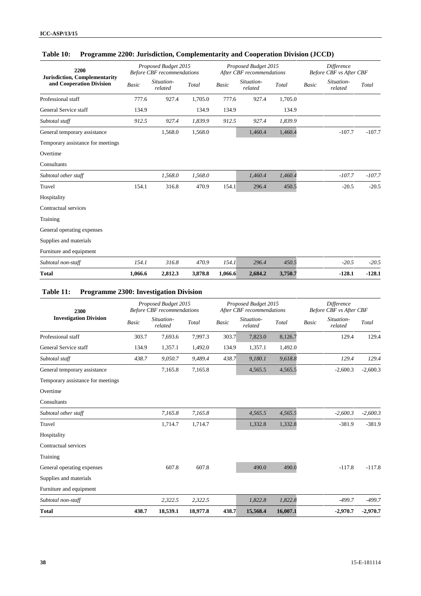| 2200                                                             |              | Proposed Budget 2015<br><b>Before CBF</b> recommendations |         |         | Proposed Budget 2015<br>After CBF recommendations |         | <b>Difference</b><br><b>Before CBF</b> vs After CBF |                       |          |
|------------------------------------------------------------------|--------------|-----------------------------------------------------------|---------|---------|---------------------------------------------------|---------|-----------------------------------------------------|-----------------------|----------|
| <b>Jurisdiction, Complementarity</b><br>and Cooperation Division | <b>Basic</b> | Situation-<br>related                                     | Total   | Basic   | Situation-<br>related                             | Total   | <b>Basic</b>                                        | Situation-<br>related | Total    |
| Professional staff                                               | 777.6        | 927.4                                                     | 1,705.0 | 777.6   | 927.4                                             | 1,705.0 |                                                     |                       |          |
| General Service staff                                            | 134.9        |                                                           | 134.9   | 134.9   |                                                   | 134.9   |                                                     |                       |          |
| Subtotal staff                                                   | 912.5        | 927.4                                                     | 1,839.9 | 912.5   | 927.4                                             | 1,839.9 |                                                     |                       |          |
| General temporary assistance                                     |              | 1,568.0                                                   | 1,568.0 |         | 1,460.4                                           | 1,460.4 |                                                     | $-107.7$              | $-107.7$ |
| Temporary assistance for meetings                                |              |                                                           |         |         |                                                   |         |                                                     |                       |          |
| Overtime                                                         |              |                                                           |         |         |                                                   |         |                                                     |                       |          |
| Consultants                                                      |              |                                                           |         |         |                                                   |         |                                                     |                       |          |
| Subtotal other staff                                             |              | 1,568.0                                                   | 1,568.0 |         | 1,460.4                                           | 1,460.4 |                                                     | $-107.7$              | $-107.7$ |
| Travel                                                           | 154.1        | 316.8                                                     | 470.9   | 154.1   | 296.4                                             | 450.5   |                                                     | $-20.5$               | $-20.5$  |
| Hospitality                                                      |              |                                                           |         |         |                                                   |         |                                                     |                       |          |
| Contractual services                                             |              |                                                           |         |         |                                                   |         |                                                     |                       |          |
| Training                                                         |              |                                                           |         |         |                                                   |         |                                                     |                       |          |
| General operating expenses                                       |              |                                                           |         |         |                                                   |         |                                                     |                       |          |
| Supplies and materials                                           |              |                                                           |         |         |                                                   |         |                                                     |                       |          |
| Furniture and equipment                                          |              |                                                           |         |         |                                                   |         |                                                     |                       |          |
| Subtotal non-staff                                               | 154.1        | 316.8                                                     | 470.9   | 154.1   | 296.4                                             | 450.5   |                                                     | $-20.5$               | $-20.5$  |
| <b>Total</b>                                                     | 1,066.6      | 2,812.3                                                   | 3,878.8 | 1,066.6 | 2,684.2                                           | 3,750.7 |                                                     | $-128.1$              | $-128.1$ |

# **Table 10: Programme 2200: Jurisdiction, Complementarity and Cooperation Division (JCCD)**

| Table 11: | <b>Programme 2300: Investigation Division</b> |  |
|-----------|-----------------------------------------------|--|
|           |                                               |  |

| 2300                              |              | Proposed Budget 2015<br><b>Before CBF</b> recommendations |          |              | Proposed Budget 2015<br>After CBF recommendations |          | <b>Difference</b><br>Before CBF vs After CBF |                       |            |
|-----------------------------------|--------------|-----------------------------------------------------------|----------|--------------|---------------------------------------------------|----------|----------------------------------------------|-----------------------|------------|
| <b>Investigation Division</b>     | <b>Basic</b> | Situation-<br>related                                     | Total    | <b>Basic</b> | Situation-<br>related                             | Total    | <b>Basic</b>                                 | Situation-<br>related | Total      |
| Professional staff                | 303.7        | 7,693.6                                                   | 7,997.3  | 303.7        | 7,823.0                                           | 8,126.7  |                                              | 129.4                 | 129.4      |
| General Service staff             | 134.9        | 1,357.1                                                   | 1,492.0  | 134.9        | 1,357.1                                           | 1,492.0  |                                              |                       |            |
| Subtotal staff                    | 438.7        | 9,050.7                                                   | 9,489.4  | 438.7        | 9,180.1                                           | 9,618.8  |                                              | 129.4                 | 129.4      |
| General temporary assistance      |              | 7,165.8                                                   | 7,165.8  |              | 4,565.5                                           | 4,565.5  |                                              | $-2,600.3$            | $-2,600.3$ |
| Temporary assistance for meetings |              |                                                           |          |              |                                                   |          |                                              |                       |            |
| Overtime                          |              |                                                           |          |              |                                                   |          |                                              |                       |            |
| Consultants                       |              |                                                           |          |              |                                                   |          |                                              |                       |            |
| Subtotal other staff              |              | 7,165.8                                                   | 7,165.8  |              | 4,565.5                                           | 4,565.5  |                                              | $-2,600.3$            | $-2,600.3$ |
| Travel                            |              | 1,714.7                                                   | 1,714.7  |              | 1,332.8                                           | 1,332.8  |                                              | $-381.9$              | $-381.9$   |
| Hospitality                       |              |                                                           |          |              |                                                   |          |                                              |                       |            |
| Contractual services              |              |                                                           |          |              |                                                   |          |                                              |                       |            |
| Training                          |              |                                                           |          |              |                                                   |          |                                              |                       |            |
| General operating expenses        |              | 607.8                                                     | 607.8    |              | 490.0                                             | 490.0    |                                              | $-117.8$              | $-117.8$   |
| Supplies and materials            |              |                                                           |          |              |                                                   |          |                                              |                       |            |
| Furniture and equipment           |              |                                                           |          |              |                                                   |          |                                              |                       |            |
| Subtotal non-staff                |              | 2,322.5                                                   | 2,322.5  |              | 1,822.8                                           | 1,822.8  |                                              | $-499.7$              | $-499.7$   |
| <b>Total</b>                      | 438.7        | 18,539.1                                                  | 18,977.8 | 438.7        | 15,568.4                                          | 16,007.1 |                                              | $-2,970.7$            | $-2,970.7$ |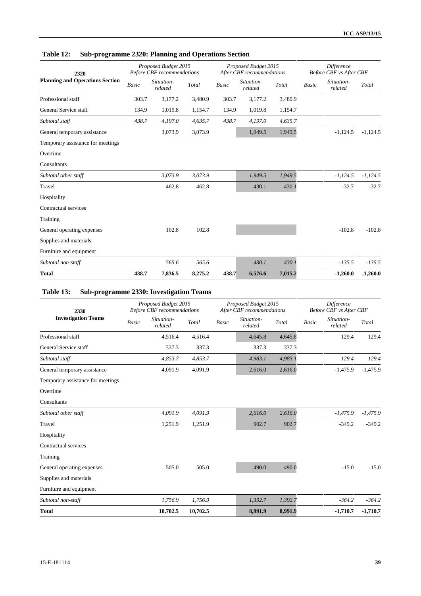## **Table 12: Sub-programme 2320: Planning and Operations Section**

| 2320                                   |       | Proposed Budget 2015<br><b>Before CBF</b> recommendations |         |              | Proposed Budget 2015<br>After CBF recommendations |         | <b>Difference</b><br>Before CBF vs After CBF |                       |            |
|----------------------------------------|-------|-----------------------------------------------------------|---------|--------------|---------------------------------------------------|---------|----------------------------------------------|-----------------------|------------|
| <b>Planning and Operations Section</b> | Basic | Situation-<br>related                                     | Total   | <b>Basic</b> | Situation-<br>related                             | Total   | <b>Basic</b>                                 | Situation-<br>related | Total      |
| Professional staff                     | 303.7 | 3,177.2                                                   | 3,480.9 | 303.7        | 3,177.2                                           | 3,480.9 |                                              |                       |            |
| General Service staff                  | 134.9 | 1,019.8                                                   | 1,154.7 | 134.9        | 1,019.8                                           | 1,154.7 |                                              |                       |            |
| Subtotal staff                         | 438.7 | 4,197.0                                                   | 4,635.7 | 438.7        | 4,197.0                                           | 4,635.7 |                                              |                       |            |
| General temporary assistance           |       | 3,073.9                                                   | 3,073.9 |              | 1,949.5                                           | 1,949.5 |                                              | $-1,124.5$            | $-1,124.5$ |
| Temporary assistance for meetings      |       |                                                           |         |              |                                                   |         |                                              |                       |            |
| Overtime                               |       |                                                           |         |              |                                                   |         |                                              |                       |            |
| Consultants                            |       |                                                           |         |              |                                                   |         |                                              |                       |            |
| Subtotal other staff                   |       | 3,073.9                                                   | 3,073.9 |              | 1,949.5                                           | 1,949.5 |                                              | $-1,124.5$            | $-1,124.5$ |
| Travel                                 |       | 462.8                                                     | 462.8   |              | 430.1                                             | 430.1   |                                              | $-32.7$               | $-32.7$    |
| Hospitality                            |       |                                                           |         |              |                                                   |         |                                              |                       |            |
| Contractual services                   |       |                                                           |         |              |                                                   |         |                                              |                       |            |
| Training                               |       |                                                           |         |              |                                                   |         |                                              |                       |            |
| General operating expenses             |       | 102.8                                                     | 102.8   |              |                                                   |         |                                              | $-102.8$              | $-102.8$   |
| Supplies and materials                 |       |                                                           |         |              |                                                   |         |                                              |                       |            |
| Furniture and equipment                |       |                                                           |         |              |                                                   |         |                                              |                       |            |
| Subtotal non-staff                     |       | 565.6                                                     | 565.6   |              | 430.1                                             | 430.1   |                                              | $-135.5$              | $-135.5$   |
| Total                                  | 438.7 | 7,836.5                                                   | 8,275.2 | 438.7        | 6,576.6                                           | 7,015.2 |                                              | $-1,260.0$            | $-1,260.0$ |

# **Table 13: Sub-programme 2330: Investigation Teams**

| 2330                              |              | Proposed Budget 2015<br><b>Before CBF</b> recommendations |          |              | Proposed Budget 2015<br>After CBF recommendations |         | <b>Difference</b><br><b>Before CBF</b> vs After CBF |                       |            |
|-----------------------------------|--------------|-----------------------------------------------------------|----------|--------------|---------------------------------------------------|---------|-----------------------------------------------------|-----------------------|------------|
| <b>Investigation Teams</b>        | <b>Basic</b> | Situation-<br>related                                     | Total    | <b>Basic</b> | Situation-<br>related                             | Total   | <b>Basic</b>                                        | Situation-<br>related | Total      |
| Professional staff                |              | 4,516.4                                                   | 4,516.4  |              | 4,645.8                                           | 4,645.8 |                                                     | 129.4                 | 129.4      |
| General Service staff             |              | 337.3                                                     | 337.3    |              | 337.3                                             | 337.3   |                                                     |                       |            |
| Subtotal staff                    |              | 4,853.7                                                   | 4,853.7  |              | 4,983.1                                           | 4,983.1 |                                                     | 129.4                 | 129.4      |
| General temporary assistance      |              | 4,091.9                                                   | 4,091.9  |              | 2,616.0                                           | 2,616.0 |                                                     | $-1,475.9$            | $-1,475.9$ |
| Temporary assistance for meetings |              |                                                           |          |              |                                                   |         |                                                     |                       |            |
| Overtime                          |              |                                                           |          |              |                                                   |         |                                                     |                       |            |
| Consultants                       |              |                                                           |          |              |                                                   |         |                                                     |                       |            |
| Subtotal other staff              |              | 4,091.9                                                   | 4,091.9  |              | 2,616.0                                           | 2,616.0 |                                                     | $-1,475.9$            | $-1,475.9$ |
| Travel                            |              | 1,251.9                                                   | 1,251.9  |              | 902.7                                             | 902.7   |                                                     | $-349.2$              | $-349.2$   |
| Hospitality                       |              |                                                           |          |              |                                                   |         |                                                     |                       |            |
| Contractual services              |              |                                                           |          |              |                                                   |         |                                                     |                       |            |
| Training                          |              |                                                           |          |              |                                                   |         |                                                     |                       |            |
| General operating expenses        |              | 505.0                                                     | 505.0    |              | 490.0                                             | 490.0   |                                                     | $-15.0$               | $-15.0$    |
| Supplies and materials            |              |                                                           |          |              |                                                   |         |                                                     |                       |            |
| Furniture and equipment           |              |                                                           |          |              |                                                   |         |                                                     |                       |            |
| Subtotal non-staff                |              | 1,756.9                                                   | 1,756.9  |              | 1,392.7                                           | 1,392.7 |                                                     | $-364.2$              | $-364.2$   |
| <b>Total</b>                      |              | 10,702.5                                                  | 10,702.5 |              | 8,991.9                                           | 8,991.9 |                                                     | $-1,710.7$            | $-1,710.7$ |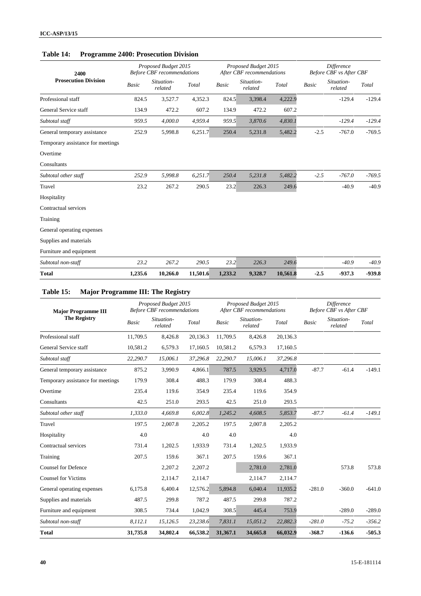## **Table 14: Programme 2400: Prosecution Division**

| 2400                              |              | Proposed Budget 2015<br><b>Before CBF</b> recommendations |          |              | Proposed Budget 2015<br>After CBF recommendations |          | <b>Difference</b><br><b>Before CBF</b> vs After CBF |                       |          |
|-----------------------------------|--------------|-----------------------------------------------------------|----------|--------------|---------------------------------------------------|----------|-----------------------------------------------------|-----------------------|----------|
| <b>Prosecution Division</b>       | <b>Basic</b> | Situation-<br>related                                     | Total    | <b>Basic</b> | Situation-<br>related                             | Total    | <b>Basic</b>                                        | Situation-<br>related | Total    |
| Professional staff                | 824.5        | 3,527.7                                                   | 4,352.3  | 824.5        | 3,398.4                                           | 4,222.9  |                                                     | $-129.4$              | $-129.4$ |
| General Service staff             | 134.9        | 472.2                                                     | 607.2    | 134.9        | 472.2                                             | 607.2    |                                                     |                       |          |
| Subtotal staff                    | 959.5        | 4,000.0                                                   | 4,959.4  | 959.5        | 3,870.6                                           | 4,830.1  |                                                     | $-129.4$              | $-129.4$ |
| General temporary assistance      | 252.9        | 5,998.8                                                   | 6,251.7  | 250.4        | 5,231.8                                           | 5,482.2  | $-2.5$                                              | $-767.0$              | $-769.5$ |
| Temporary assistance for meetings |              |                                                           |          |              |                                                   |          |                                                     |                       |          |
| Overtime                          |              |                                                           |          |              |                                                   |          |                                                     |                       |          |
| Consultants                       |              |                                                           |          |              |                                                   |          |                                                     |                       |          |
| Subtotal other staff              | 252.9        | 5,998.8                                                   | 6,251.7  | 250.4        | 5,231.8                                           | 5,482.2  | $-2.5$                                              | $-767.0$              | $-769.5$ |
| Travel                            | 23.2         | 267.2                                                     | 290.5    | 23.2         | 226.3                                             | 249.6    |                                                     | $-40.9$               | $-40.9$  |
| Hospitality                       |              |                                                           |          |              |                                                   |          |                                                     |                       |          |
| Contractual services              |              |                                                           |          |              |                                                   |          |                                                     |                       |          |
| Training                          |              |                                                           |          |              |                                                   |          |                                                     |                       |          |
| General operating expenses        |              |                                                           |          |              |                                                   |          |                                                     |                       |          |
| Supplies and materials            |              |                                                           |          |              |                                                   |          |                                                     |                       |          |
| Furniture and equipment           |              |                                                           |          |              |                                                   |          |                                                     |                       |          |
| Subtotal non-staff                | 23.2         | 267.2                                                     | 290.5    | 23.2         | 226.3                                             | 249.6    |                                                     | $-40.9$               | $-40.9$  |
| Total                             | 1,235.6      | 10,266.0                                                  | 11,501.6 | 1,233.2      | 9,328.7                                           | 10,561.8 | $-2.5$                                              | $-937.3$              | $-939.8$ |

# **Table 15: Major Programme III: The Registry**

| <b>Major Programme III</b>        |          | Proposed Budget 2015<br><b>Before CBF</b> recommendations |          |              | Proposed Budget 2015<br>After CBF recommendations |          | <b>Difference</b><br>Before CBF vs After CBF |                       |          |
|-----------------------------------|----------|-----------------------------------------------------------|----------|--------------|---------------------------------------------------|----------|----------------------------------------------|-----------------------|----------|
| <b>The Registry</b>               | Basic    | Situation-<br>related                                     | Total    | <b>Basic</b> | Situation-<br>related                             | Total    | <b>Basic</b>                                 | Situation-<br>related | Total    |
| Professional staff                | 11.709.5 | 8.426.8                                                   | 20,136.3 | 11,709.5     | 8,426.8                                           | 20,136.3 |                                              |                       |          |
| General Service staff             | 10,581.2 | 6,579.3                                                   | 17,160.5 | 10,581.2     | 6,579.3                                           | 17,160.5 |                                              |                       |          |
| Subtotal staff                    | 22,290.7 | 15,006.1                                                  | 37,296.8 | 22,290.7     | 15,006.1                                          | 37,296.8 |                                              |                       |          |
| General temporary assistance      | 875.2    | 3,990.9                                                   | 4,866.1  | 787.5        | 3,929.5                                           | 4,717.0  | $-87.7$                                      | $-61.4$               | $-149.1$ |
| Temporary assistance for meetings | 179.9    | 308.4                                                     | 488.3    | 179.9        | 308.4                                             | 488.3    |                                              |                       |          |
| Overtime                          | 235.4    | 119.6                                                     | 354.9    | 235.4        | 119.6                                             | 354.9    |                                              |                       |          |
| Consultants                       | 42.5     | 251.0                                                     | 293.5    | 42.5         | 251.0                                             | 293.5    |                                              |                       |          |
| Subtotal other staff              | 1,333.0  | 4,669.8                                                   | 6,002.8  | 1,245.2      | 4,608.5                                           | 5,853.7  | $-87.7$                                      | $-61.4$               | $-149.1$ |
| Travel                            | 197.5    | 2,007.8                                                   | 2,205.2  | 197.5        | 2,007.8                                           | 2,205.2  |                                              |                       |          |
| Hospitality                       | 4.0      |                                                           | 4.0      | 4.0          |                                                   | 4.0      |                                              |                       |          |
| Contractual services              | 731.4    | 1,202.5                                                   | 1,933.9  | 731.4        | 1,202.5                                           | 1,933.9  |                                              |                       |          |
| Training                          | 207.5    | 159.6                                                     | 367.1    | 207.5        | 159.6                                             | 367.1    |                                              |                       |          |
| <b>Counsel for Defence</b>        |          | 2,207.2                                                   | 2,207.2  |              | 2,781.0                                           | 2,781.0  |                                              | 573.8                 | 573.8    |
| <b>Counsel for Victims</b>        |          | 2,114.7                                                   | 2,114.7  |              | 2,114.7                                           | 2,114.7  |                                              |                       |          |
| General operating expenses        | 6,175.8  | 6.400.4                                                   | 12,576.2 | 5,894.8      | 6,040.4                                           | 11,935.2 | $-281.0$                                     | $-360.0$              | $-641.0$ |
| Supplies and materials            | 487.5    | 299.8                                                     | 787.2    | 487.5        | 299.8                                             | 787.2    |                                              |                       |          |
| Furniture and equipment           | 308.5    | 734.4                                                     | 1,042.9  | 308.5        | 445.4                                             | 753.9    |                                              | $-289.0$              | $-289.0$ |
| Subtotal non-staff                | 8,112.1  | 15,126.5                                                  | 23,238.6 | 7,831.1      | 15,051.2                                          | 22,882.3 | $-281.0$                                     | $-75.2$               | $-356.2$ |
| <b>Total</b>                      | 31,735.8 | 34,802.4                                                  | 66,538.2 | 31,367.1     | 34,665.8                                          | 66,032.9 | $-368.7$                                     | $-136.6$              | $-505.3$ |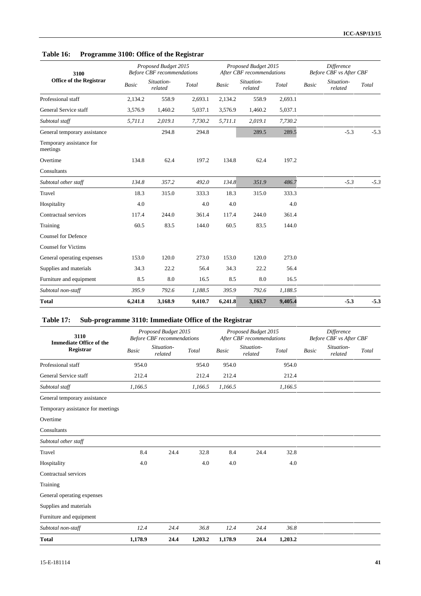## **Table 16: Programme 3100: Office of the Registrar**

| 3100                                 |         | Proposed Budget 2015<br><b>Before CBF</b> recommendations |         |         | Proposed Budget 2015<br>After CBF recommendations |         | <b>Difference</b><br>Before CBF vs After CBF |                       |        |  |
|--------------------------------------|---------|-----------------------------------------------------------|---------|---------|---------------------------------------------------|---------|----------------------------------------------|-----------------------|--------|--|
| <b>Office of the Registrar</b>       | Basic   | Situation-<br>related                                     | Total   | Basic   | Situation-<br>related                             | Total   | <b>Basic</b>                                 | Situation-<br>related | Total  |  |
| Professional staff                   | 2,134.2 | 558.9                                                     | 2,693.1 | 2,134.2 | 558.9                                             | 2,693.1 |                                              |                       |        |  |
| General Service staff                | 3,576.9 | 1,460.2                                                   | 5,037.1 | 3,576.9 | 1,460.2                                           | 5,037.1 |                                              |                       |        |  |
| Subtotal staff                       | 5,711.1 | 2,019.1                                                   | 7,730.2 | 5,711.1 | 2,019.1                                           | 7,730.2 |                                              |                       |        |  |
| General temporary assistance         |         | 294.8                                                     | 294.8   |         | 289.5                                             | 289.5   |                                              | $-5.3$                | $-5.3$ |  |
| Temporary assistance for<br>meetings |         |                                                           |         |         |                                                   |         |                                              |                       |        |  |
| Overtime                             | 134.8   | 62.4                                                      | 197.2   | 134.8   | 62.4                                              | 197.2   |                                              |                       |        |  |
| Consultants                          |         |                                                           |         |         |                                                   |         |                                              |                       |        |  |
| Subtotal other staff                 | 134.8   | 357.2                                                     | 492.0   | 134.8   | 351.9                                             | 486.7   |                                              | $-5.3$                | $-5.3$ |  |
| Travel                               | 18.3    | 315.0                                                     | 333.3   | 18.3    | 315.0                                             | 333.3   |                                              |                       |        |  |
| Hospitality                          | 4.0     |                                                           | 4.0     | 4.0     |                                                   | 4.0     |                                              |                       |        |  |
| Contractual services                 | 117.4   | 244.0                                                     | 361.4   | 117.4   | 244.0                                             | 361.4   |                                              |                       |        |  |
| Training                             | 60.5    | 83.5                                                      | 144.0   | 60.5    | 83.5                                              | 144.0   |                                              |                       |        |  |
| <b>Counsel for Defence</b>           |         |                                                           |         |         |                                                   |         |                                              |                       |        |  |
| <b>Counsel for Victims</b>           |         |                                                           |         |         |                                                   |         |                                              |                       |        |  |
| General operating expenses           | 153.0   | 120.0                                                     | 273.0   | 153.0   | 120.0                                             | 273.0   |                                              |                       |        |  |
| Supplies and materials               | 34.3    | 22.2                                                      | 56.4    | 34.3    | 22.2                                              | 56.4    |                                              |                       |        |  |
| Furniture and equipment              | 8.5     | 8.0                                                       | 16.5    | $8.5\,$ | 8.0                                               | 16.5    |                                              |                       |        |  |
| Subtotal non-staff                   | 395.9   | 792.6                                                     | 1,188.5 | 395.9   | 792.6                                             | 1,188.5 |                                              |                       |        |  |
| <b>Total</b>                         | 6,241.8 | 3,168.9                                                   | 9,410.7 | 6,241.8 | 3,163.7                                           | 9,405.4 |                                              | $-5.3$                | $-5.3$ |  |

# **Table 17: Sub-programme 3110: Immediate Office of the Registrar**

| 3110<br><b>Immediate Office of the</b> |         | Proposed Budget 2015<br><b>Before CBF</b> recommendations |         |              | Proposed Budget 2015<br>After CBF recommendations |         | <b>Difference</b><br>Before CBF vs After CBF |                       |       |  |
|----------------------------------------|---------|-----------------------------------------------------------|---------|--------------|---------------------------------------------------|---------|----------------------------------------------|-----------------------|-------|--|
| Registrar                              | Basic   | Situation-<br>related                                     | Total   | <b>Basic</b> | Situation-<br>related                             | Total   | <b>Basic</b>                                 | Situation-<br>related | Total |  |
| Professional staff                     | 954.0   |                                                           | 954.0   | 954.0        |                                                   | 954.0   |                                              |                       |       |  |
| General Service staff                  | 212.4   |                                                           | 212.4   | 212.4        |                                                   | 212.4   |                                              |                       |       |  |
| Subtotal staff                         | 1,166.5 |                                                           | 1,166.5 | 1,166.5      |                                                   | 1,166.5 |                                              |                       |       |  |
| General temporary assistance           |         |                                                           |         |              |                                                   |         |                                              |                       |       |  |
| Temporary assistance for meetings      |         |                                                           |         |              |                                                   |         |                                              |                       |       |  |
| Overtime                               |         |                                                           |         |              |                                                   |         |                                              |                       |       |  |
| Consultants                            |         |                                                           |         |              |                                                   |         |                                              |                       |       |  |
| Subtotal other staff                   |         |                                                           |         |              |                                                   |         |                                              |                       |       |  |
| Travel                                 | 8.4     | 24.4                                                      | 32.8    | 8.4          | 24.4                                              | 32.8    |                                              |                       |       |  |
| Hospitality                            | 4.0     |                                                           | 4.0     | 4.0          |                                                   | 4.0     |                                              |                       |       |  |
| Contractual services                   |         |                                                           |         |              |                                                   |         |                                              |                       |       |  |
| Training                               |         |                                                           |         |              |                                                   |         |                                              |                       |       |  |
| General operating expenses             |         |                                                           |         |              |                                                   |         |                                              |                       |       |  |
| Supplies and materials                 |         |                                                           |         |              |                                                   |         |                                              |                       |       |  |
| Furniture and equipment                |         |                                                           |         |              |                                                   |         |                                              |                       |       |  |
| Subtotal non-staff                     | 12.4    | 24.4                                                      | 36.8    | 12.4         | 24.4                                              | 36.8    |                                              |                       |       |  |
| <b>Total</b>                           | 1,178.9 | 24.4                                                      | 1,203.2 | 1,178.9      | 24.4                                              | 1,203.2 |                                              |                       |       |  |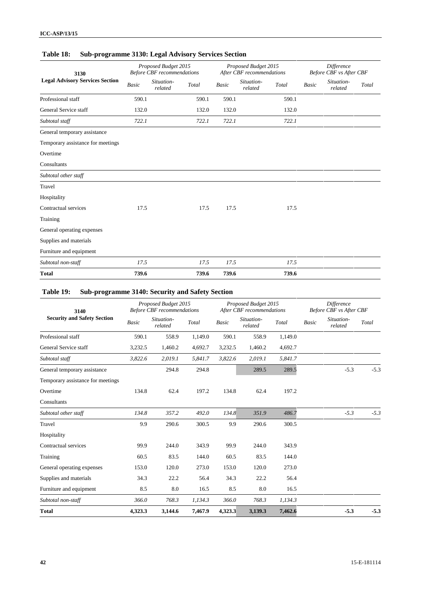## **Table 18: Sub-programme 3130: Legal Advisory Services Section**

| 3130                                   |              | Proposed Budget 2015<br><b>Before CBF</b> recommendations |       |              | Proposed Budget 2015<br>After CBF recommendations |       | Difference<br>Before CBF vs After CBF |                       |       |  |
|----------------------------------------|--------------|-----------------------------------------------------------|-------|--------------|---------------------------------------------------|-------|---------------------------------------|-----------------------|-------|--|
| <b>Legal Advisory Services Section</b> | <b>Basic</b> | Situation-<br>related                                     | Total | <b>Basic</b> | Situation-<br>related                             | Total | Basic                                 | Situation-<br>related | Total |  |
| Professional staff                     | 590.1        |                                                           | 590.1 | 590.1        |                                                   | 590.1 |                                       |                       |       |  |
| General Service staff                  | 132.0        |                                                           | 132.0 | 132.0        |                                                   | 132.0 |                                       |                       |       |  |
| Subtotal staff                         | 722.1        |                                                           | 722.1 | 722.1        |                                                   | 722.1 |                                       |                       |       |  |
| General temporary assistance           |              |                                                           |       |              |                                                   |       |                                       |                       |       |  |
| Temporary assistance for meetings      |              |                                                           |       |              |                                                   |       |                                       |                       |       |  |
| Overtime                               |              |                                                           |       |              |                                                   |       |                                       |                       |       |  |
| Consultants                            |              |                                                           |       |              |                                                   |       |                                       |                       |       |  |
| Subtotal other staff                   |              |                                                           |       |              |                                                   |       |                                       |                       |       |  |
| Travel                                 |              |                                                           |       |              |                                                   |       |                                       |                       |       |  |
| Hospitality                            |              |                                                           |       |              |                                                   |       |                                       |                       |       |  |
| Contractual services                   | 17.5         |                                                           | 17.5  | 17.5         |                                                   | 17.5  |                                       |                       |       |  |
| Training                               |              |                                                           |       |              |                                                   |       |                                       |                       |       |  |
| General operating expenses             |              |                                                           |       |              |                                                   |       |                                       |                       |       |  |
| Supplies and materials                 |              |                                                           |       |              |                                                   |       |                                       |                       |       |  |
| Furniture and equipment                |              |                                                           |       |              |                                                   |       |                                       |                       |       |  |
| Subtotal non-staff                     | 17.5         |                                                           | 17.5  | 17.5         |                                                   | 17.5  |                                       |                       |       |  |
| <b>Total</b>                           | 739.6        |                                                           | 739.6 | 739.6        |                                                   | 739.6 |                                       |                       |       |  |
|                                        |              |                                                           |       |              |                                                   |       |                                       |                       |       |  |

# **Table 19: Sub-programme 3140: Security and Safety Section**

| 3140                               |              | Proposed Budget 2015<br><b>Before CBF</b> recommendations |         |              | Proposed Budget 2015<br>After CBF recommendations |         | <b>Difference</b><br>Before CBF vs After CBF |                       |        |
|------------------------------------|--------------|-----------------------------------------------------------|---------|--------------|---------------------------------------------------|---------|----------------------------------------------|-----------------------|--------|
| <b>Security and Safety Section</b> | <b>Basic</b> | Situation-<br>related                                     | Total   | <b>Basic</b> | Situation-<br>related                             | Total   | <b>Basic</b>                                 | Situation-<br>related | Total  |
| Professional staff                 | 590.1        | 558.9                                                     | 1,149.0 | 590.1        | 558.9                                             | 1,149.0 |                                              |                       |        |
| General Service staff              | 3,232.5      | 1,460.2                                                   | 4,692.7 | 3,232.5      | 1,460.2                                           | 4,692.7 |                                              |                       |        |
| Subtotal staff                     | 3,822.6      | 2,019.1                                                   | 5,841.7 | 3,822.6      | 2,019.1                                           | 5,841.7 |                                              |                       |        |
| General temporary assistance       |              | 294.8                                                     | 294.8   |              | 289.5                                             | 289.5   |                                              | $-5.3$                | $-5.3$ |
| Temporary assistance for meetings  |              |                                                           |         |              |                                                   |         |                                              |                       |        |
| Overtime                           | 134.8        | 62.4                                                      | 197.2   | 134.8        | 62.4                                              | 197.2   |                                              |                       |        |
| Consultants                        |              |                                                           |         |              |                                                   |         |                                              |                       |        |
| Subtotal other staff               | 134.8        | 357.2                                                     | 492.0   | 134.8        | 351.9                                             | 486.7   |                                              | $-5.3$                | $-5.3$ |
| Travel                             | 9.9          | 290.6                                                     | 300.5   | 9.9          | 290.6                                             | 300.5   |                                              |                       |        |
| Hospitality                        |              |                                                           |         |              |                                                   |         |                                              |                       |        |
| Contractual services               | 99.9         | 244.0                                                     | 343.9   | 99.9         | 244.0                                             | 343.9   |                                              |                       |        |
| Training                           | 60.5         | 83.5                                                      | 144.0   | 60.5         | 83.5                                              | 144.0   |                                              |                       |        |
| General operating expenses         | 153.0        | 120.0                                                     | 273.0   | 153.0        | 120.0                                             | 273.0   |                                              |                       |        |
| Supplies and materials             | 34.3         | 22.2                                                      | 56.4    | 34.3         | 22.2                                              | 56.4    |                                              |                       |        |
| Furniture and equipment            | 8.5          | 8.0                                                       | 16.5    | 8.5          | 8.0                                               | 16.5    |                                              |                       |        |
| Subtotal non-staff                 | 366.0        | 768.3                                                     | 1,134.3 | 366.0        | 768.3                                             | 1,134.3 |                                              |                       |        |
| <b>Total</b>                       | 4,323.3      | 3,144.6                                                   | 7,467.9 | 4,323.3      | 3,139.3                                           | 7,462.6 |                                              | $-5.3$                | $-5.3$ |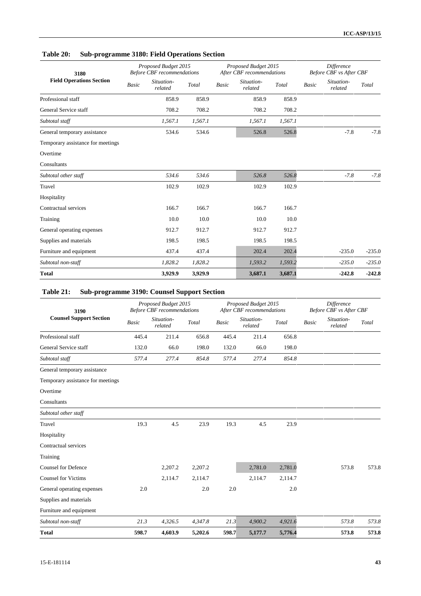## **Table 20: Sub-programme 3180: Field Operations Section**

| 3180                              |       | Proposed Budget 2015<br><b>Before CBF</b> recommendations |         |       | Proposed Budget 2015<br>After CBF recommendations |         | Difference<br>Before CBF vs After CBF |                       |          |  |
|-----------------------------------|-------|-----------------------------------------------------------|---------|-------|---------------------------------------------------|---------|---------------------------------------|-----------------------|----------|--|
| <b>Field Operations Section</b>   | Basic | Situation-<br>related                                     | Total   | Basic | Situation-<br>related                             | Total   | <b>Basic</b>                          | Situation-<br>related | Total    |  |
| Professional staff                |       | 858.9                                                     | 858.9   |       | 858.9                                             | 858.9   |                                       |                       |          |  |
| General Service staff             |       | 708.2                                                     | 708.2   |       | 708.2                                             | 708.2   |                                       |                       |          |  |
| Subtotal staff                    |       | 1,567.1                                                   | 1,567.1 |       | 1,567.1                                           | 1,567.1 |                                       |                       |          |  |
| General temporary assistance      |       | 534.6                                                     | 534.6   |       | 526.8                                             | 526.8   |                                       | $-7.8$                | $-7.8$   |  |
| Temporary assistance for meetings |       |                                                           |         |       |                                                   |         |                                       |                       |          |  |
| Overtime                          |       |                                                           |         |       |                                                   |         |                                       |                       |          |  |
| Consultants                       |       |                                                           |         |       |                                                   |         |                                       |                       |          |  |
| Subtotal other staff              |       | 534.6                                                     | 534.6   |       | 526.8                                             | 526.8   |                                       | $-7.8$                | $-7.8$   |  |
| Travel                            |       | 102.9                                                     | 102.9   |       | 102.9                                             | 102.9   |                                       |                       |          |  |
| Hospitality                       |       |                                                           |         |       |                                                   |         |                                       |                       |          |  |
| Contractual services              |       | 166.7                                                     | 166.7   |       | 166.7                                             | 166.7   |                                       |                       |          |  |
| Training                          |       | 10.0                                                      | 10.0    |       | 10.0                                              | 10.0    |                                       |                       |          |  |
| General operating expenses        |       | 912.7                                                     | 912.7   |       | 912.7                                             | 912.7   |                                       |                       |          |  |
| Supplies and materials            |       | 198.5                                                     | 198.5   |       | 198.5                                             | 198.5   |                                       |                       |          |  |
| Furniture and equipment           |       | 437.4                                                     | 437.4   |       | 202.4                                             | 202.4   |                                       | $-235.0$              | $-235.0$ |  |
| Subtotal non-staff                |       | 1,828.2                                                   | 1,828.2 |       | 1,593.2                                           | 1,593.2 |                                       | $-235.0$              | $-235.0$ |  |
| Total                             |       | 3,929.9                                                   | 3,929.9 |       | 3,687.1                                           | 3,687.1 |                                       | $-242.8$              | $-242.8$ |  |

# **Table 21: Sub-programme 3190: Counsel Support Section**

| 3190                              |              | Proposed Budget 2015<br><b>Before CBF</b> recommendations |         |              | Proposed Budget 2015<br>After CBF recommendations |         | <b>Difference</b><br>Before CBF vs After CBF |                       |       |
|-----------------------------------|--------------|-----------------------------------------------------------|---------|--------------|---------------------------------------------------|---------|----------------------------------------------|-----------------------|-------|
| <b>Counsel Support Section</b>    | <b>Basic</b> | Situation-<br>related                                     | Total   | <b>Basic</b> | Situation-<br>related                             | Total   | <b>Basic</b>                                 | Situation-<br>related | Total |
| Professional staff                | 445.4        | 211.4                                                     | 656.8   | 445.4        | 211.4                                             | 656.8   |                                              |                       |       |
| General Service staff             | 132.0        | 66.0                                                      | 198.0   | 132.0        | 66.0                                              | 198.0   |                                              |                       |       |
| Subtotal staff                    | 577.4        | 277.4                                                     | 854.8   | 577.4        | 277.4                                             | 854.8   |                                              |                       |       |
| General temporary assistance      |              |                                                           |         |              |                                                   |         |                                              |                       |       |
| Temporary assistance for meetings |              |                                                           |         |              |                                                   |         |                                              |                       |       |
| Overtime                          |              |                                                           |         |              |                                                   |         |                                              |                       |       |
| Consultants                       |              |                                                           |         |              |                                                   |         |                                              |                       |       |
| Subtotal other staff              |              |                                                           |         |              |                                                   |         |                                              |                       |       |
| Travel                            | 19.3         | 4.5                                                       | 23.9    | 19.3         | 4.5                                               | 23.9    |                                              |                       |       |
| Hospitality                       |              |                                                           |         |              |                                                   |         |                                              |                       |       |
| Contractual services              |              |                                                           |         |              |                                                   |         |                                              |                       |       |
| Training                          |              |                                                           |         |              |                                                   |         |                                              |                       |       |
| <b>Counsel for Defence</b>        |              | 2,207.2                                                   | 2,207.2 |              | 2,781.0                                           | 2,781.0 |                                              | 573.8                 | 573.8 |
| <b>Counsel for Victims</b>        |              | 2,114.7                                                   | 2,114.7 |              | 2,114.7                                           | 2,114.7 |                                              |                       |       |
| General operating expenses        | 2.0          |                                                           | 2.0     | 2.0          |                                                   | 2.0     |                                              |                       |       |
| Supplies and materials            |              |                                                           |         |              |                                                   |         |                                              |                       |       |
| Furniture and equipment           |              |                                                           |         |              |                                                   |         |                                              |                       |       |
| Subtotal non-staff                | 21.3         | 4,326.5                                                   | 4,347.8 | 21.3         | 4,900.2                                           | 4,921.6 |                                              | 573.8                 | 573.8 |
| <b>Total</b>                      | 598.7        | 4,603.9                                                   | 5,202.6 | 598.7        | 5,177.7                                           | 5,776.4 |                                              | 573.8                 | 573.8 |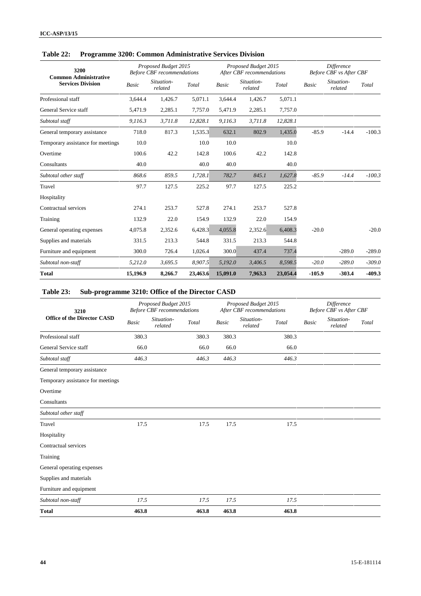| 3200<br><b>Common Administrative</b> |          | Proposed Budget 2015<br><b>Before CBF</b> recommendations |          |              | Proposed Budget 2015<br>After CBF recommendations |          | <b>Difference</b><br><b>Before CBF</b> vs After CBF |                       |          |  |
|--------------------------------------|----------|-----------------------------------------------------------|----------|--------------|---------------------------------------------------|----------|-----------------------------------------------------|-----------------------|----------|--|
| <b>Services Division</b>             | Basic    | Situation-<br>related                                     | Total    | <b>Basic</b> | Situation-<br>related                             | Total    | <b>Basic</b>                                        | Situation-<br>related | Total    |  |
| Professional staff                   | 3.644.4  | 1,426.7                                                   | 5,071.1  | 3,644.4      | 1,426.7                                           | 5.071.1  |                                                     |                       |          |  |
| General Service staff                | 5,471.9  | 2,285.1                                                   | 7,757.0  | 5,471.9      | 2,285.1                                           | 7,757.0  |                                                     |                       |          |  |
| Subtotal staff                       | 9,116.3  | 3,711.8                                                   | 12,828.1 | 9,116.3      | 3,711.8                                           | 12,828.1 |                                                     |                       |          |  |
| General temporary assistance         | 718.0    | 817.3                                                     | 1,535.3  | 632.1        | 802.9                                             | 1,435.0  | $-85.9$                                             | $-14.4$               | $-100.3$ |  |
| Temporary assistance for meetings    | 10.0     |                                                           | 10.0     | 10.0         |                                                   | 10.0     |                                                     |                       |          |  |
| Overtime                             | 100.6    | 42.2                                                      | 142.8    | 100.6        | 42.2                                              | 142.8    |                                                     |                       |          |  |
| Consultants                          | 40.0     |                                                           | 40.0     | 40.0         |                                                   | 40.0     |                                                     |                       |          |  |
| Subtotal other staff                 | 868.6    | 859.5                                                     | 1,728.1  | 782.7        | 845.1                                             | 1,627.8  | $-85.9$                                             | $-14.4$               | $-100.3$ |  |
| Travel                               | 97.7     | 127.5                                                     | 225.2    | 97.7         | 127.5                                             | 225.2    |                                                     |                       |          |  |
| Hospitality                          |          |                                                           |          |              |                                                   |          |                                                     |                       |          |  |
| Contractual services                 | 274.1    | 253.7                                                     | 527.8    | 274.1        | 253.7                                             | 527.8    |                                                     |                       |          |  |
| Training                             | 132.9    | 22.0                                                      | 154.9    | 132.9        | 22.0                                              | 154.9    |                                                     |                       |          |  |
| General operating expenses           | 4,075.8  | 2,352.6                                                   | 6.428.3  | 4,055.8      | 2,352.6                                           | 6,408.3  | $-20.0$                                             |                       | $-20.0$  |  |
| Supplies and materials               | 331.5    | 213.3                                                     | 544.8    | 331.5        | 213.3                                             | 544.8    |                                                     |                       |          |  |
| Furniture and equipment              | 300.0    | 726.4                                                     | 1,026.4  | 300.0        | 437.4                                             | 737.4    |                                                     | $-289.0$              | $-289.0$ |  |
| Subtotal non-staff                   | 5,212.0  | 3,695.5                                                   | 8,907.5  | 5,192.0      | 3,406.5                                           | 8,598.5  | $-20.0$                                             | $-289.0$              | $-309.0$ |  |
| <b>Total</b>                         | 15,196.9 | 8,266.7                                                   | 23,463.6 | 15,091.0     | 7,963.3                                           | 23,054.4 | $-105.9$                                            | $-303.4$              | $-409.3$ |  |

### **Table 22: Programme 3200: Common Administrative Services Division**

# **Table 23: Sub-programme 3210: Office of the Director CASD**

| 3210                               |              | Proposed Budget 2015<br><b>Before CBF</b> recommendations |       |              | Proposed Budget 2015<br>After CBF recommendations |       | <b>Difference</b><br>Before CBF vs After CBF |                       |       |  |
|------------------------------------|--------------|-----------------------------------------------------------|-------|--------------|---------------------------------------------------|-------|----------------------------------------------|-----------------------|-------|--|
| <b>Office of the Director CASD</b> | <b>Basic</b> | Situation-<br>related                                     | Total | <b>Basic</b> | Situation-<br>related                             | Total | Basic                                        | Situation-<br>related | Total |  |
| Professional staff                 | 380.3        |                                                           | 380.3 | 380.3        |                                                   | 380.3 |                                              |                       |       |  |
| General Service staff              | 66.0         |                                                           | 66.0  | 66.0         |                                                   | 66.0  |                                              |                       |       |  |
| Subtotal staff                     | 446.3        |                                                           | 446.3 | 446.3        |                                                   | 446.3 |                                              |                       |       |  |
| General temporary assistance       |              |                                                           |       |              |                                                   |       |                                              |                       |       |  |
| Temporary assistance for meetings  |              |                                                           |       |              |                                                   |       |                                              |                       |       |  |
| Overtime                           |              |                                                           |       |              |                                                   |       |                                              |                       |       |  |
| Consultants                        |              |                                                           |       |              |                                                   |       |                                              |                       |       |  |
| Subtotal other staff               |              |                                                           |       |              |                                                   |       |                                              |                       |       |  |
| Travel                             | 17.5         |                                                           | 17.5  | 17.5         |                                                   | 17.5  |                                              |                       |       |  |
| Hospitality                        |              |                                                           |       |              |                                                   |       |                                              |                       |       |  |
| Contractual services               |              |                                                           |       |              |                                                   |       |                                              |                       |       |  |
| Training                           |              |                                                           |       |              |                                                   |       |                                              |                       |       |  |
| General operating expenses         |              |                                                           |       |              |                                                   |       |                                              |                       |       |  |
| Supplies and materials             |              |                                                           |       |              |                                                   |       |                                              |                       |       |  |
| Furniture and equipment            |              |                                                           |       |              |                                                   |       |                                              |                       |       |  |
| Subtotal non-staff                 | 17.5         |                                                           | 17.5  | 17.5         |                                                   | 17.5  |                                              |                       |       |  |
| <b>Total</b>                       | 463.8        |                                                           | 463.8 | 463.8        |                                                   | 463.8 |                                              |                       |       |  |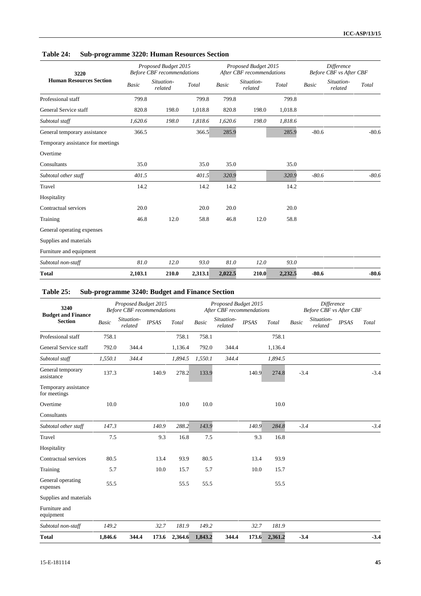| 3220                              |         | Proposed Budget 2015<br><b>Before CBF</b> recommendations |         |              | Proposed Budget 2015<br>After CBF recommendations |         | <b>Difference</b><br><b>Before CBF</b> vs After CBF |                       |         |
|-----------------------------------|---------|-----------------------------------------------------------|---------|--------------|---------------------------------------------------|---------|-----------------------------------------------------|-----------------------|---------|
| <b>Human Resources Section</b>    | Basic   | Situation-<br>related                                     | Total   | <b>Basic</b> | Situation-<br>related                             | Total   | <b>Basic</b>                                        | Situation-<br>related | Total   |
| Professional staff                | 799.8   |                                                           | 799.8   | 799.8        |                                                   | 799.8   |                                                     |                       |         |
| General Service staff             | 820.8   | 198.0                                                     | 1,018.8 | 820.8        | 198.0                                             | 1,018.8 |                                                     |                       |         |
| Subtotal staff                    | 1,620.6 | 198.0                                                     | 1,818.6 | 1,620.6      | 198.0                                             | 1,818.6 |                                                     |                       |         |
| General temporary assistance      | 366.5   |                                                           | 366.5   | 285.9        |                                                   | 285.9   | $-80.6$                                             |                       | $-80.6$ |
| Temporary assistance for meetings |         |                                                           |         |              |                                                   |         |                                                     |                       |         |
| Overtime                          |         |                                                           |         |              |                                                   |         |                                                     |                       |         |
| Consultants                       | 35.0    |                                                           | 35.0    | 35.0         |                                                   | 35.0    |                                                     |                       |         |
| Subtotal other staff              | 401.5   |                                                           | 401.5   | 320.9        |                                                   | 320.9   | $-80.6$                                             |                       | $-80.6$ |
| Travel                            | 14.2    |                                                           | 14.2    | 14.2         |                                                   | 14.2    |                                                     |                       |         |
| Hospitality                       |         |                                                           |         |              |                                                   |         |                                                     |                       |         |
| Contractual services              | 20.0    |                                                           | 20.0    | 20.0         |                                                   | 20.0    |                                                     |                       |         |
| Training                          | 46.8    | 12.0                                                      | 58.8    | 46.8         | 12.0                                              | 58.8    |                                                     |                       |         |
| General operating expenses        |         |                                                           |         |              |                                                   |         |                                                     |                       |         |
| Supplies and materials            |         |                                                           |         |              |                                                   |         |                                                     |                       |         |
| Furniture and equipment           |         |                                                           |         |              |                                                   |         |                                                     |                       |         |
| Subtotal non-staff                | 81.0    | 12.0                                                      | 93.0    | 81.0         | 12.0                                              | 93.0    |                                                     |                       |         |
| <b>Total</b>                      | 2,103.1 | 210.0                                                     | 2,313.1 | 2,022.5      | 210.0                                             | 2,232.5 | $-80.6$                                             |                       | $-80.6$ |

## **Table 24: Sub-programme 3220: Human Resources Section**

# **Table 25: Sub-programme 3240: Budget and Finance Section**

| 3240<br><b>Budget and Finance</b>    |              | Proposed Budget 2015<br><b>Before CBF</b> recommendations |              |         |              | Proposed Budget 2015<br>After CBF recommendations |              |         |        | <b>Difference</b><br><b>Before CBF vs After CBF</b> |              |        |
|--------------------------------------|--------------|-----------------------------------------------------------|--------------|---------|--------------|---------------------------------------------------|--------------|---------|--------|-----------------------------------------------------|--------------|--------|
| <b>Section</b>                       | <b>Basic</b> | Situation-<br>related                                     | <b>IPSAS</b> | Total   | <b>Basic</b> | Situation-<br>related                             | <b>IPSAS</b> | Total   | Basic  | Situation-<br>related                               | <b>IPSAS</b> | Total  |
| Professional staff                   | 758.1        |                                                           |              | 758.1   | 758.1        |                                                   |              | 758.1   |        |                                                     |              |        |
| General Service staff                | 792.0        | 344.4                                                     |              | 1,136.4 | 792.0        | 344.4                                             |              | 1,136.4 |        |                                                     |              |        |
| Subtotal staff                       | 1,550.1      | 344.4                                                     |              | 1,894.5 | 1,550.1      | 344.4                                             |              | 1,894.5 |        |                                                     |              |        |
| General temporary<br>assistance      | 137.3        |                                                           | 140.9        | 278.2   | 133.9        |                                                   | 140.9        | 274.8   | $-3.4$ |                                                     |              | $-3.4$ |
| Temporary assistance<br>for meetings |              |                                                           |              |         |              |                                                   |              |         |        |                                                     |              |        |
| Overtime                             | 10.0         |                                                           |              | 10.0    | 10.0         |                                                   |              | 10.0    |        |                                                     |              |        |
| Consultants                          |              |                                                           |              |         |              |                                                   |              |         |        |                                                     |              |        |
| Subtotal other staff                 | 147.3        |                                                           | 140.9        | 288.2   | 143.9        |                                                   | 140.9        | 284.8   | $-3.4$ |                                                     |              | $-3.4$ |
| Travel                               | 7.5          |                                                           | 9.3          | 16.8    | 7.5          |                                                   | 9.3          | 16.8    |        |                                                     |              |        |
| Hospitality                          |              |                                                           |              |         |              |                                                   |              |         |        |                                                     |              |        |
| Contractual services                 | 80.5         |                                                           | 13.4         | 93.9    | 80.5         |                                                   | 13.4         | 93.9    |        |                                                     |              |        |
| Training                             | 5.7          |                                                           | 10.0         | 15.7    | 5.7          |                                                   | 10.0         | 15.7    |        |                                                     |              |        |
| General operating<br>expenses        | 55.5         |                                                           |              | 55.5    | 55.5         |                                                   |              | 55.5    |        |                                                     |              |        |
| Supplies and materials               |              |                                                           |              |         |              |                                                   |              |         |        |                                                     |              |        |
| Furniture and<br>equipment           |              |                                                           |              |         |              |                                                   |              |         |        |                                                     |              |        |
| Subtotal non-staff                   | 149.2        |                                                           | 32.7         | 181.9   | 149.2        |                                                   | 32.7         | 181.9   |        |                                                     |              |        |
| <b>Total</b>                         | 1,846.6      | 344.4                                                     | 173.6        | 2,364.6 | 1,843.2      | 344.4                                             | 173.6        | 2,361.2 | $-3.4$ |                                                     |              | $-3.4$ |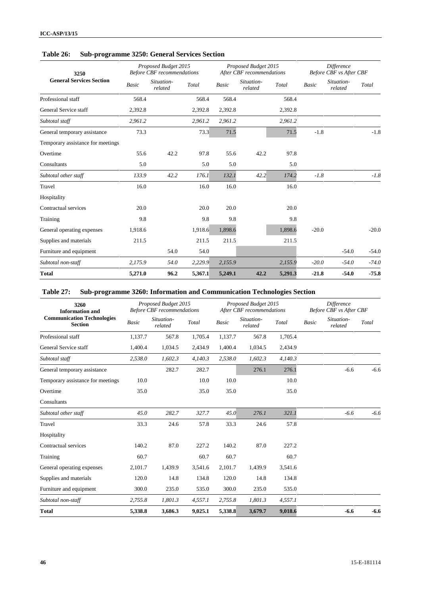| 3250                              |         | Proposed Budget 2015<br><b>Before CBF</b> recommendations |         |              | Proposed Budget 2015<br>After CBF recommendations |         | Difference<br>Before CBF vs After CBF |                       |         |  |
|-----------------------------------|---------|-----------------------------------------------------------|---------|--------------|---------------------------------------------------|---------|---------------------------------------|-----------------------|---------|--|
| <b>General Services Section</b>   | Basic   | Situation-<br>related                                     | Total   | <b>Basic</b> | Situation-<br>related                             | Total   | <b>Basic</b>                          | Situation-<br>related | Total   |  |
| Professional staff                | 568.4   |                                                           | 568.4   | 568.4        |                                                   | 568.4   |                                       |                       |         |  |
| General Service staff             | 2,392.8 |                                                           | 2,392.8 | 2,392.8      |                                                   | 2,392.8 |                                       |                       |         |  |
| Subtotal staff                    | 2,961.2 |                                                           | 2,961.2 | 2,961.2      |                                                   | 2,961.2 |                                       |                       |         |  |
| General temporary assistance      | 73.3    |                                                           | 73.3    | 71.5         |                                                   | 71.5    | $-1.8$                                |                       | $-1.8$  |  |
| Temporary assistance for meetings |         |                                                           |         |              |                                                   |         |                                       |                       |         |  |
| Overtime                          | 55.6    | 42.2                                                      | 97.8    | 55.6         | 42.2                                              | 97.8    |                                       |                       |         |  |
| Consultants                       | 5.0     |                                                           | 5.0     | 5.0          |                                                   | 5.0     |                                       |                       |         |  |
| Subtotal other staff              | 133.9   | 42.2                                                      | 176.1   | 132.1        | 42.2                                              | 174.2   | $-1.8$                                |                       | $-1.8$  |  |
| Travel                            | 16.0    |                                                           | 16.0    | 16.0         |                                                   | 16.0    |                                       |                       |         |  |
| Hospitality                       |         |                                                           |         |              |                                                   |         |                                       |                       |         |  |
| Contractual services              | 20.0    |                                                           | 20.0    | 20.0         |                                                   | 20.0    |                                       |                       |         |  |
| Training                          | 9.8     |                                                           | 9.8     | 9.8          |                                                   | 9.8     |                                       |                       |         |  |
| General operating expenses        | 1,918.6 |                                                           | 1,918.6 | 1,898.6      |                                                   | 1,898.6 | $-20.0$                               |                       | $-20.0$ |  |
| Supplies and materials            | 211.5   |                                                           | 211.5   | 211.5        |                                                   | 211.5   |                                       |                       |         |  |
| Furniture and equipment           |         | 54.0                                                      | 54.0    |              |                                                   |         |                                       | $-54.0$               | $-54.0$ |  |
| Subtotal non-staff                | 2,175.9 | 54.0                                                      | 2,229.9 | 2,155.9      |                                                   | 2,155.9 | $-20.0$                               | $-54.0$               | $-74.0$ |  |
| <b>Total</b>                      | 5,271.0 | 96.2                                                      | 5,367.1 | 5,249.1      | 42.2                                              | 5,291.3 | $-21.8$                               | $-54.0$               | $-75.8$ |  |

## **Table 26: Sub-programme 3250: General Services Section**

# **Table 27: Sub-programme 3260: Information and Communication Technologies Section**

| 3260<br><b>Information and</b>                      |         | Proposed Budget 2015<br><b>Before CBF</b> recommendations |         |              | Proposed Budget 2015<br>After CBF recommendations |         |              | <b>Difference</b><br><b>Before CBF</b> vs After CBF |        |  |
|-----------------------------------------------------|---------|-----------------------------------------------------------|---------|--------------|---------------------------------------------------|---------|--------------|-----------------------------------------------------|--------|--|
| <b>Communication Technologies</b><br><b>Section</b> | Basic   | Situation-<br>related                                     | Total   | <b>Basic</b> | Situation-<br>related                             | Total   | <b>Basic</b> | Situation-<br>related                               | Total  |  |
| Professional staff                                  | 1,137.7 | 567.8                                                     | 1,705.4 | 1,137.7      | 567.8                                             | 1,705.4 |              |                                                     |        |  |
| General Service staff                               | 1,400.4 | 1,034.5                                                   | 2,434.9 | 1,400.4      | 1,034.5                                           | 2,434.9 |              |                                                     |        |  |
| Subtotal staff                                      | 2,538.0 | 1,602.3                                                   | 4,140.3 | 2,538.0      | 1,602.3                                           | 4,140.3 |              |                                                     |        |  |
| General temporary assistance                        |         | 282.7                                                     | 282.7   |              | 276.1                                             | 276.1   |              | $-6.6$                                              | $-6.6$ |  |
| Temporary assistance for meetings                   | 10.0    |                                                           | 10.0    | 10.0         |                                                   | 10.0    |              |                                                     |        |  |
| Overtime                                            | 35.0    |                                                           | 35.0    | 35.0         |                                                   | 35.0    |              |                                                     |        |  |
| Consultants                                         |         |                                                           |         |              |                                                   |         |              |                                                     |        |  |
| Subtotal other staff                                | 45.0    | 282.7                                                     | 327.7   | 45.0         | 276.1                                             | 321.1   |              | $-6.6$                                              | $-6.6$ |  |
| Travel                                              | 33.3    | 24.6                                                      | 57.8    | 33.3         | 24.6                                              | 57.8    |              |                                                     |        |  |
| Hospitality                                         |         |                                                           |         |              |                                                   |         |              |                                                     |        |  |
| Contractual services                                | 140.2   | 87.0                                                      | 227.2   | 140.2        | 87.0                                              | 227.2   |              |                                                     |        |  |
| Training                                            | 60.7    |                                                           | 60.7    | 60.7         |                                                   | 60.7    |              |                                                     |        |  |
| General operating expenses                          | 2,101.7 | 1.439.9                                                   | 3,541.6 | 2,101.7      | 1,439.9                                           | 3,541.6 |              |                                                     |        |  |
| Supplies and materials                              | 120.0   | 14.8                                                      | 134.8   | 120.0        | 14.8                                              | 134.8   |              |                                                     |        |  |
| Furniture and equipment                             | 300.0   | 235.0                                                     | 535.0   | 300.0        | 235.0                                             | 535.0   |              |                                                     |        |  |
| Subtotal non-staff                                  | 2,755.8 | 1,801.3                                                   | 4,557.1 | 2,755.8      | 1,801.3                                           | 4,557.1 |              |                                                     |        |  |
| <b>Total</b>                                        | 5,338.8 | 3,686.3                                                   | 9,025.1 | 5,338.8      | 3,679.7                                           | 9,018.6 |              | $-6.6$                                              | $-6.6$ |  |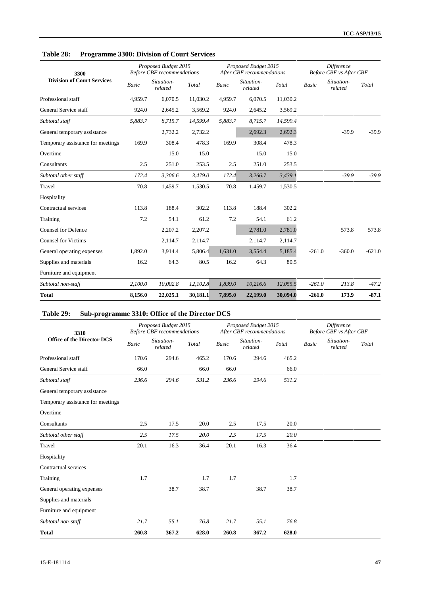| Table 28: | <b>Programme 3300: Division of Court Services</b> |  |
|-----------|---------------------------------------------------|--|
|-----------|---------------------------------------------------|--|

| 3300                              |         | Proposed Budget 2015<br><b>Before CBF</b> recommendations |          |              | Proposed Budget 2015<br>After CBF recommendations |          |              | <b>Difference</b><br><b>Before CBF</b> vs After CBF |          |  |
|-----------------------------------|---------|-----------------------------------------------------------|----------|--------------|---------------------------------------------------|----------|--------------|-----------------------------------------------------|----------|--|
| <b>Division of Court Services</b> | Basic   | Situation-<br>related                                     | Total    | <b>Basic</b> | Situation-<br>related                             | Total    | <b>Basic</b> | Situation-<br>related                               | Total    |  |
| Professional staff                | 4.959.7 | 6,070.5                                                   | 11,030.2 | 4,959.7      | 6,070.5                                           | 11,030.2 |              |                                                     |          |  |
| General Service staff             | 924.0   | 2,645.2                                                   | 3,569.2  | 924.0        | 2,645.2                                           | 3,569.2  |              |                                                     |          |  |
| Subtotal staff                    | 5,883.7 | 8,715.7                                                   | 14,599.4 | 5,883.7      | 8,715.7                                           | 14,599.4 |              |                                                     |          |  |
| General temporary assistance      |         | 2,732.2                                                   | 2,732.2  |              | 2,692.3                                           | 2,692.3  |              | $-39.9$                                             | $-39.9$  |  |
| Temporary assistance for meetings | 169.9   | 308.4                                                     | 478.3    | 169.9        | 308.4                                             | 478.3    |              |                                                     |          |  |
| Overtime                          |         | 15.0                                                      | 15.0     |              | 15.0                                              | 15.0     |              |                                                     |          |  |
| Consultants                       | 2.5     | 251.0                                                     | 253.5    | 2.5          | 251.0                                             | 253.5    |              |                                                     |          |  |
| Subtotal other staff              | 172.4   | 3,306.6                                                   | 3,479.0  | 172.4        | 3,266.7                                           | 3,439.1  |              | $-39.9$                                             | $-39.9$  |  |
| Travel                            | 70.8    | 1,459.7                                                   | 1,530.5  | 70.8         | 1,459.7                                           | 1,530.5  |              |                                                     |          |  |
| Hospitality                       |         |                                                           |          |              |                                                   |          |              |                                                     |          |  |
| Contractual services              | 113.8   | 188.4                                                     | 302.2    | 113.8        | 188.4                                             | 302.2    |              |                                                     |          |  |
| Training                          | 7.2     | 54.1                                                      | 61.2     | 7.2          | 54.1                                              | 61.2     |              |                                                     |          |  |
| <b>Counsel for Defence</b>        |         | 2,207.2                                                   | 2,207.2  |              | 2,781.0                                           | 2,781.0  |              | 573.8                                               | 573.8    |  |
| <b>Counsel for Victims</b>        |         | 2,114.7                                                   | 2,114.7  |              | 2,114.7                                           | 2,114.7  |              |                                                     |          |  |
| General operating expenses        | 1,892.0 | 3,914.4                                                   | 5,806.4  | 1,631.0      | 3,554.4                                           | 5,185.4  | $-261.0$     | $-360.0$                                            | $-621.0$ |  |
| Supplies and materials            | 16.2    | 64.3                                                      | 80.5     | 16.2         | 64.3                                              | 80.5     |              |                                                     |          |  |
| Furniture and equipment           |         |                                                           |          |              |                                                   |          |              |                                                     |          |  |
| Subtotal non-staff                | 2,100.0 | 10,002.8                                                  | 12,102.8 | 1,839.0      | 10,216.6                                          | 12,055.5 | $-261.0$     | 213.8                                               | $-47.2$  |  |
| <b>Total</b>                      | 8,156.0 | 22,025.1                                                  | 30,181.1 | 7,895.0      | 22,199.0                                          | 30,094.0 | $-261.0$     | 173.9                                               | $-87.1$  |  |

## **Table 29: Sub-programme 3310: Office of the Director DCS**

| 3310                              |       | Proposed Budget 2015<br><b>Before CBF</b> recommendations |       |              | Proposed Budget 2015<br>After CBF recommendations |       | <b>Difference</b><br>Before CBF vs After CBF |                       |       |
|-----------------------------------|-------|-----------------------------------------------------------|-------|--------------|---------------------------------------------------|-------|----------------------------------------------|-----------------------|-------|
| <b>Office of the Director DCS</b> | Basic | Situation-<br>related                                     | Total | <b>Basic</b> | Situation-<br>related                             | Total | <b>Basic</b>                                 | Situation-<br>related | Total |
| Professional staff                | 170.6 | 294.6                                                     | 465.2 | 170.6        | 294.6                                             | 465.2 |                                              |                       |       |
| General Service staff             | 66.0  |                                                           | 66.0  | 66.0         |                                                   | 66.0  |                                              |                       |       |
| Subtotal staff                    | 236.6 | 294.6                                                     | 531.2 | 236.6        | 294.6                                             | 531.2 |                                              |                       |       |
| General temporary assistance      |       |                                                           |       |              |                                                   |       |                                              |                       |       |
| Temporary assistance for meetings |       |                                                           |       |              |                                                   |       |                                              |                       |       |
| Overtime                          |       |                                                           |       |              |                                                   |       |                                              |                       |       |
| Consultants                       | 2.5   | 17.5                                                      | 20.0  | 2.5          | 17.5                                              | 20.0  |                                              |                       |       |
| Subtotal other staff              | 2.5   | 17.5                                                      | 20.0  | 2.5          | 17.5                                              | 20.0  |                                              |                       |       |
| Travel                            | 20.1  | 16.3                                                      | 36.4  | 20.1         | 16.3                                              | 36.4  |                                              |                       |       |
| Hospitality                       |       |                                                           |       |              |                                                   |       |                                              |                       |       |
| Contractual services              |       |                                                           |       |              |                                                   |       |                                              |                       |       |
| Training                          | 1.7   |                                                           | 1.7   | 1.7          |                                                   | 1.7   |                                              |                       |       |
| General operating expenses        |       | 38.7                                                      | 38.7  |              | 38.7                                              | 38.7  |                                              |                       |       |
| Supplies and materials            |       |                                                           |       |              |                                                   |       |                                              |                       |       |
| Furniture and equipment           |       |                                                           |       |              |                                                   |       |                                              |                       |       |
| Subtotal non-staff                | 21.7  | 55.1                                                      | 76.8  | 21.7         | 55.1                                              | 76.8  |                                              |                       |       |
| Total                             | 260.8 | 367.2                                                     | 628.0 | 260.8        | 367.2                                             | 628.0 |                                              |                       |       |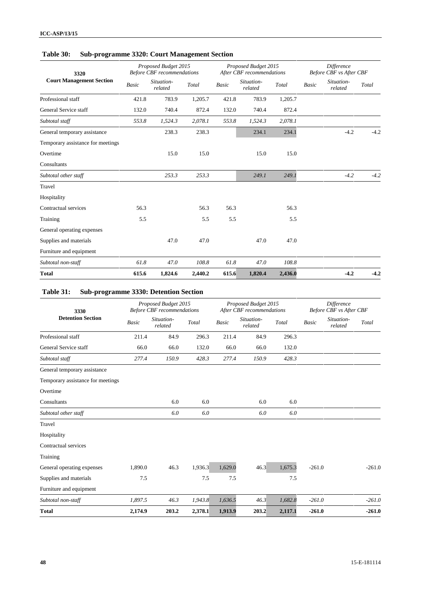# **Table 30: Sub-programme 3320: Court Management Section**

| 3320                              |              | Proposed Budget 2015<br><b>Before CBF</b> recommendations |         |              | Proposed Budget 2015<br>After CBF recommendations |         | <b>Difference</b><br><b>Before CBF</b> vs After CBF |                       |        |
|-----------------------------------|--------------|-----------------------------------------------------------|---------|--------------|---------------------------------------------------|---------|-----------------------------------------------------|-----------------------|--------|
| <b>Court Management Section</b>   | <b>Basic</b> | Situation-<br>related                                     | Total   | <b>Basic</b> | Situation-<br>related                             | Total   | <b>Basic</b>                                        | Situation-<br>related | Total  |
| Professional staff                | 421.8        | 783.9                                                     | 1,205.7 | 421.8        | 783.9                                             | 1,205.7 |                                                     |                       |        |
| General Service staff             | 132.0        | 740.4                                                     | 872.4   | 132.0        | 740.4                                             | 872.4   |                                                     |                       |        |
| Subtotal staff                    | 553.8        | 1,524.3                                                   | 2,078.1 | 553.8        | 1,524.3                                           | 2,078.1 |                                                     |                       |        |
| General temporary assistance      |              | 238.3                                                     | 238.3   |              | 234.1                                             | 234.1   |                                                     | $-4.2$                | $-4.2$ |
| Temporary assistance for meetings |              |                                                           |         |              |                                                   |         |                                                     |                       |        |
| Overtime                          |              | 15.0                                                      | 15.0    |              | 15.0                                              | 15.0    |                                                     |                       |        |
| Consultants                       |              |                                                           |         |              |                                                   |         |                                                     |                       |        |
| Subtotal other staff              |              | 253.3                                                     | 253.3   |              | 249.1                                             | 249.1   |                                                     | $-4.2$                | $-4.2$ |
| Travel                            |              |                                                           |         |              |                                                   |         |                                                     |                       |        |
| Hospitality                       |              |                                                           |         |              |                                                   |         |                                                     |                       |        |
| Contractual services              | 56.3         |                                                           | 56.3    | 56.3         |                                                   | 56.3    |                                                     |                       |        |
| Training                          | 5.5          |                                                           | 5.5     | 5.5          |                                                   | 5.5     |                                                     |                       |        |
| General operating expenses        |              |                                                           |         |              |                                                   |         |                                                     |                       |        |
| Supplies and materials            |              | 47.0                                                      | 47.0    |              | 47.0                                              | 47.0    |                                                     |                       |        |
| Furniture and equipment           |              |                                                           |         |              |                                                   |         |                                                     |                       |        |
| Subtotal non-staff                | 61.8         | 47.0                                                      | 108.8   | 61.8         | 47.0                                              | 108.8   |                                                     |                       |        |
| <b>Total</b>                      | 615.6        | 1,824.6                                                   | 2,440.2 | 615.6        | 1,820.4                                           | 2,436.0 |                                                     | $-4.2$                | $-4.2$ |

# **Table 31: Sub-programme 3330: Detention Section**

| 3330                              |         | Proposed Budget 2015<br><b>Before CBF</b> recommendations |         |              | Proposed Budget 2015<br>After CBF recommendations |         | <b>Difference</b><br><b>Before CBF</b> vs After CBF |                       |          |
|-----------------------------------|---------|-----------------------------------------------------------|---------|--------------|---------------------------------------------------|---------|-----------------------------------------------------|-----------------------|----------|
| <b>Detention Section</b>          | Basic   | Situation-<br>related                                     | Total   | <b>Basic</b> | Situation-<br>related                             | Total   | <b>Basic</b>                                        | Situation-<br>related | Total    |
| Professional staff                | 211.4   | 84.9                                                      | 296.3   | 211.4        | 84.9                                              | 296.3   |                                                     |                       |          |
| General Service staff             | 66.0    | 66.0                                                      | 132.0   | 66.0         | 66.0                                              | 132.0   |                                                     |                       |          |
| Subtotal staff                    | 277.4   | 150.9                                                     | 428.3   | 277.4        | 150.9                                             | 428.3   |                                                     |                       |          |
| General temporary assistance      |         |                                                           |         |              |                                                   |         |                                                     |                       |          |
| Temporary assistance for meetings |         |                                                           |         |              |                                                   |         |                                                     |                       |          |
| Overtime                          |         |                                                           |         |              |                                                   |         |                                                     |                       |          |
| Consultants                       |         | 6.0                                                       | 6.0     |              | 6.0                                               | 6.0     |                                                     |                       |          |
| Subtotal other staff              |         | 6.0                                                       | 6.0     |              | 6.0                                               | 6.0     |                                                     |                       |          |
| Travel                            |         |                                                           |         |              |                                                   |         |                                                     |                       |          |
| Hospitality                       |         |                                                           |         |              |                                                   |         |                                                     |                       |          |
| Contractual services              |         |                                                           |         |              |                                                   |         |                                                     |                       |          |
| Training                          |         |                                                           |         |              |                                                   |         |                                                     |                       |          |
| General operating expenses        | 1,890.0 | 46.3                                                      | 1,936.3 | 1,629.0      | 46.3                                              | 1,675.3 | $-261.0$                                            |                       | $-261.0$ |
| Supplies and materials            | 7.5     |                                                           | 7.5     | 7.5          |                                                   | 7.5     |                                                     |                       |          |
| Furniture and equipment           |         |                                                           |         |              |                                                   |         |                                                     |                       |          |
| Subtotal non-staff                | 1,897.5 | 46.3                                                      | 1,943.8 | 1,636.5      | 46.3                                              | 1,682.8 | $-261.0$                                            |                       | $-261.0$ |
| <b>Total</b>                      | 2,174.9 | 203.2                                                     | 2,378.1 | 1,913.9      | 203.2                                             | 2,117.1 | $-261.0$                                            |                       | $-261.0$ |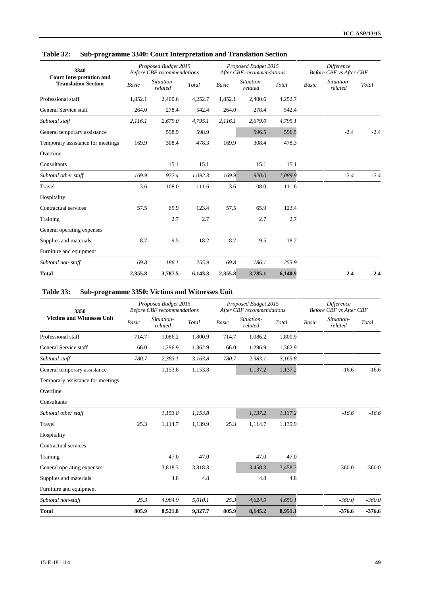| 3340<br><b>Court Interpretation and</b> |         | Proposed Budget 2015<br><b>Before CBF</b> recommendations |         |              | Proposed Budget 2015<br>After CBF recommendations |         |              | <b>Difference</b><br><b>Before CBF</b> vs After CBF |        |  |
|-----------------------------------------|---------|-----------------------------------------------------------|---------|--------------|---------------------------------------------------|---------|--------------|-----------------------------------------------------|--------|--|
| <b>Translation Section</b>              | Basic   | Situation-<br>related                                     | Total   | <b>Basic</b> | Situation-<br>related                             | Total   | <b>Basic</b> | Situation-<br>related                               | Total  |  |
| Professional staff                      | 1,852.1 | 2,400.6                                                   | 4,252.7 | 1,852.1      | 2,400.6                                           | 4,252.7 |              |                                                     |        |  |
| General Service staff                   | 264.0   | 278.4                                                     | 542.4   | 264.0        | 278.4                                             | 542.4   |              |                                                     |        |  |
| Subtotal staff                          | 2,116.1 | 2,679.0                                                   | 4,795.1 | 2,116.1      | 2,679.0                                           | 4,795.1 |              |                                                     |        |  |
| General temporary assistance            |         | 598.9                                                     | 598.9   |              | 596.5                                             | 596.5   |              | $-2.4$                                              | $-2.4$ |  |
| Temporary assistance for meetings       | 169.9   | 308.4                                                     | 478.3   | 169.9        | 308.4                                             | 478.3   |              |                                                     |        |  |
| Overtime                                |         |                                                           |         |              |                                                   |         |              |                                                     |        |  |
| Consultants                             |         | 15.1                                                      | 15.1    |              | 15.1                                              | 15.1    |              |                                                     |        |  |
| Subtotal other staff                    | 169.9   | 922.4                                                     | 1,092.3 | 169.9        | 920.0                                             | 1,089.9 |              | $-2.4$                                              | $-2.4$ |  |
| Travel                                  | 3.6     | 108.0                                                     | 111.6   | 3.6          | 108.0                                             | 111.6   |              |                                                     |        |  |
| Hospitality                             |         |                                                           |         |              |                                                   |         |              |                                                     |        |  |
| Contractual services                    | 57.5    | 65.9                                                      | 123.4   | 57.5         | 65.9                                              | 123.4   |              |                                                     |        |  |
| Training                                |         | 2.7                                                       | 2.7     |              | 2.7                                               | 2.7     |              |                                                     |        |  |
| General operating expenses              |         |                                                           |         |              |                                                   |         |              |                                                     |        |  |
| Supplies and materials                  | 8.7     | 9.5                                                       | 18.2    | 8.7          | 9.5                                               | 18.2    |              |                                                     |        |  |
| Furniture and equipment                 |         |                                                           |         |              |                                                   |         |              |                                                     |        |  |
| Subtotal non-staff                      | 69.8    | 186.1                                                     | 255.9   | 69.8         | 186.1                                             | 255.9   |              |                                                     |        |  |
| <b>Total</b>                            | 2,355.8 | 3,787.5                                                   | 6,143.3 | 2,355.8      | 3,785.1                                           | 6,140.9 |              | $-2.4$                                              | $-2.4$ |  |

## **Table 32: Sub-programme 3340: Court Interpretation and Translation Section**

# **Table 33: Sub-programme 3350: Victims and Witnesses Unit**

| 3350                              |       | Proposed Budget 2015<br><b>Before CBF</b> recommendations |         |              | Proposed Budget 2015<br>After CBF recommendations |         | Difference<br>Before CBF vs After CBF |                       |          |
|-----------------------------------|-------|-----------------------------------------------------------|---------|--------------|---------------------------------------------------|---------|---------------------------------------|-----------------------|----------|
| <b>Victims and Witnesses Unit</b> | Basic | Situation-<br>related                                     | Total   | <b>Basic</b> | Situation-<br>related                             | Total   | <b>Basic</b>                          | Situation-<br>related | Total    |
| Professional staff                | 714.7 | 1,086.2                                                   | 1,800.9 | 714.7        | 1,086.2                                           | 1,800.9 |                                       |                       |          |
| General Service staff             | 66.0  | 1,296.9                                                   | 1,362.9 | 66.0         | 1,296.9                                           | 1,362.9 |                                       |                       |          |
| Subtotal staff                    | 780.7 | 2,383.1                                                   | 3,163.8 | 780.7        | 2,383.1                                           | 3,163.8 |                                       |                       |          |
| General temporary assistance      |       | 1,153.8                                                   | 1,153.8 |              | 1,137.2                                           | 1,137.2 |                                       | $-16.6$               | $-16.6$  |
| Temporary assistance for meetings |       |                                                           |         |              |                                                   |         |                                       |                       |          |
| Overtime                          |       |                                                           |         |              |                                                   |         |                                       |                       |          |
| Consultants                       |       |                                                           |         |              |                                                   |         |                                       |                       |          |
| Subtotal other staff              |       | 1,153.8                                                   | 1,153.8 |              | 1,137.2                                           | 1,137.2 |                                       | $-16.6$               | $-16.6$  |
| Travel                            | 25.3  | 1,114.7                                                   | 1,139.9 | 25.3         | 1,114.7                                           | 1,139.9 |                                       |                       |          |
| Hospitality                       |       |                                                           |         |              |                                                   |         |                                       |                       |          |
| Contractual services              |       |                                                           |         |              |                                                   |         |                                       |                       |          |
| Training                          |       | 47.0                                                      | 47.0    |              | 47.0                                              | 47.0    |                                       |                       |          |
| General operating expenses        |       | 3,818.3                                                   | 3,818.3 |              | 3,458.3                                           | 3,458.3 |                                       | $-360.0$              | $-360.0$ |
| Supplies and materials            |       | 4.8                                                       | 4.8     |              | 4.8                                               | 4.8     |                                       |                       |          |
| Furniture and equipment           |       |                                                           |         |              |                                                   |         |                                       |                       |          |
| Subtotal non-staff                | 25.3  | 4,984.9                                                   | 5,010.1 | 25.3         | 4,624.9                                           | 4,650.1 |                                       | $-360.0$              | $-360.0$ |
| <b>Total</b>                      | 805.9 | 8,521.8                                                   | 9,327.7 | 805.9        | 8,145.2                                           | 8,951.1 |                                       | $-376.6$              | $-376.6$ |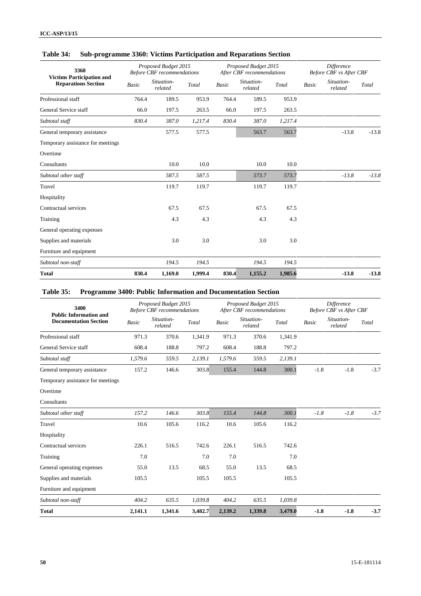| 3360                                                           |       | Proposed Budget 2015<br><b>Before CBF</b> recommendations |         | Proposed Budget 2015<br>After CBF recommendations |                       |         | <b>Difference</b><br>Before CBF vs After CBF |                       |         |
|----------------------------------------------------------------|-------|-----------------------------------------------------------|---------|---------------------------------------------------|-----------------------|---------|----------------------------------------------|-----------------------|---------|
| <b>Victims Participation and</b><br><b>Reparations Section</b> | Basic | Situation-<br>related                                     | Total   | <b>Basic</b>                                      | Situation-<br>related | Total   | <b>Basic</b>                                 | Situation-<br>related | Total   |
| Professional staff                                             | 764.4 | 189.5                                                     | 953.9   | 764.4                                             | 189.5                 | 953.9   |                                              |                       |         |
| General Service staff                                          | 66.0  | 197.5                                                     | 263.5   | 66.0                                              | 197.5                 | 263.5   |                                              |                       |         |
| Subtotal staff                                                 | 830.4 | 387.0                                                     | 1,217.4 | 830.4                                             | 387.0                 | 1,217.4 |                                              |                       |         |
| General temporary assistance                                   |       | 577.5                                                     | 577.5   |                                                   | 563.7                 | 563.7   |                                              | $-13.8$               | $-13.8$ |
| Temporary assistance for meetings                              |       |                                                           |         |                                                   |                       |         |                                              |                       |         |
| Overtime                                                       |       |                                                           |         |                                                   |                       |         |                                              |                       |         |
| Consultants                                                    |       | 10.0                                                      | 10.0    |                                                   | 10.0                  | 10.0    |                                              |                       |         |
| Subtotal other staff                                           |       | 587.5                                                     | 587.5   |                                                   | 573.7                 | 573.7   |                                              | $-13.8$               | $-13.8$ |
| Travel                                                         |       | 119.7                                                     | 119.7   |                                                   | 119.7                 | 119.7   |                                              |                       |         |
| Hospitality                                                    |       |                                                           |         |                                                   |                       |         |                                              |                       |         |
| Contractual services                                           |       | 67.5                                                      | 67.5    |                                                   | 67.5                  | 67.5    |                                              |                       |         |
| Training                                                       |       | 4.3                                                       | 4.3     |                                                   | 4.3                   | 4.3     |                                              |                       |         |
| General operating expenses                                     |       |                                                           |         |                                                   |                       |         |                                              |                       |         |
| Supplies and materials                                         |       | 3.0                                                       | 3.0     |                                                   | 3.0                   | 3.0     |                                              |                       |         |
| Furniture and equipment                                        |       |                                                           |         |                                                   |                       |         |                                              |                       |         |
| Subtotal non-staff                                             |       | 194.5                                                     | 194.5   |                                                   | 194.5                 | 194.5   |                                              |                       |         |

**Total 830.4 1,169.0 1,999.4 830.4 1,155.2 1,985.6 -13.8 -13.8**

### **Table 34: Sub-programme 3360: Victims Participation and Reparations Section**

### **Table 35: Programme 3400: Public Information and Documentation Section**

| 3400                                                          | Proposed Budget 2015<br><b>Before CBF</b> recommendations |                       |         | Proposed Budget 2015<br>After CBF recommendations |                       |         | Difference<br><b>Before CBF</b> vs After CBF |                       |        |
|---------------------------------------------------------------|-----------------------------------------------------------|-----------------------|---------|---------------------------------------------------|-----------------------|---------|----------------------------------------------|-----------------------|--------|
| <b>Public Information and</b><br><b>Documentation Section</b> | Basic                                                     | Situation-<br>related | Total   | <b>Basic</b>                                      | Situation-<br>related | Total   | <b>Basic</b>                                 | Situation-<br>related | Total  |
| Professional staff                                            | 971.3                                                     | 370.6                 | 1,341.9 | 971.3                                             | 370.6                 | 1,341.9 |                                              |                       |        |
| General Service staff                                         | 608.4                                                     | 188.8                 | 797.2   | 608.4                                             | 188.8                 | 797.2   |                                              |                       |        |
| Subtotal staff                                                | 1,579.6                                                   | 559.5                 | 2,139.1 | 1,579.6                                           | 559.5                 | 2,139.1 |                                              |                       |        |
| General temporary assistance                                  | 157.2                                                     | 146.6                 | 303.8   | 155.4                                             | 144.8                 | 300.1   | $-1.8$                                       | $-1.8$                | $-3.7$ |
| Temporary assistance for meetings                             |                                                           |                       |         |                                                   |                       |         |                                              |                       |        |
| Overtime                                                      |                                                           |                       |         |                                                   |                       |         |                                              |                       |        |
| Consultants                                                   |                                                           |                       |         |                                                   |                       |         |                                              |                       |        |
| Subtotal other staff                                          | 157.2                                                     | 146.6                 | 303.8   | 155.4                                             | 144.8                 | 300.1   | $-1.8$                                       | $-1.8$                | $-3.7$ |
| Travel                                                        | 10.6                                                      | 105.6                 | 116.2   | 10.6                                              | 105.6                 | 116.2   |                                              |                       |        |
| Hospitality                                                   |                                                           |                       |         |                                                   |                       |         |                                              |                       |        |
| Contractual services                                          | 226.1                                                     | 516.5                 | 742.6   | 226.1                                             | 516.5                 | 742.6   |                                              |                       |        |
| Training                                                      | 7.0                                                       |                       | 7.0     | 7.0                                               |                       | 7.0     |                                              |                       |        |
| General operating expenses                                    | 55.0                                                      | 13.5                  | 68.5    | 55.0                                              | 13.5                  | 68.5    |                                              |                       |        |
| Supplies and materials                                        | 105.5                                                     |                       | 105.5   | 105.5                                             |                       | 105.5   |                                              |                       |        |
| Furniture and equipment                                       |                                                           |                       |         |                                                   |                       |         |                                              |                       |        |
| Subtotal non-staff                                            | 404.2                                                     | 635.5                 | 1,039.8 | 404.2                                             | 635.5                 | 1,039.8 |                                              |                       |        |
| <b>Total</b>                                                  | 2,141.1                                                   | 1,341.6               | 3,482.7 | 2,139.2                                           | 1,339.8               | 3,479.0 | $-1.8$                                       | $-1.8$                | $-3.7$ |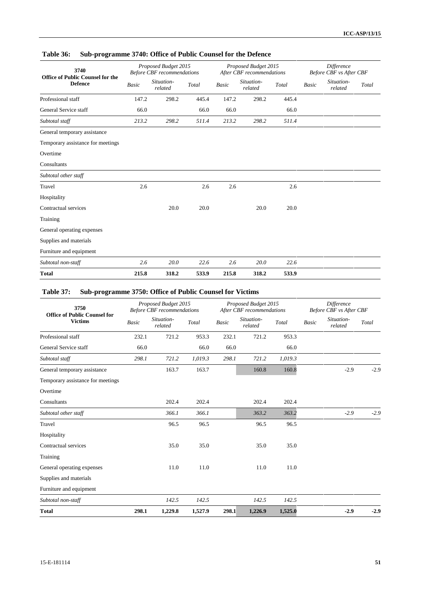| 3740<br><b>Office of Public Counsel for the</b> |       | Proposed Budget 2015<br><b>Before CBF</b> recommendations |       |              | Proposed Budget 2015<br>After CBF recommendations | <b>Difference</b><br>Before CBF vs After CBF |              |                       |       |
|-------------------------------------------------|-------|-----------------------------------------------------------|-------|--------------|---------------------------------------------------|----------------------------------------------|--------------|-----------------------|-------|
| <b>Defence</b>                                  | Basic | Situation-<br>related                                     | Total | <b>Basic</b> | Situation-<br>related                             | Total                                        | <b>Basic</b> | Situation-<br>related | Total |
| Professional staff                              | 147.2 | 298.2                                                     | 445.4 | 147.2        | 298.2                                             | 445.4                                        |              |                       |       |
| General Service staff                           | 66.0  |                                                           | 66.0  | 66.0         |                                                   | 66.0                                         |              |                       |       |
| Subtotal staff                                  | 213.2 | 298.2                                                     | 511.4 | 213.2        | 298.2                                             | 511.4                                        |              |                       |       |
| General temporary assistance                    |       |                                                           |       |              |                                                   |                                              |              |                       |       |
| Temporary assistance for meetings               |       |                                                           |       |              |                                                   |                                              |              |                       |       |
| Overtime                                        |       |                                                           |       |              |                                                   |                                              |              |                       |       |
| Consultants                                     |       |                                                           |       |              |                                                   |                                              |              |                       |       |
| Subtotal other staff                            |       |                                                           |       |              |                                                   |                                              |              |                       |       |
| Travel                                          | 2.6   |                                                           | 2.6   | 2.6          |                                                   | 2.6                                          |              |                       |       |
| Hospitality                                     |       |                                                           |       |              |                                                   |                                              |              |                       |       |
| Contractual services                            |       | 20.0                                                      | 20.0  |              | 20.0                                              | 20.0                                         |              |                       |       |
| Training                                        |       |                                                           |       |              |                                                   |                                              |              |                       |       |
| General operating expenses                      |       |                                                           |       |              |                                                   |                                              |              |                       |       |
| Supplies and materials                          |       |                                                           |       |              |                                                   |                                              |              |                       |       |
| Furniture and equipment                         |       |                                                           |       |              |                                                   |                                              |              |                       |       |
| Subtotal non-staff                              | 2.6   | 20.0                                                      | 22.6  | 2.6          | 20.0                                              | 22.6                                         |              |                       |       |
| <b>Total</b>                                    | 215.8 | 318.2                                                     | 533.9 | 215.8        | 318.2                                             | 533.9                                        |              |                       |       |

### **Table 36: Sub-programme 3740: Office of Public Counsel for the Defence**

# **Table 37: Sub-programme 3750: Office of Public Counsel for Victims**

| 3750                                                  |              | Proposed Budget 2015<br><b>Before CBF</b> recommendations |         | Proposed Budget 2015<br>After CBF recommendations |                       |         | <b>Difference</b><br><b>Before CBF</b> vs After CBF |                       |        |
|-------------------------------------------------------|--------------|-----------------------------------------------------------|---------|---------------------------------------------------|-----------------------|---------|-----------------------------------------------------|-----------------------|--------|
| <b>Office of Public Counsel for</b><br><b>Victims</b> | <b>Basic</b> | Situation-<br>related                                     | Total   | Basic                                             | Situation-<br>related | Total   | <b>Basic</b>                                        | Situation-<br>related | Total  |
| Professional staff                                    | 232.1        | 721.2                                                     | 953.3   | 232.1                                             | 721.2                 | 953.3   |                                                     |                       |        |
| General Service staff                                 | 66.0         |                                                           | 66.0    | 66.0                                              |                       | 66.0    |                                                     |                       |        |
| Subtotal staff                                        | 298.1        | 721.2                                                     | 1,019.3 | 298.1                                             | 721.2                 | 1,019.3 |                                                     |                       |        |
| General temporary assistance                          |              | 163.7                                                     | 163.7   |                                                   | 160.8                 | 160.8   |                                                     | $-2.9$                | $-2.9$ |
| Temporary assistance for meetings                     |              |                                                           |         |                                                   |                       |         |                                                     |                       |        |
| Overtime                                              |              |                                                           |         |                                                   |                       |         |                                                     |                       |        |
| Consultants                                           |              | 202.4                                                     | 202.4   |                                                   | 202.4                 | 202.4   |                                                     |                       |        |
| Subtotal other staff                                  |              | 366.1                                                     | 366.1   |                                                   | 363.2                 | 363.2   |                                                     | $-2.9$                | $-2.9$ |
| Travel                                                |              | 96.5                                                      | 96.5    |                                                   | 96.5                  | 96.5    |                                                     |                       |        |
| Hospitality                                           |              |                                                           |         |                                                   |                       |         |                                                     |                       |        |
| Contractual services                                  |              | 35.0                                                      | 35.0    |                                                   | 35.0                  | 35.0    |                                                     |                       |        |
| Training                                              |              |                                                           |         |                                                   |                       |         |                                                     |                       |        |
| General operating expenses                            |              | 11.0                                                      | 11.0    |                                                   | 11.0                  | 11.0    |                                                     |                       |        |
| Supplies and materials                                |              |                                                           |         |                                                   |                       |         |                                                     |                       |        |
| Furniture and equipment                               |              |                                                           |         |                                                   |                       |         |                                                     |                       |        |
| Subtotal non-staff                                    |              | 142.5                                                     | 142.5   |                                                   | 142.5                 | 142.5   |                                                     |                       |        |
| <b>Total</b>                                          | 298.1        | 1,229.8                                                   | 1,527.9 | 298.1                                             | 1,226.9               | 1,525.0 |                                                     | $-2.9$                | $-2.9$ |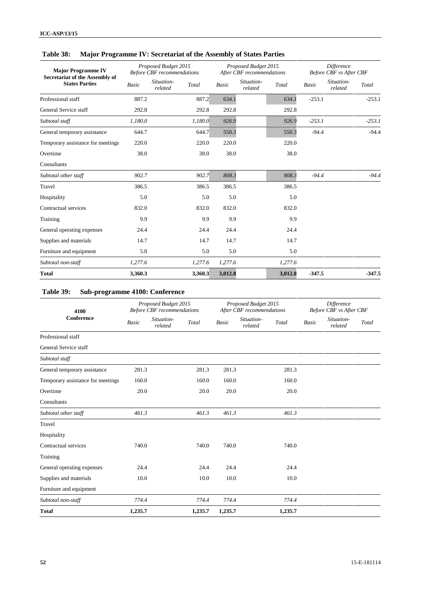| <b>Major Programme IV</b><br>Secretariat of the Assembly of |         | Proposed Budget 2015<br><b>Before CBF</b> recommendations |              | Proposed Budget 2015<br>After CBF recommendations |         |              | <b>Difference</b><br><b>Before CBF</b> vs After CBF |          |  |
|-------------------------------------------------------------|---------|-----------------------------------------------------------|--------------|---------------------------------------------------|---------|--------------|-----------------------------------------------------|----------|--|
| <b>States Parties</b>                                       | Basic   | Situation-<br>Total<br>related                            | <b>Basic</b> | Situation-<br>related                             | Total   | <b>Basic</b> | Situation-<br>Total<br>related                      |          |  |
| Professional staff                                          | 887.2   | 887.2                                                     | 634.1        |                                                   | 634.1   | $-253.1$     |                                                     | $-253.1$ |  |
| General Service staff                                       | 292.8   | 292.8                                                     | 292.8        |                                                   | 292.8   |              |                                                     |          |  |
| Subtotal staff                                              | 1,180.0 | 1,180.0                                                   | 926.9        |                                                   | 926.9   | $-253.1$     |                                                     | $-253.1$ |  |
| General temporary assistance                                | 644.7   | 644.7                                                     | 550.3        |                                                   | 550.3   | $-94.4$      |                                                     | $-94.4$  |  |
| Temporary assistance for meetings                           | 220.0   | 220.0                                                     | 220.0        |                                                   | 220.0   |              |                                                     |          |  |
| Overtime                                                    | 38.0    | 38.0                                                      | 38.0         |                                                   | 38.0    |              |                                                     |          |  |
| Consultants                                                 |         |                                                           |              |                                                   |         |              |                                                     |          |  |
| Subtotal other staff                                        | 902.7   | 902.7                                                     | 808.3        |                                                   | 808.3   | $-94.4$      |                                                     | $-94.4$  |  |
| Travel                                                      | 386.5   | 386.5                                                     | 386.5        |                                                   | 386.5   |              |                                                     |          |  |
| Hospitality                                                 | 5.0     | 5.0                                                       | 5.0          |                                                   | 5.0     |              |                                                     |          |  |
| Contractual services                                        | 832.0   | 832.0                                                     | 832.0        |                                                   | 832.0   |              |                                                     |          |  |
| Training                                                    | 9.9     | 9.9                                                       | 9.9          |                                                   | 9.9     |              |                                                     |          |  |
| General operating expenses                                  | 24.4    | 24.4                                                      | 24.4         |                                                   | 24.4    |              |                                                     |          |  |
| Supplies and materials                                      | 14.7    | 14.7                                                      | 14.7         |                                                   | 14.7    |              |                                                     |          |  |
| Furniture and equipment                                     | 5.0     | 5.0                                                       | 5.0          |                                                   | 5.0     |              |                                                     |          |  |
| Subtotal non-staff                                          | 1,277.6 | 1,277.6                                                   | 1,277.6      |                                                   | 1,277.6 |              |                                                     |          |  |
| <b>Total</b>                                                | 3,360.3 | 3,360.3                                                   | 3,012.8      |                                                   | 3,012.8 | $-347.5$     |                                                     | $-347.5$ |  |

## **Table 38: Major Programme IV: Secretariat of the Assembly of States Parties**

# **Table 39: Sub-programme 4100: Conference**

| 4100                              |              | Proposed Budget 2015<br><b>Before CBF</b> recommendations |         |              | Proposed Budget 2015<br>After CBF recommendations |         | <b>Difference</b><br>Before CBF vs After CBF |                       |       |
|-----------------------------------|--------------|-----------------------------------------------------------|---------|--------------|---------------------------------------------------|---------|----------------------------------------------|-----------------------|-------|
| Conference                        | <b>Basic</b> | Situation-<br>related                                     | Total   | <b>Basic</b> | Situation-<br>related                             | Total   | <b>Basic</b>                                 | Situation-<br>related | Total |
| Professional staff                |              |                                                           |         |              |                                                   |         |                                              |                       |       |
| General Service staff             |              |                                                           |         |              |                                                   |         |                                              |                       |       |
| Subtotal staff                    |              |                                                           |         |              |                                                   |         |                                              |                       |       |
| General temporary assistance      | 281.3        |                                                           | 281.3   | 281.3        |                                                   | 281.3   |                                              |                       |       |
| Temporary assistance for meetings | 160.0        |                                                           | 160.0   | 160.0        |                                                   | 160.0   |                                              |                       |       |
| Overtime                          | 20.0         |                                                           | 20.0    | 20.0         |                                                   | 20.0    |                                              |                       |       |
| Consultants                       |              |                                                           |         |              |                                                   |         |                                              |                       |       |
| Subtotal other staff              | 461.3        |                                                           | 461.3   | 461.3        |                                                   | 461.3   |                                              |                       |       |
| Travel                            |              |                                                           |         |              |                                                   |         |                                              |                       |       |
| Hospitality                       |              |                                                           |         |              |                                                   |         |                                              |                       |       |
| Contractual services              | 740.0        |                                                           | 740.0   | 740.0        |                                                   | 740.0   |                                              |                       |       |
| Training                          |              |                                                           |         |              |                                                   |         |                                              |                       |       |
| General operating expenses        | 24.4         |                                                           | 24.4    | 24.4         |                                                   | 24.4    |                                              |                       |       |
| Supplies and materials            | 10.0         |                                                           | 10.0    | 10.0         |                                                   | 10.0    |                                              |                       |       |
| Furniture and equipment           |              |                                                           |         |              |                                                   |         |                                              |                       |       |
| Subtotal non-staff                | 774.4        |                                                           | 774.4   | 774.4        |                                                   | 774.4   |                                              |                       |       |
| <b>Total</b>                      | 1,235.7      |                                                           | 1,235.7 | 1,235.7      |                                                   | 1,235.7 |                                              |                       |       |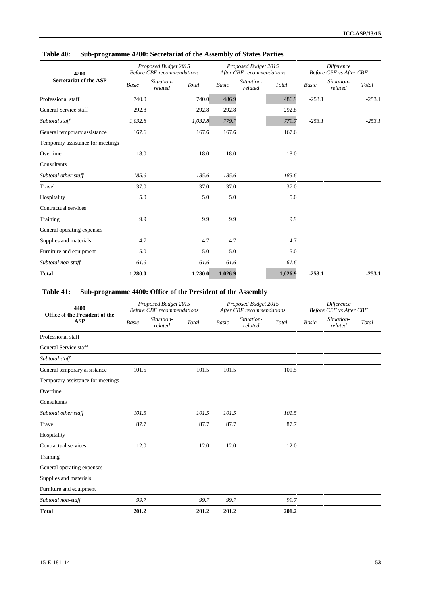| 4200                              |              | Proposed Budget 2015<br><b>Before CBF</b> recommendations |              | Proposed Budget 2015<br>After CBF recommendations |         |              | <b>Difference</b><br><b>Before CBF</b> vs After CBF |
|-----------------------------------|--------------|-----------------------------------------------------------|--------------|---------------------------------------------------|---------|--------------|-----------------------------------------------------|
| <b>Secretariat of the ASP</b>     | <b>Basic</b> | Situation-<br>Total<br>related                            | <b>Basic</b> | Situation-<br>related                             | Total   | <b>Basic</b> | Situation-<br>Total<br>related                      |
| Professional staff                | 740.0        | 740.0                                                     | 486.9        |                                                   | 486.9   | $-253.1$     | $-253.1$                                            |
| General Service staff             | 292.8        | 292.8                                                     | 292.8        |                                                   | 292.8   |              |                                                     |
| Subtotal staff                    | 1,032.8      | 1,032.8                                                   | 779.7        |                                                   | 779.7   | $-253.1$     | $-253.1$                                            |
| General temporary assistance      | 167.6        | 167.6                                                     | 167.6        |                                                   | 167.6   |              |                                                     |
| Temporary assistance for meetings |              |                                                           |              |                                                   |         |              |                                                     |
| Overtime                          | 18.0         | 18.0                                                      | 18.0         |                                                   | 18.0    |              |                                                     |
| Consultants                       |              |                                                           |              |                                                   |         |              |                                                     |
| Subtotal other staff              | 185.6        | 185.6                                                     | 185.6        |                                                   | 185.6   |              |                                                     |
| Travel                            | 37.0         | 37.0                                                      | 37.0         |                                                   | 37.0    |              |                                                     |
| Hospitality                       | 5.0          | 5.0                                                       | 5.0          |                                                   | 5.0     |              |                                                     |
| Contractual services              |              |                                                           |              |                                                   |         |              |                                                     |
| Training                          | 9.9          | 9.9                                                       | 9.9          |                                                   | 9.9     |              |                                                     |
| General operating expenses        |              |                                                           |              |                                                   |         |              |                                                     |
| Supplies and materials            | 4.7          | 4.7                                                       | 4.7          |                                                   | 4.7     |              |                                                     |
| Furniture and equipment           | 5.0          | 5.0                                                       | 5.0          |                                                   | 5.0     |              |                                                     |
| Subtotal non-staff                | 61.6         | 61.6                                                      | 61.6         |                                                   | 61.6    |              |                                                     |
| <b>Total</b>                      | 1,280.0      | 1,280.0                                                   | 1,026.9      |                                                   | 1,026.9 | $-253.1$     | $-253.1$                                            |

# **Table 41: Sub-programme 4400: Office of the President of the Assembly**

| 4400                                         |              | Proposed Budget 2015<br><b>Before CBF</b> recommendations |       |              | Proposed Budget 2015<br>After CBF recommendations |       | <b>Difference</b><br>Before CBF vs After CBF |                       |       |
|----------------------------------------------|--------------|-----------------------------------------------------------|-------|--------------|---------------------------------------------------|-------|----------------------------------------------|-----------------------|-------|
| Office of the President of the<br><b>ASP</b> | <b>Basic</b> | Situation-<br>related                                     | Total | <b>Basic</b> | Situation-<br>related                             | Total | <b>Basic</b>                                 | Situation-<br>related | Total |
| Professional staff                           |              |                                                           |       |              |                                                   |       |                                              |                       |       |
| General Service staff                        |              |                                                           |       |              |                                                   |       |                                              |                       |       |
| Subtotal staff                               |              |                                                           |       |              |                                                   |       |                                              |                       |       |
| General temporary assistance                 | 101.5        |                                                           | 101.5 | 101.5        |                                                   | 101.5 |                                              |                       |       |
| Temporary assistance for meetings            |              |                                                           |       |              |                                                   |       |                                              |                       |       |
| Overtime                                     |              |                                                           |       |              |                                                   |       |                                              |                       |       |
| Consultants                                  |              |                                                           |       |              |                                                   |       |                                              |                       |       |
| Subtotal other staff                         | 101.5        |                                                           | 101.5 | 101.5        |                                                   | 101.5 |                                              |                       |       |
| Travel                                       | 87.7         |                                                           | 87.7  | 87.7         |                                                   | 87.7  |                                              |                       |       |
| Hospitality                                  |              |                                                           |       |              |                                                   |       |                                              |                       |       |
| Contractual services                         | 12.0         |                                                           | 12.0  | 12.0         |                                                   | 12.0  |                                              |                       |       |
| Training                                     |              |                                                           |       |              |                                                   |       |                                              |                       |       |
| General operating expenses                   |              |                                                           |       |              |                                                   |       |                                              |                       |       |
| Supplies and materials                       |              |                                                           |       |              |                                                   |       |                                              |                       |       |
| Furniture and equipment                      |              |                                                           |       |              |                                                   |       |                                              |                       |       |
| Subtotal non-staff                           | 99.7         |                                                           | 99.7  | 99.7         |                                                   | 99.7  |                                              |                       |       |
| <b>Total</b>                                 | 201.2        |                                                           | 201.2 | 201.2        |                                                   | 201.2 |                                              |                       |       |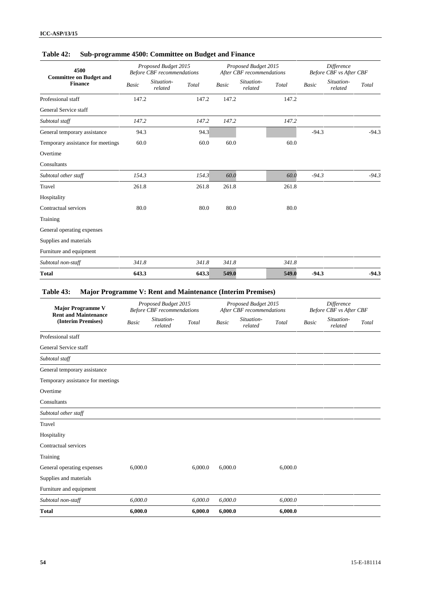| 4500<br><b>Committee on Budget and</b> |              | Proposed Budget 2015<br><b>Before CBF</b> recommendations |       |              | Proposed Budget 2015<br>After CBF recommendations |       |              | <b>Difference</b><br>Before CBF vs After CBF |         |
|----------------------------------------|--------------|-----------------------------------------------------------|-------|--------------|---------------------------------------------------|-------|--------------|----------------------------------------------|---------|
| <b>Finance</b>                         | <b>Basic</b> | Situation-<br>Total<br>related                            |       | <b>Basic</b> | Situation-<br>related                             | Total | <b>Basic</b> | Situation-<br>related                        | Total   |
| Professional staff                     | 147.2        |                                                           | 147.2 | 147.2        |                                                   | 147.2 |              |                                              |         |
| General Service staff                  |              |                                                           |       |              |                                                   |       |              |                                              |         |
| Subtotal staff                         | 147.2        |                                                           | 147.2 | 147.2        |                                                   | 147.2 |              |                                              |         |
| General temporary assistance           | 94.3         |                                                           | 94.3  |              |                                                   |       | $-94.3$      |                                              | $-94.3$ |
| Temporary assistance for meetings      | 60.0         |                                                           | 60.0  | 60.0         |                                                   | 60.0  |              |                                              |         |
| Overtime                               |              |                                                           |       |              |                                                   |       |              |                                              |         |
| Consultants                            |              |                                                           |       |              |                                                   |       |              |                                              |         |
| Subtotal other staff                   | 154.3        |                                                           | 154.3 | 60.0         |                                                   | 60.0  | $-94.3$      |                                              | $-94.3$ |
| Travel                                 | 261.8        |                                                           | 261.8 | 261.8        |                                                   | 261.8 |              |                                              |         |
| Hospitality                            |              |                                                           |       |              |                                                   |       |              |                                              |         |
| Contractual services                   | 80.0         |                                                           | 80.0  | 80.0         |                                                   | 80.0  |              |                                              |         |
| Training                               |              |                                                           |       |              |                                                   |       |              |                                              |         |
| General operating expenses             |              |                                                           |       |              |                                                   |       |              |                                              |         |
| Supplies and materials                 |              |                                                           |       |              |                                                   |       |              |                                              |         |
| Furniture and equipment                |              |                                                           |       |              |                                                   |       |              |                                              |         |
| Subtotal non-staff                     | 341.8        |                                                           | 341.8 | 341.8        |                                                   | 341.8 |              |                                              |         |
| <b>Total</b>                           | 643.3        |                                                           | 643.3 | 549.0        |                                                   | 549.0 | $-94.3$      |                                              | $-94.3$ |

# **Table 42: Sub-programme 4500: Committee on Budget and Finance**

# **Table 43: Major Programme V: Rent and Maintenance (Interim Premises)**

| <b>Major Programme V</b>                          |         | Proposed Budget 2015<br><b>Before CBF</b> recommendations |         |              | Proposed Budget 2015<br>After CBF recommendations |         | <b>Difference</b><br>Before CBF vs After CBF |                       |       |
|---------------------------------------------------|---------|-----------------------------------------------------------|---------|--------------|---------------------------------------------------|---------|----------------------------------------------|-----------------------|-------|
| <b>Rent and Maintenance</b><br>(Interim Premises) | Basic   | Situation-<br>related                                     | Total   | <b>Basic</b> | Situation-<br>related                             | Total   | <b>Basic</b>                                 | Situation-<br>related | Total |
| Professional staff                                |         |                                                           |         |              |                                                   |         |                                              |                       |       |
| General Service staff                             |         |                                                           |         |              |                                                   |         |                                              |                       |       |
| Subtotal staff                                    |         |                                                           |         |              |                                                   |         |                                              |                       |       |
| General temporary assistance                      |         |                                                           |         |              |                                                   |         |                                              |                       |       |
| Temporary assistance for meetings                 |         |                                                           |         |              |                                                   |         |                                              |                       |       |
| Overtime                                          |         |                                                           |         |              |                                                   |         |                                              |                       |       |
| Consultants                                       |         |                                                           |         |              |                                                   |         |                                              |                       |       |
| Subtotal other staff                              |         |                                                           |         |              |                                                   |         |                                              |                       |       |
| Travel                                            |         |                                                           |         |              |                                                   |         |                                              |                       |       |
| Hospitality                                       |         |                                                           |         |              |                                                   |         |                                              |                       |       |
| Contractual services                              |         |                                                           |         |              |                                                   |         |                                              |                       |       |
| Training                                          |         |                                                           |         |              |                                                   |         |                                              |                       |       |
| General operating expenses                        | 6,000.0 |                                                           | 6,000.0 | 6.000.0      |                                                   | 6,000.0 |                                              |                       |       |
| Supplies and materials                            |         |                                                           |         |              |                                                   |         |                                              |                       |       |
| Furniture and equipment                           |         |                                                           |         |              |                                                   |         |                                              |                       |       |
| Subtotal non-staff                                | 6,000.0 |                                                           | 6,000.0 | 6,000.0      |                                                   | 6,000.0 |                                              |                       |       |
| <b>Total</b>                                      | 6,000.0 |                                                           | 6,000.0 | 6,000.0      |                                                   | 6,000.0 |                                              |                       |       |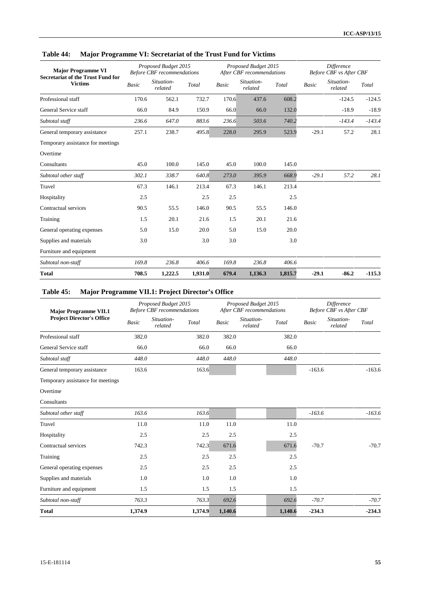| <b>Major Programme VI</b><br><b>Secretariat of the Trust Fund for</b> |       | Proposed Budget 2015<br><b>Before CBF</b> recommendations |         |              | Proposed Budget 2015<br>After CBF recommendations |         |              | <b>Difference</b><br>Before CBF vs After CBF |          |
|-----------------------------------------------------------------------|-------|-----------------------------------------------------------|---------|--------------|---------------------------------------------------|---------|--------------|----------------------------------------------|----------|
| <b>Victims</b>                                                        | Basic | Situation-<br>related                                     | Total   | <b>Basic</b> | Situation-<br>related                             | Total   | <b>Basic</b> | Situation-<br>related                        | Total    |
| Professional staff                                                    | 170.6 | 562.1                                                     | 732.7   | 170.6        | 437.6                                             | 608.2   |              | $-124.5$                                     | $-124.5$ |
| General Service staff                                                 | 66.0  | 84.9                                                      | 150.9   | 66.0         | 66.0                                              | 132.0   |              | $-18.9$                                      | $-18.9$  |
| Subtotal staff                                                        | 236.6 | 647.0                                                     | 883.6   | 236.6        | 503.6                                             | 740.2   |              | $-143.4$                                     | $-143.4$ |
| General temporary assistance                                          | 257.1 | 238.7                                                     | 495.8   | 228.0        | 295.9                                             | 523.9   | $-29.1$      | 57.2                                         | 28.1     |
| Temporary assistance for meetings                                     |       |                                                           |         |              |                                                   |         |              |                                              |          |
| Overtime                                                              |       |                                                           |         |              |                                                   |         |              |                                              |          |
| Consultants                                                           | 45.0  | 100.0                                                     | 145.0   | 45.0         | 100.0                                             | 145.0   |              |                                              |          |
| Subtotal other staff                                                  | 302.1 | 338.7                                                     | 640.8   | 273.0        | 395.9                                             | 668.9   | $-29.1$      | 57.2                                         | 28.1     |
| Travel                                                                | 67.3  | 146.1                                                     | 213.4   | 67.3         | 146.1                                             | 213.4   |              |                                              |          |
| Hospitality                                                           | 2.5   |                                                           | 2.5     | 2.5          |                                                   | 2.5     |              |                                              |          |
| Contractual services                                                  | 90.5  | 55.5                                                      | 146.0   | 90.5         | 55.5                                              | 146.0   |              |                                              |          |
| Training                                                              | 1.5   | 20.1                                                      | 21.6    | 1.5          | 20.1                                              | 21.6    |              |                                              |          |
| General operating expenses                                            | 5.0   | 15.0                                                      | 20.0    | 5.0          | 15.0                                              | 20.0    |              |                                              |          |
| Supplies and materials                                                | 3.0   |                                                           | 3.0     | 3.0          |                                                   | 3.0     |              |                                              |          |
| Furniture and equipment                                               |       |                                                           |         |              |                                                   |         |              |                                              |          |
| Subtotal non-staff                                                    | 169.8 | 236.8                                                     | 406.6   | 169.8        | 236.8                                             | 406.6   |              |                                              |          |
| <b>Total</b>                                                          | 708.5 | 1,222.5                                                   | 1,931.0 | 679.4        | 1,136.3                                           | 1,815.7 | $-29.1$      | $-86.2$                                      | $-115.3$ |

# **Table 44: Major Programme VI: Secretariat of the Trust Fund for Victims**

# **Table 45: Major Programme VII.1: Project Director's Office**

| <b>Major Programme VII.1</b>                                                                                                                                                                                                                                                                                                                                                                                                                                                                                                           |         |              |                       | Proposed Budget 2015<br>After CBF recommendations |              |                                | <b>Difference</b><br>Before CBF vs After CBF |
|----------------------------------------------------------------------------------------------------------------------------------------------------------------------------------------------------------------------------------------------------------------------------------------------------------------------------------------------------------------------------------------------------------------------------------------------------------------------------------------------------------------------------------------|---------|--------------|-----------------------|---------------------------------------------------|--------------|--------------------------------|----------------------------------------------|
| Proposed Budget 2015<br><b>Before CBF</b> recommendations<br><b>Project Director's Office</b><br>Situation-<br>Basic<br>related<br>Professional staff<br>382.0<br>General Service staff<br>66.0<br>Subtotal staff<br>448.0<br>163.6<br>General temporary assistance<br>Temporary assistance for meetings<br>Overtime<br>Consultants<br>163.6<br>Subtotal other staff<br>Travel<br>11.0<br>Hospitality<br>2.5<br>Contractual services<br>742.3<br>2.5<br>Training<br>2.5<br>General operating expenses<br>Supplies and materials<br>1.0 | Total   | <b>Basic</b> | Situation-<br>related | Total                                             | <b>Basic</b> | Situation-<br>Total<br>related |                                              |
|                                                                                                                                                                                                                                                                                                                                                                                                                                                                                                                                        |         | 382.0        | 382.0                 |                                                   | 382.0        |                                |                                              |
|                                                                                                                                                                                                                                                                                                                                                                                                                                                                                                                                        |         | 66.0         | 66.0                  |                                                   | 66.0         |                                |                                              |
|                                                                                                                                                                                                                                                                                                                                                                                                                                                                                                                                        |         | 448.0        | 448.0                 |                                                   | 448.0        |                                |                                              |
|                                                                                                                                                                                                                                                                                                                                                                                                                                                                                                                                        |         | 163.6        |                       |                                                   |              | $-163.6$                       | $-163.6$                                     |
|                                                                                                                                                                                                                                                                                                                                                                                                                                                                                                                                        |         |              |                       |                                                   |              |                                |                                              |
|                                                                                                                                                                                                                                                                                                                                                                                                                                                                                                                                        |         |              |                       |                                                   |              |                                |                                              |
|                                                                                                                                                                                                                                                                                                                                                                                                                                                                                                                                        |         |              |                       |                                                   |              |                                |                                              |
|                                                                                                                                                                                                                                                                                                                                                                                                                                                                                                                                        |         | 163.6        |                       |                                                   |              | $-163.6$                       | $-163.6$                                     |
|                                                                                                                                                                                                                                                                                                                                                                                                                                                                                                                                        |         | 11.0         | 11.0                  |                                                   | 11.0         |                                |                                              |
|                                                                                                                                                                                                                                                                                                                                                                                                                                                                                                                                        |         | 2.5          | 2.5                   |                                                   | 2.5          |                                |                                              |
|                                                                                                                                                                                                                                                                                                                                                                                                                                                                                                                                        |         | 742.3        | 671.6                 |                                                   | 671.6        | $-70.7$                        | $-70.7$                                      |
|                                                                                                                                                                                                                                                                                                                                                                                                                                                                                                                                        |         | 2.5          | 2.5                   |                                                   | 2.5          |                                |                                              |
|                                                                                                                                                                                                                                                                                                                                                                                                                                                                                                                                        |         | 2.5          | 2.5                   |                                                   | 2.5          |                                |                                              |
|                                                                                                                                                                                                                                                                                                                                                                                                                                                                                                                                        |         | 1.0          | 1.0                   |                                                   | 1.0          |                                |                                              |
| Furniture and equipment                                                                                                                                                                                                                                                                                                                                                                                                                                                                                                                | 1.5     | 1.5          | 1.5                   |                                                   | 1.5          |                                |                                              |
| Subtotal non-staff                                                                                                                                                                                                                                                                                                                                                                                                                                                                                                                     | 763.3   | 763.3        | 692.6                 |                                                   | 692.6        | $-70.7$                        | $-70.7$                                      |
| <b>Total</b>                                                                                                                                                                                                                                                                                                                                                                                                                                                                                                                           | 1,374.9 | 1,374.9      | 1,140.6               |                                                   | 1,140.6      | $-234.3$                       | $-234.3$                                     |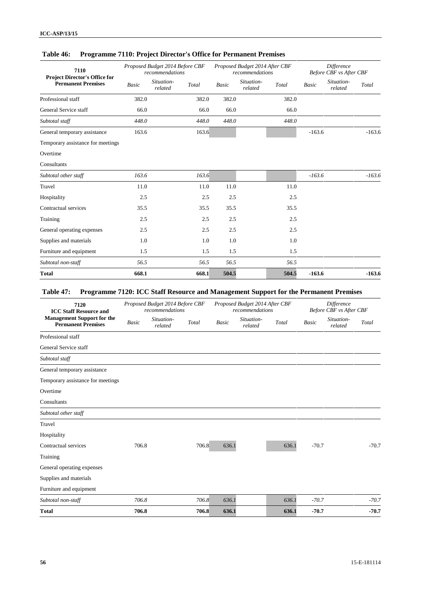| 7110<br>Project Director's Office for |       | Proposed Budget 2014 Before CBF<br>recommendations |       | Proposed Budget 2014 After CBF<br>recommendations |       |              | Difference<br><b>Before CBF</b> vs After CBF |          |
|---------------------------------------|-------|----------------------------------------------------|-------|---------------------------------------------------|-------|--------------|----------------------------------------------|----------|
| <b>Permanent Premises</b>             | Basic | Situation-<br>Total<br>related                     | Basic | Situation-<br>related                             | Total | <b>Basic</b> | Situation-<br>related                        | Total    |
| Professional staff                    | 382.0 | 382.0                                              | 382.0 |                                                   | 382.0 |              |                                              |          |
| General Service staff                 | 66.0  | 66.0                                               | 66.0  |                                                   | 66.0  |              |                                              |          |
| Subtotal staff                        | 448.0 | 448.0                                              | 448.0 |                                                   | 448.0 |              |                                              |          |
| General temporary assistance          | 163.6 | 163.6                                              |       |                                                   |       | $-163.6$     |                                              | $-163.6$ |
| Temporary assistance for meetings     |       |                                                    |       |                                                   |       |              |                                              |          |
| Overtime                              |       |                                                    |       |                                                   |       |              |                                              |          |
| Consultants                           |       |                                                    |       |                                                   |       |              |                                              |          |
| Subtotal other staff                  | 163.6 | 163.6                                              |       |                                                   |       | $-163.6$     |                                              | $-163.6$ |
| Travel                                | 11.0  | 11.0                                               | 11.0  |                                                   | 11.0  |              |                                              |          |
| Hospitality                           | 2.5   | 2.5                                                | 2.5   |                                                   | 2.5   |              |                                              |          |
| Contractual services                  | 35.5  | 35.5                                               | 35.5  |                                                   | 35.5  |              |                                              |          |
| Training                              | 2.5   | 2.5                                                | 2.5   |                                                   | 2.5   |              |                                              |          |
| General operating expenses            | 2.5   | 2.5                                                | 2.5   |                                                   | 2.5   |              |                                              |          |
| Supplies and materials                | 1.0   | 1.0                                                | 1.0   |                                                   | 1.0   |              |                                              |          |
| Furniture and equipment               | 1.5   | 1.5                                                | 1.5   |                                                   | 1.5   |              |                                              |          |
| Subtotal non-staff                    | 56.5  | 56.5                                               | 56.5  |                                                   | 56.5  |              |                                              |          |
| <b>Total</b>                          | 668.1 | 668.1                                              | 504.5 |                                                   | 504.5 | $-163.6$     |                                              | $-163.6$ |

## **Table 46: Programme 7110: Project Director's Office for Permanent Premises**

# **Table 47: Programme 7120: ICC Staff Resource and Management Support for the Permanent Premises**

| 7120<br><b>ICC Staff Resource and</b>                          |       | Proposed Budget 2014 Before CBF<br>recommendations |       |              | Proposed Budget 2014 After CBF<br>recommendations |       |              | <b>Difference</b><br>Before CBF vs After CBF |         |
|----------------------------------------------------------------|-------|----------------------------------------------------|-------|--------------|---------------------------------------------------|-------|--------------|----------------------------------------------|---------|
| <b>Management Support for the</b><br><b>Permanent Premises</b> | Basic | Situation-<br>related                              | Total | <b>Basic</b> | Situation-<br>related                             | Total | <b>Basic</b> | Situation-<br>related                        | Total   |
| Professional staff                                             |       |                                                    |       |              |                                                   |       |              |                                              |         |
| General Service staff                                          |       |                                                    |       |              |                                                   |       |              |                                              |         |
| Subtotal staff                                                 |       |                                                    |       |              |                                                   |       |              |                                              |         |
| General temporary assistance                                   |       |                                                    |       |              |                                                   |       |              |                                              |         |
| Temporary assistance for meetings                              |       |                                                    |       |              |                                                   |       |              |                                              |         |
| Overtime                                                       |       |                                                    |       |              |                                                   |       |              |                                              |         |
| Consultants                                                    |       |                                                    |       |              |                                                   |       |              |                                              |         |
| Subtotal other staff                                           |       |                                                    |       |              |                                                   |       |              |                                              |         |
| Travel                                                         |       |                                                    |       |              |                                                   |       |              |                                              |         |
| Hospitality                                                    |       |                                                    |       |              |                                                   |       |              |                                              |         |
| Contractual services                                           | 706.8 |                                                    | 706.8 | 636.1        |                                                   | 636.1 | $-70.7$      |                                              | $-70.7$ |
| Training                                                       |       |                                                    |       |              |                                                   |       |              |                                              |         |
| General operating expenses                                     |       |                                                    |       |              |                                                   |       |              |                                              |         |
| Supplies and materials                                         |       |                                                    |       |              |                                                   |       |              |                                              |         |
| Furniture and equipment                                        |       |                                                    |       |              |                                                   |       |              |                                              |         |
| Subtotal non-staff                                             | 706.8 |                                                    | 706.8 | 636.1        |                                                   | 636.1 | $-70.7$      |                                              | $-70.7$ |
| <b>Total</b>                                                   | 706.8 |                                                    | 706.8 | 636.1        |                                                   | 636.1 | $-70.7$      |                                              | $-70.7$ |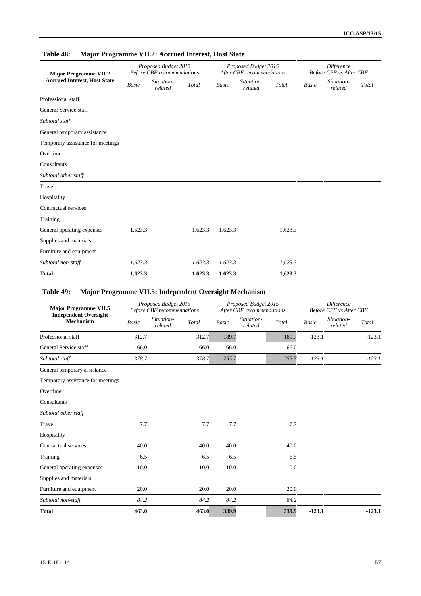| <b>Major Programme VII.2</b>        |         | Proposed Budget 2015<br><b>Before CBF</b> recommendations |         |              | Proposed Budget 2015<br>After CBF recommendations |         | <b>Difference</b><br><b>Before CBF</b> vs After CBF |                       |       |
|-------------------------------------|---------|-----------------------------------------------------------|---------|--------------|---------------------------------------------------|---------|-----------------------------------------------------|-----------------------|-------|
| <b>Accrued Interest, Host State</b> | Basic   | Situation-<br>related                                     | Total   | <b>Basic</b> | Situation-<br>related                             | Total   | $\label{eq:basic} Basic$                            | Situation-<br>related | Total |
| Professional staff                  |         |                                                           |         |              |                                                   |         |                                                     |                       |       |
| General Service staff               |         |                                                           |         |              |                                                   |         |                                                     |                       |       |
| Subtotal staff                      |         |                                                           |         |              |                                                   |         |                                                     |                       |       |
| General temporary assistance        |         |                                                           |         |              |                                                   |         |                                                     |                       |       |
| Temporary assistance for meetings   |         |                                                           |         |              |                                                   |         |                                                     |                       |       |
| Overtime                            |         |                                                           |         |              |                                                   |         |                                                     |                       |       |
| Consultants                         |         |                                                           |         |              |                                                   |         |                                                     |                       |       |
| Subtotal other staff                |         |                                                           |         |              |                                                   |         |                                                     |                       |       |
| Travel                              |         |                                                           |         |              |                                                   |         |                                                     |                       |       |
| Hospitality                         |         |                                                           |         |              |                                                   |         |                                                     |                       |       |
| Contractual services                |         |                                                           |         |              |                                                   |         |                                                     |                       |       |
| Training                            |         |                                                           |         |              |                                                   |         |                                                     |                       |       |
| General operating expenses          | 1,623.3 |                                                           | 1,623.3 | 1,623.3      |                                                   | 1,623.3 |                                                     |                       |       |
| Supplies and materials              |         |                                                           |         |              |                                                   |         |                                                     |                       |       |
| Furniture and equipment             |         |                                                           |         |              |                                                   |         |                                                     |                       |       |
| Subtotal non-staff                  | 1,623.3 |                                                           | 1,623.3 | 1,623.3      |                                                   | 1,623.3 |                                                     |                       |       |
| <b>Total</b>                        | 1,623.3 |                                                           | 1,623.3 | 1,623.3      |                                                   | 1,623.3 |                                                     |                       |       |

# **Table 48: Major Programme VII.2: Accrued Interest, Host State**

## **Table 49: Major Programme VII.5: Independent Oversight Mechanism**

| <b>Major Programme VII.5</b><br><b>Independent Oversight</b><br><b>Mechanism</b> | Proposed Budget 2015<br><b>Before CBF</b> recommendations |                       |       | Proposed Budget 2015<br>After CBF recommendations |                       |       | <b>Difference</b><br><b>Before CBF</b> vs After CBF |                       |          |
|----------------------------------------------------------------------------------|-----------------------------------------------------------|-----------------------|-------|---------------------------------------------------|-----------------------|-------|-----------------------------------------------------|-----------------------|----------|
|                                                                                  | <b>Basic</b>                                              | Situation-<br>related | Total | <b>Basic</b>                                      | Situation-<br>related | Total | <b>Basic</b>                                        | Situation-<br>related | Total    |
| Professional staff                                                               | 312.7                                                     |                       | 312.7 | 189.7                                             |                       | 189.7 | $-123.1$                                            |                       | $-123.1$ |
| General Service staff                                                            | 66.0                                                      |                       | 66.0  | 66.0                                              |                       | 66.0  |                                                     |                       |          |
| Subtotal staff                                                                   | 378.7                                                     |                       | 378.7 | 255.7                                             |                       | 255.7 | $-123.1$                                            |                       | $-123.1$ |
| General temporary assistance                                                     |                                                           |                       |       |                                                   |                       |       |                                                     |                       |          |
| Temporary assistance for meetings                                                |                                                           |                       |       |                                                   |                       |       |                                                     |                       |          |
| Overtime                                                                         |                                                           |                       |       |                                                   |                       |       |                                                     |                       |          |
| Consultants                                                                      |                                                           |                       |       |                                                   |                       |       |                                                     |                       |          |
| Subtotal other staff                                                             |                                                           |                       |       |                                                   |                       |       |                                                     |                       |          |
| Travel                                                                           | 7.7                                                       |                       | 7.7   | 7.7                                               |                       | 7.7   |                                                     |                       |          |
| Hospitality                                                                      |                                                           |                       |       |                                                   |                       |       |                                                     |                       |          |
| Contractual services                                                             | 40.0                                                      |                       | 40.0  | 40.0                                              |                       | 40.0  |                                                     |                       |          |
| Training                                                                         | 6.5                                                       |                       | 6.5   | 6.5                                               |                       | 6.5   |                                                     |                       |          |
| General operating expenses                                                       | 10.0                                                      |                       | 10.0  | 10.0                                              |                       | 10.0  |                                                     |                       |          |
| Supplies and materials                                                           |                                                           |                       |       |                                                   |                       |       |                                                     |                       |          |
| Furniture and equipment                                                          | 20.0                                                      |                       | 20.0  | 20.0                                              |                       | 20.0  |                                                     |                       |          |
| Subtotal non-staff                                                               | 84.2                                                      |                       | 84.2  | 84.2                                              |                       | 84.2  |                                                     |                       |          |
| <b>Total</b>                                                                     | 463.0                                                     |                       | 463.0 | 339.9                                             |                       | 339.9 | $-123.1$                                            |                       | $-123.1$ |